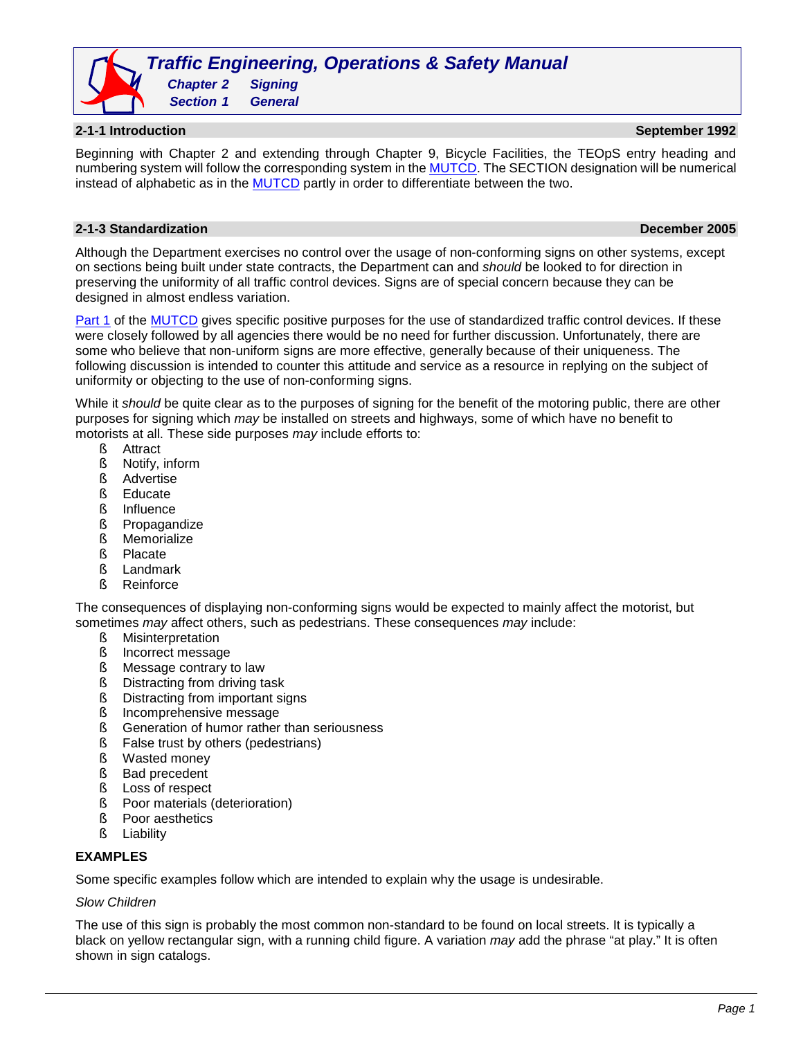*Traffic Engineering, Operations & Safety Manual Chapter 2 Signing Section 1 General*

**2-1-1 Introduction September 1992**

Beginning with Chapter 2 and extending through Chapter 9, Bicycle Facilities, the TEOpS entry heading and numbering system will follow the corresponding system in th[e MUTCD.](https://wisconsindot.gov/Pages/doing-bus/local-gov/traffic-ops/manuals-and-standards/wmutcd/wmutcd.aspx) The SECTION designation will be numerical instead of alphabetic as in the [MUTCD](https://wisconsindot.gov/Pages/doing-bus/local-gov/traffic-ops/manuals-and-standards/wmutcd/wmutcd.aspx) partly in order to differentiate between the two.

# **2-1-3 Standardization December 2005**

Although the Department exercises no control over the usage of non-conforming signs on other systems, except on sections being built under state contracts, the Department can and *should* be looked to for direction in preserving the uniformity of all traffic control devices. Signs are of special concern because they can be designed in almost endless variation.

[Part 1](https://wisconsindot.gov/dtsdManuals/traffic-ops/manuals-and-standards/wmutcd/mutcd-ch01.pdf) of the [MUTCD](https://wisconsindot.gov/Pages/doing-bus/local-gov/traffic-ops/manuals-and-standards/wmutcd/wmutcd.aspx) gives specific positive purposes for the use of standardized traffic control devices. If these were closely followed by all agencies there would be no need for further discussion. Unfortunately, there are some who believe that non-uniform signs are more effective, generally because of their uniqueness. The following discussion is intended to counter this attitude and service as a resource in replying on the subject of uniformity or objecting to the use of non-conforming signs.

While it *should* be quite clear as to the purposes of signing for the benefit of the motoring public, there are other purposes for signing which *may* be installed on streets and highways, some of which have no benefit to motorists at all. These side purposes *may* include efforts to:

- § Attract
- § Notify, inform
- § Advertise
- § Educate
- § Influence
- § Propagandize
- § Memorialize
- § Placate
- § Landmark
- § Reinforce

The consequences of displaying non-conforming signs would be expected to mainly affect the motorist, but sometimes *may* affect others, such as pedestrians. These consequences *may* include:

- § Misinterpretation
- § Incorrect message
- § Message contrary to law
- § Distracting from driving task
- § Distracting from important signs
- § Incomprehensive message
- § Generation of humor rather than seriousness
- § False trust by others (pedestrians)
- § Wasted money
- § Bad precedent
- **§** Loss of respect
- § Poor materials (deterioration)
- **§** Poor aesthetics
- § Liability

#### **EXAMPLES**

Some specific examples follow which are intended to explain why the usage is undesirable.

#### *Slow Children*

The use of this sign is probably the most common non-standard to be found on local streets. It is typically a black on yellow rectangular sign, with a running child figure. A variation *may* add the phrase "at play." It is often shown in sign catalogs.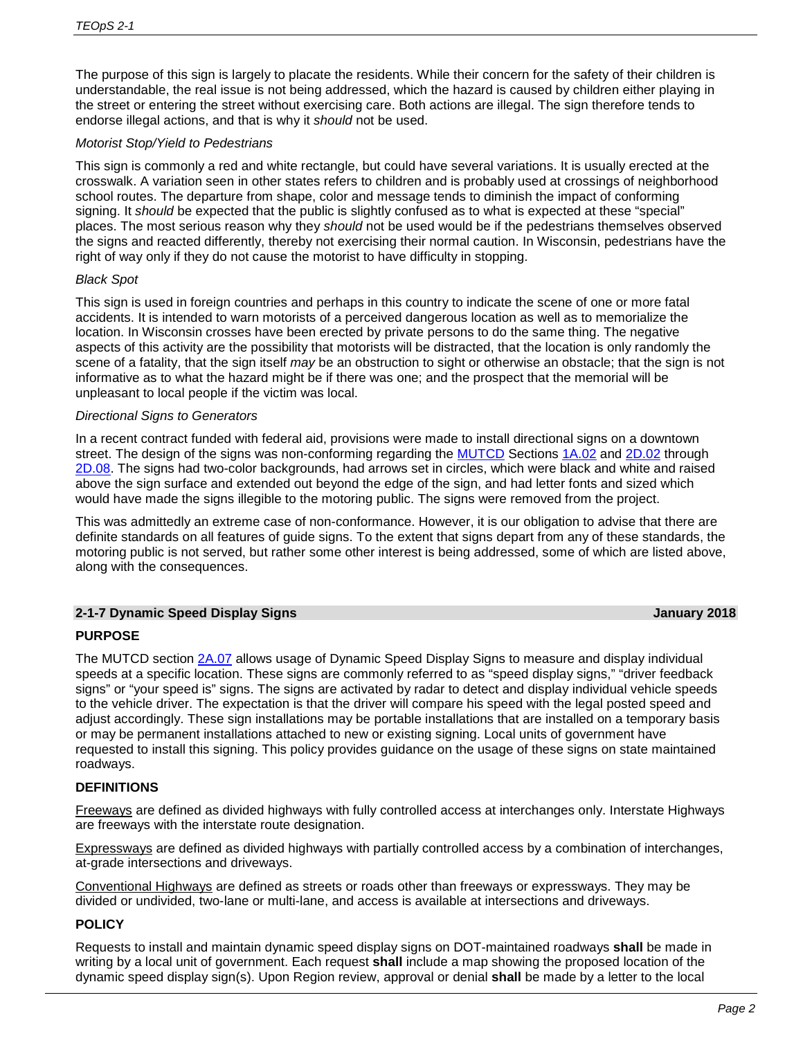The purpose of this sign is largely to placate the residents. While their concern for the safety of their children is understandable, the real issue is not being addressed, which the hazard is caused by children either playing in the street or entering the street without exercising care. Both actions are illegal. The sign therefore tends to endorse illegal actions, and that is why it *should* not be used.

# *Motorist Stop/Yield to Pedestrians*

This sign is commonly a red and white rectangle, but could have several variations. It is usually erected at the crosswalk. A variation seen in other states refers to children and is probably used at crossings of neighborhood school routes. The departure from shape, color and message tends to diminish the impact of conforming signing. It *should* be expected that the public is slightly confused as to what is expected at these "special" places. The most serious reason why they *should* not be used would be if the pedestrians themselves observed the signs and reacted differently, thereby not exercising their normal caution. In Wisconsin, pedestrians have the right of way only if they do not cause the motorist to have difficulty in stopping.

# *Black Spot*

This sign is used in foreign countries and perhaps in this country to indicate the scene of one or more fatal accidents. It is intended to warn motorists of a perceived dangerous location as well as to memorialize the location. In Wisconsin crosses have been erected by private persons to do the same thing. The negative aspects of this activity are the possibility that motorists will be distracted, that the location is only randomly the scene of a fatality, that the sign itself *may* be an obstruction to sight or otherwise an obstacle; that the sign is not informative as to what the hazard might be if there was one; and the prospect that the memorial will be unpleasant to local people if the victim was local.

# *Directional Signs to Generators*

In a recent contract funded with federal aid, provisions were made to install directional signs on a downtown street. The design of the signs was non-conforming regarding the [MUTCD](https://wisconsindot.gov/Pages/doing-bus/local-gov/traffic-ops/manuals-and-standards/wmutcd/wmutcd.aspx) Sections [1A.02](https://wisconsindot.gov/dtsdManuals/traffic-ops/manuals-and-standards/wmutcd/mutcd-ch01.pdf) and [2D.02](https://wisconsindot.gov/dtsdManuals/traffic-ops/manuals-and-standards/wmutcd/mutcd-ch02d.pdf) through [2D.08.](https://wisconsindot.gov/dtsdManuals/traffic-ops/manuals-and-standards/wmutcd/mutcd-ch02d.pdf) The signs had two-color backgrounds, had arrows set in circles, which were black and white and raised above the sign surface and extended out beyond the edge of the sign, and had letter fonts and sized which would have made the signs illegible to the motoring public. The signs were removed from the project.

This was admittedly an extreme case of non-conformance. However, it is our obligation to advise that there are definite standards on all features of guide signs. To the extent that signs depart from any of these standards, the motoring public is not served, but rather some other interest is being addressed, some of which are listed above, along with the consequences.

# **2-1-7 Dynamic Speed Display Signs January 2018**

# **PURPOSE**

The MUTCD section [2A.07](https://wisconsindot.gov/dtsdManuals/traffic-ops/manuals-and-standards/wmutcd/mutcd-ch02a.pdf) allows usage of Dynamic Speed Display Signs to measure and display individual speeds at a specific location. These signs are commonly referred to as "speed display signs," "driver feedback signs" or "your speed is" signs. The signs are activated by radar to detect and display individual vehicle speeds to the vehicle driver. The expectation is that the driver will compare his speed with the legal posted speed and adjust accordingly. These sign installations may be portable installations that are installed on a temporary basis or may be permanent installations attached to new or existing signing. Local units of government have requested to install this signing. This policy provides guidance on the usage of these signs on state maintained roadways.

# **DEFINITIONS**

Freeways are defined as divided highways with fully controlled access at interchanges only. Interstate Highways are freeways with the interstate route designation.

Expressways are defined as divided highways with partially controlled access by a combination of interchanges, at-grade intersections and driveways.

Conventional Highways are defined as streets or roads other than freeways or expressways. They may be divided or undivided, two-lane or multi-lane, and access is available at intersections and driveways.

#### **POLICY**

Requests to install and maintain dynamic speed display signs on DOT-maintained roadways **shall** be made in writing by a local unit of government. Each request **shall** include a map showing the proposed location of the dynamic speed display sign(s). Upon Region review, approval or denial **shall** be made by a letter to the local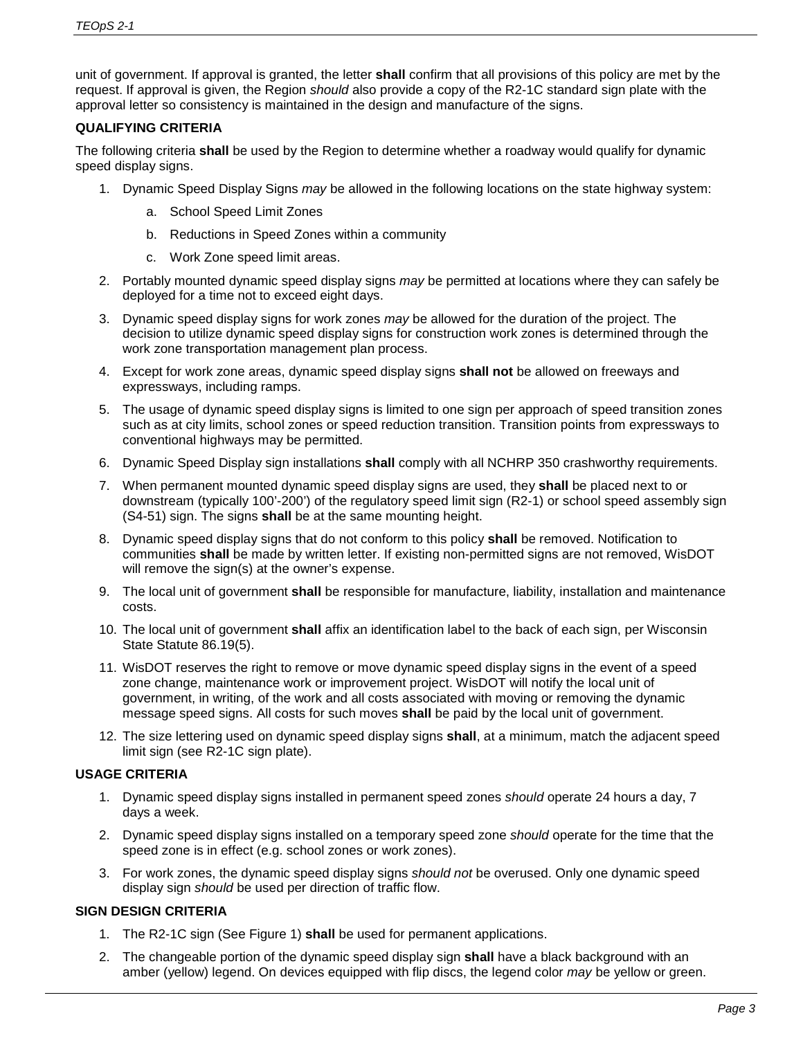unit of government. If approval is granted, the letter **shall** confirm that all provisions of this policy are met by the request. If approval is given, the Region *should* also provide a copy of the R2-1C standard sign plate with the approval letter so consistency is maintained in the design and manufacture of the signs.

# **QUALIFYING CRITERIA**

The following criteria **shall** be used by the Region to determine whether a roadway would qualify for dynamic speed display signs.

- 1. Dynamic Speed Display Signs *may* be allowed in the following locations on the state highway system:
	- a. School Speed Limit Zones
	- b. Reductions in Speed Zones within a community
	- c. Work Zone speed limit areas.
- 2. Portably mounted dynamic speed display signs *may* be permitted at locations where they can safely be deployed for a time not to exceed eight days.
- 3. Dynamic speed display signs for work zones *may* be allowed for the duration of the project. The decision to utilize dynamic speed display signs for construction work zones is determined through the work zone transportation management plan process.
- 4. Except for work zone areas, dynamic speed display signs **shall not** be allowed on freeways and expressways, including ramps.
- 5. The usage of dynamic speed display signs is limited to one sign per approach of speed transition zones such as at city limits, school zones or speed reduction transition. Transition points from expressways to conventional highways may be permitted.
- 6. Dynamic Speed Display sign installations **shall** comply with all NCHRP 350 crashworthy requirements.
- 7. When permanent mounted dynamic speed display signs are used, they **shall** be placed next to or downstream (typically 100'-200') of the regulatory speed limit sign (R2-1) or school speed assembly sign (S4-51) sign. The signs **shall** be at the same mounting height.
- 8. Dynamic speed display signs that do not conform to this policy **shall** be removed. Notification to communities **shall** be made by written letter. If existing non-permitted signs are not removed, WisDOT will remove the sign(s) at the owner's expense.
- 9. The local unit of government **shall** be responsible for manufacture, liability, installation and maintenance costs.
- 10. The local unit of government **shall** affix an identification label to the back of each sign, per Wisconsin State Statute 86.19(5).
- 11. WisDOT reserves the right to remove or move dynamic speed display signs in the event of a speed zone change, maintenance work or improvement project. WisDOT will notify the local unit of government, in writing, of the work and all costs associated with moving or removing the dynamic message speed signs. All costs for such moves **shall** be paid by the local unit of government.
- 12. The size lettering used on dynamic speed display signs **shall**, at a minimum, match the adjacent speed limit sign (see R2-1C sign plate).

# **USAGE CRITERIA**

- 1. Dynamic speed display signs installed in permanent speed zones *should* operate 24 hours a day, 7 days a week.
- 2. Dynamic speed display signs installed on a temporary speed zone *should* operate for the time that the speed zone is in effect (e.g. school zones or work zones).
- 3. For work zones, the dynamic speed display signs *should not* be overused. Only one dynamic speed display sign *should* be used per direction of traffic flow.

# **SIGN DESIGN CRITERIA**

- 1. The R2-1C sign (See Figure 1) **shall** be used for permanent applications.
- 2. The changeable portion of the dynamic speed display sign **shall** have a black background with an amber (yellow) legend. On devices equipped with flip discs, the legend color *may* be yellow or green.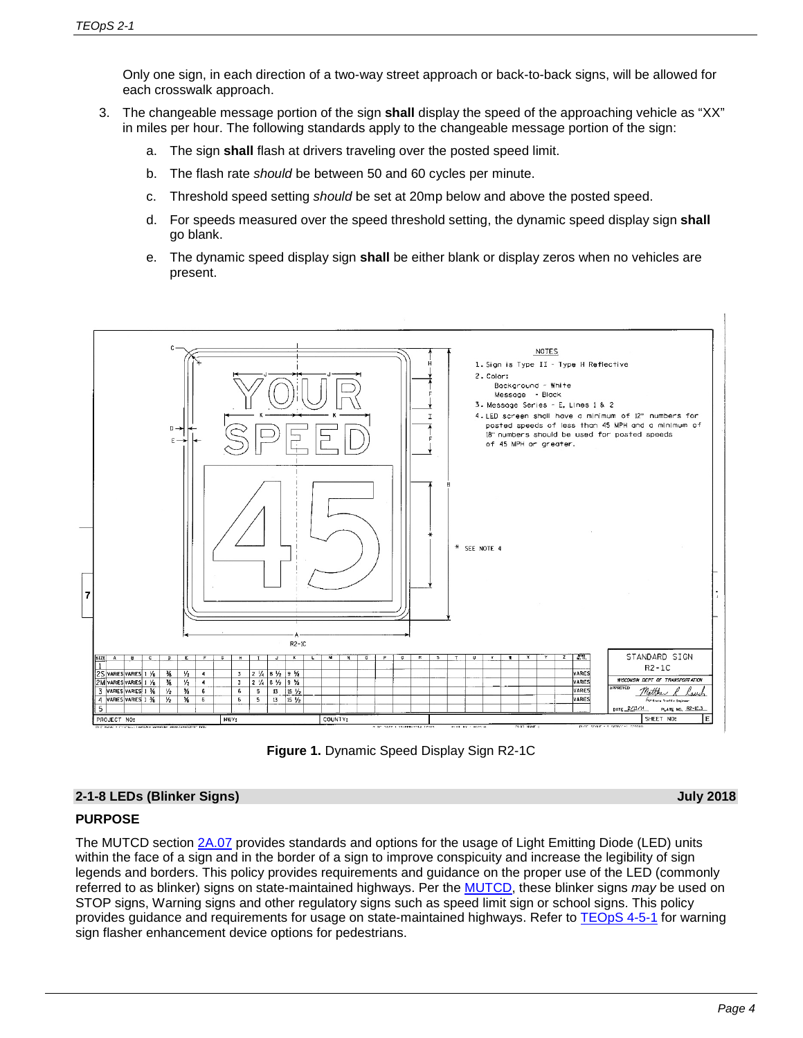Only one sign, in each direction of a two-way street approach or back-to-back signs, will be allowed for each crosswalk approach.

- 3. The changeable message portion of the sign **shall** display the speed of the approaching vehicle as "XX" in miles per hour. The following standards apply to the changeable message portion of the sign:
	- a. The sign **shall** flash at drivers traveling over the posted speed limit.
	- b. The flash rate *should* be between 50 and 60 cycles per minute.
	- c. Threshold speed setting *should* be set at 20mp below and above the posted speed.
	- d. For speeds measured over the speed threshold setting, the dynamic speed display sign **shall** go blank.
	- e. The dynamic speed display sign **shall** be either blank or display zeros when no vehicles are present.





# **2-1-8 LEDs (Blinker Signs) July 2018**

# **PURPOSE**

The MUTCD section [2A.07](https://wisconsindot.gov/dtsdManuals/traffic-ops/manuals-and-standards/wmutcd/mutcd-ch02a.pdf) provides standards and options for the usage of Light Emitting Diode (LED) units within the face of a sign and in the border of a sign to improve conspicuity and increase the legibility of sign legends and borders. This policy provides requirements and guidance on the proper use of the LED (commonly referred to as blinker) signs on state-maintained highways. Per the [MUTCD,](https://wisconsindot.gov/Pages/doing-bus/local-gov/traffic-ops/manuals-and-standards/wmutcd/wmutcd.aspx) these blinker signs *may* be used on STOP signs, Warning signs and other regulatory signs such as speed limit sign or school signs. This policy provides guidance and requirements for usage on state-maintained highways. Refer to [TEOpS 4-5-1](https://wisconsindot.gov/dtsdManuals/traffic-ops/manuals-and-standards/teops/04-05.pdf#4-5-1) for warning sign flasher enhancement device options for pedestrians.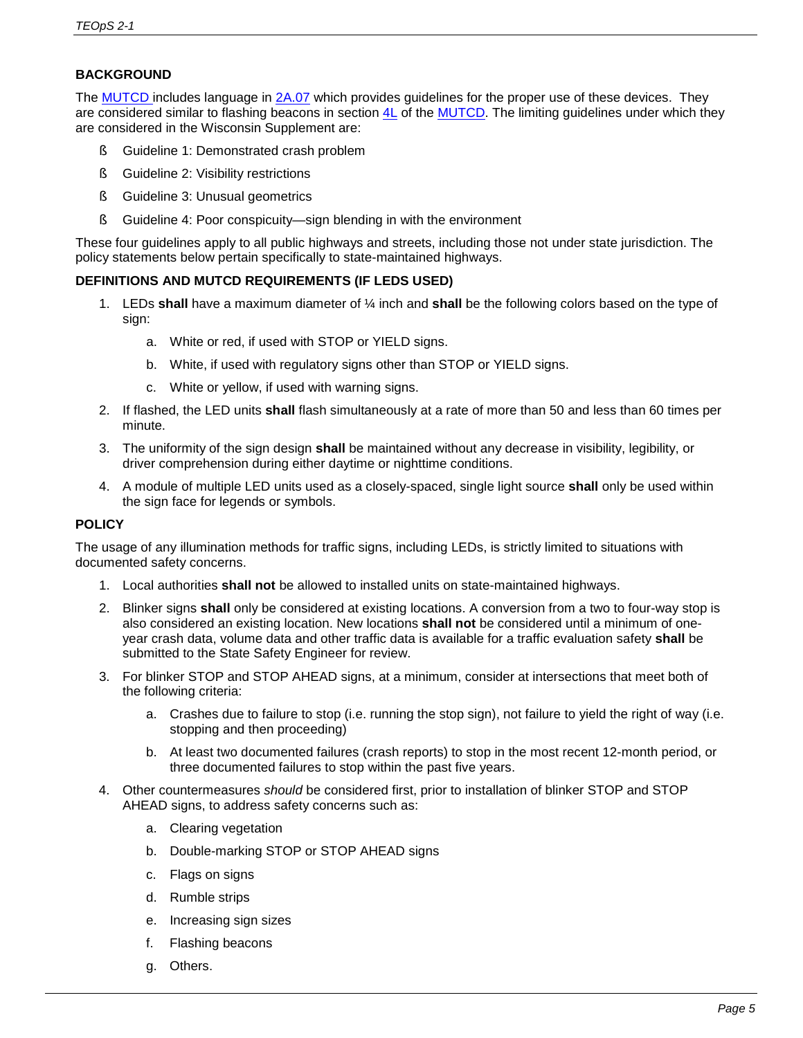# **BACKGROUND**

The [MUTCD in](https://wisconsindot.gov/Pages/doing-bus/local-gov/traffic-ops/manuals-and-standards/wmutcd/wmutcd.aspx)cludes language in [2A.07](https://wisconsindot.gov/dtsdManuals/traffic-ops/manuals-and-standards/wmutcd/mutcd-ch02a.pdf) which provides guidelines for the proper use of these devices. They are considered similar to flashing beacons in section [4L](https://wisconsindot.gov/dtsdManuals/traffic-ops/manuals-and-standards/wmutcd/mutcd-ch04.pdf) of the [MUTCD.](https://wisconsindot.gov/Pages/doing-bus/local-gov/traffic-ops/manuals-and-standards/wmutcd/wmutcd.aspx) The limiting guidelines under which they are considered in the Wisconsin Supplement are:

- § Guideline 1: Demonstrated crash problem
- § Guideline 2: Visibility restrictions
- § Guideline 3: Unusual geometrics
- § Guideline 4: Poor conspicuity—sign blending in with the environment

These four guidelines apply to all public highways and streets, including those not under state jurisdiction. The policy statements below pertain specifically to state-maintained highways.

# **DEFINITIONS AND MUTCD REQUIREMENTS (IF LEDS USED)**

- 1. LEDs **shall** have a maximum diameter of ¼ inch and **shall** be the following colors based on the type of sign:
	- a. White or red, if used with STOP or YIELD signs.
	- b. White, if used with regulatory signs other than STOP or YIELD signs.
	- c. White or yellow, if used with warning signs.
- 2. If flashed, the LED units **shall** flash simultaneously at a rate of more than 50 and less than 60 times per minute.
- 3. The uniformity of the sign design **shall** be maintained without any decrease in visibility, legibility, or driver comprehension during either daytime or nighttime conditions.
- 4. A module of multiple LED units used as a closely-spaced, single light source **shall** only be used within the sign face for legends or symbols.

# **POLICY**

The usage of any illumination methods for traffic signs, including LEDs, is strictly limited to situations with documented safety concerns.

- 1. Local authorities **shall not** be allowed to installed units on state-maintained highways.
- 2. Blinker signs **shall** only be considered at existing locations. A conversion from a two to four-way stop is also considered an existing location. New locations **shall not** be considered until a minimum of oneyear crash data, volume data and other traffic data is available for a traffic evaluation safety **shall** be submitted to the State Safety Engineer for review.
- 3. For blinker STOP and STOP AHEAD signs, at a minimum, consider at intersections that meet both of the following criteria:
	- a. Crashes due to failure to stop (i.e. running the stop sign), not failure to yield the right of way (i.e. stopping and then proceeding)
	- b. At least two documented failures (crash reports) to stop in the most recent 12-month period, or three documented failures to stop within the past five years.
- 4. Other countermeasures *should* be considered first, prior to installation of blinker STOP and STOP AHEAD signs, to address safety concerns such as:
	- a. Clearing vegetation
	- b. Double-marking STOP or STOP AHEAD signs
	- c. Flags on signs
	- d. Rumble strips
	- e. Increasing sign sizes
	- f. Flashing beacons
	- g. Others.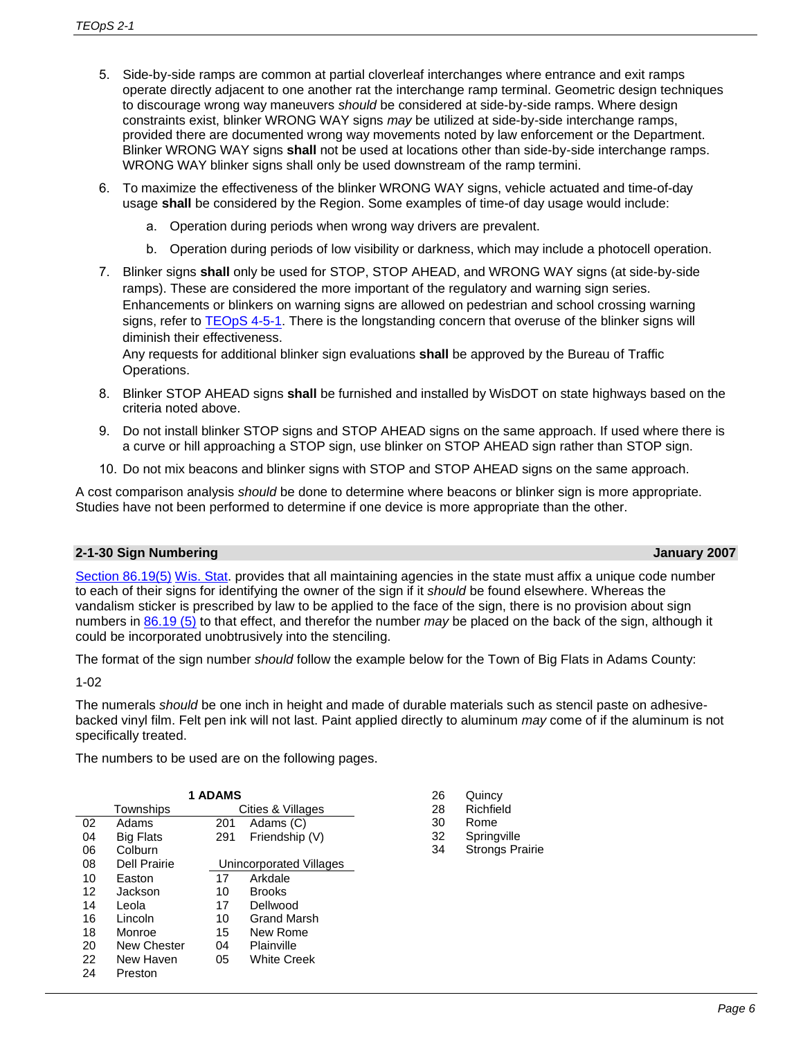- 5. Side-by-side ramps are common at partial cloverleaf interchanges where entrance and exit ramps operate directly adjacent to one another rat the interchange ramp terminal. Geometric design techniques to discourage wrong way maneuvers *should* be considered at side-by-side ramps. Where design constraints exist, blinker WRONG WAY signs *may* be utilized at side-by-side interchange ramps, provided there are documented wrong way movements noted by law enforcement or the Department. Blinker WRONG WAY signs **shall** not be used at locations other than side-by-side interchange ramps. WRONG WAY blinker signs shall only be used downstream of the ramp termini.
- 6. To maximize the effectiveness of the blinker WRONG WAY signs, vehicle actuated and time-of-day usage **shall** be considered by the Region. Some examples of time-of day usage would include:
	- a. Operation during periods when wrong way drivers are prevalent.
	- b. Operation during periods of low visibility or darkness, which may include a photocell operation.
- 7. Blinker signs **shall** only be used for STOP, STOP AHEAD, and WRONG WAY signs (at side-by-side ramps). These are considered the more important of the regulatory and warning sign series. Enhancements or blinkers on warning signs are allowed on pedestrian and school crossing warning signs, refer to [TEOpS 4-5-1.](https://wisconsindot.gov/dtsdManuals/traffic-ops/manuals-and-standards/teops/04-05.pdf#4-5-1) There is the longstanding concern that overuse of the blinker signs will diminish their effectiveness.

Any requests for additional blinker sign evaluations **shall** be approved by the Bureau of Traffic Operations.

- 8. Blinker STOP AHEAD signs **shall** be furnished and installed by WisDOT on state highways based on the criteria noted above.
- 9. Do not install blinker STOP signs and STOP AHEAD signs on the same approach. If used where there is a curve or hill approaching a STOP sign, use blinker on STOP AHEAD sign rather than STOP sign.
- 10. Do not mix beacons and blinker signs with STOP and STOP AHEAD signs on the same approach.

A cost comparison analysis *should* be done to determine where beacons or blinker sign is more appropriate. Studies have not been performed to determine if one device is more appropriate than the other.

#### **2-1-30 Sign Numbering January 2007**

[Section 86.19\(5\)](https://docs.legis.wisconsin.gov/statutes/statutes/86/19) [Wis. Stat.](http://docs.legis.wisconsin.gov/statutes/prefaces/toc) provides that all maintaining agencies in the state must affix a unique code number to each of their signs for identifying the owner of the sign if it *should* be found elsewhere. Whereas the vandalism sticker is prescribed by law to be applied to the face of the sign, there is no provision about sign numbers in [86.19 \(5\)](https://docs.legis.wisconsin.gov/statutes/statutes/86/19) to that effect, and therefor the number *may* be placed on the back of the sign, although it could be incorporated unobtrusively into the stenciling.

The format of the sign number *should* follow the example below for the Town of Big Flats in Adams County:

1-02

The numerals *should* be one inch in height and made of durable materials such as stencil paste on adhesivebacked vinyl film. Felt pen ink will not last. Paint applied directly to aluminum *may* come of if the aluminum is not specifically treated.

The numbers to be used are on the following pages.

| <b>1 ADAMS</b> |                                |     |                         |  |  |
|----------------|--------------------------------|-----|-------------------------|--|--|
|                | Cities & Villages<br>Townships |     |                         |  |  |
| 02             | Adams                          | 201 | Adams (C)               |  |  |
| 04             | <b>Big Flats</b>               | 291 | Friendship (V)          |  |  |
| 06             | Colburn                        |     |                         |  |  |
| 08             | Dell Prairie                   |     | Unincorporated Villages |  |  |
| 10             | Easton                         | 17  | Arkdale                 |  |  |
| 12             | Jackson                        | 10  | <b>Brooks</b>           |  |  |
| 14             | Leola                          | 17  | Dellwood                |  |  |
| 16             | Lincoln                        | 10  | Grand Marsh             |  |  |
| 18             | Monroe                         | 15  | New Rome                |  |  |
| 20             | New Chester                    | 04  | Plainville              |  |  |
| 22             | New Haven                      | 05  | White Creek             |  |  |
| 24             | Preston                        |     |                         |  |  |

| 26<br>28<br>30<br>32 | Quincy<br>Richfield<br>Rome<br>Springville |
|----------------------|--------------------------------------------|
| 34                   | <b>Strongs Prairie</b>                     |
|                      |                                            |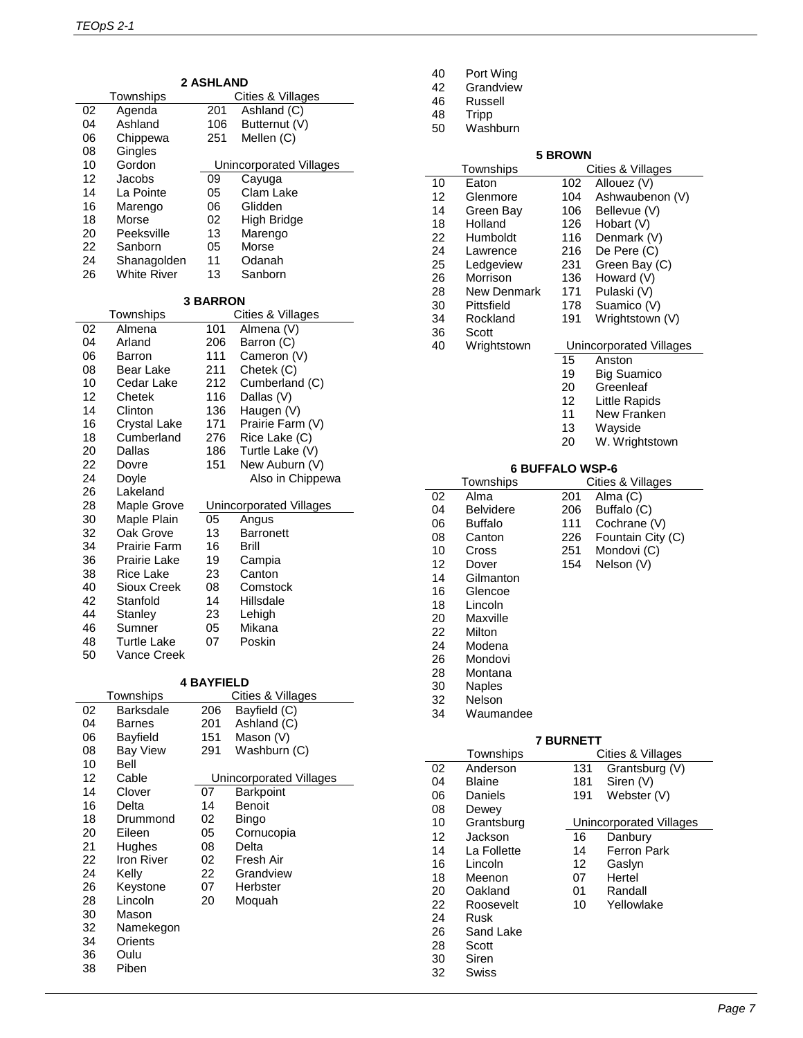| <b>2 ASHLAND</b> |                     |                   |                                |
|------------------|---------------------|-------------------|--------------------------------|
|                  | Townships           |                   | Cities & Villages              |
| 02               | Agenda              | 201               | $\overline{A}$ shland (C)      |
| 04               | Ashland             | 106               | Butternut (V)                  |
| 06               | Chippewa            | 251               | Mellen (C)                     |
| 08               | Gingles             |                   |                                |
| 10               | Gordon              |                   | <b>Unincorporated Villages</b> |
| 12               | Jacobs              | 09                | Cayuga                         |
| 14               | La Pointe           | 05                | Clam Lake                      |
| 16               | Marengo             | 06                | Glidden                        |
| 18               | Morse               | 02                | High Bridge                    |
| 20               | Peeksville          | 13                | Marengo                        |
| 22               | Sanborn             | 05                | Morse                          |
| 24               | Shanagolden         | 11                | Odanah                         |
| 26               | <b>White River</b>  | 13                | Sanborn                        |
|                  |                     |                   |                                |
|                  |                     | <b>3 BARRON</b>   |                                |
|                  | Townships           |                   | Cities & Villages              |
| 02               | Almena              | 101               | Almena (V)                     |
| 04               | Arland              | 206               | Barron (C)                     |
| 06               | Barron              | 111               | Cameron (V)                    |
| 08               | Bear Lake           | 211               | Chetek (C)                     |
| 10               | Cedar Lake          | 212               | Cumberland (C)                 |
| 12               | Chetek              | 116               | Dallas (V)                     |
| 14               | Clinton             | 136               | Haugen (V)                     |
| 16               | <b>Crystal Lake</b> | 171               | Prairie Farm (V)               |
| 18               | Cumberland          | 276               | Rice Lake (C)                  |
| 20               | Dallas              |                   |                                |
|                  |                     | 186               | Turtle Lake (V)                |
| 22<br>24         | Dovre               | 151               | New Auburn (V)                 |
|                  | Doyle               |                   | Also in Chippewa               |
| 26<br>28         | Lakeland            |                   |                                |
|                  | Maple Grove         |                   | Unincorporated Villages        |
| 30               | Maple Plain         | 05                | Angus                          |
| 32               | Oak Grove           | 13                | <b>Barronett</b>               |
| 34               | Prairie Farm        | 16                | Brill                          |
| 36               | Prairie Lake        | 19                | Campia                         |
| 38               | <b>Rice Lake</b>    | 23                | Canton                         |
| 40               | Sioux Creek         | 08                | Comstock                       |
| 42               | Stanfold            | 14                | Hillsdale                      |
| 44               | Stanley             | 23                | Lehigh                         |
| 46               | Sumner              | 05                | Mikana                         |
| 48               | Turtle Lake         | 07                | Poskin                         |
| 50               | Vance Creek         |                   |                                |
|                  |                     |                   |                                |
|                  | Townships           | <b>4 BAYFIELD</b> | Cities & Villages              |
| 02               | <b>Barksdale</b>    | 206               | Bayfield (C)                   |
| 04               | <b>Barnes</b>       | 201               | Ashland (C)                    |
| 06               | Bayfield            | 151               | Mason (V)                      |
| 08               | <b>Bay View</b>     | 291               | Washburn (C)                   |
| 10               | Bell                |                   |                                |
|                  |                     |                   |                                |

| 10 | Bell       |    |                         |
|----|------------|----|-------------------------|
| 12 | Cable      |    | Unincorporated Villages |
| 14 | Clover     | 07 | Barkpoint               |
| 16 | Delta      | 14 | Benoit                  |
| 18 | Drummond   | 02 | Bingo                   |
| 20 | Eileen     | 05 | Cornucopia              |
| 21 | Hughes     | 08 | Delta                   |
| 22 | Iron River | 02 | Fresh Air               |
| 24 | Kelly      | 22 | Grandview               |
| 26 | Keystone   | 07 | Herbster                |
| 28 | Lincoln    | 20 | Moquah                  |
| 30 | Mason      |    |                         |
| 32 | Namekegon  |    |                         |
| 34 | Orients    |    |                         |
| 36 | Oulu       |    |                         |
| 38 | Piben      |    |                         |

| 40 |  | Port Wing |
|----|--|-----------|
|----|--|-----------|

- Grandview
- Russell
- Tripp
- Washburn

# **5 BROWN**

|    | Townships              |                  | Cities & Villages                        |
|----|------------------------|------------------|------------------------------------------|
| 10 | Eaton                  | 102              | Allouez (V)                              |
| 12 | Glenmore               | 104              | Ashwaubenon (V)                          |
| 14 | Green Bay              | 106              | Bellevue (V)                             |
| 18 | Holland                | 126              | Hobart (V)                               |
| 22 | Humboldt               | 116              | Denmark (V)                              |
| 24 | Lawrence               | 216              | De Pere (C)                              |
| 25 | Ledgeview              | 231              | Green Bay (C)                            |
| 26 | Morrison               | 136              |                                          |
|    |                        |                  | Howard (V)                               |
| 28 | <b>New Denmark</b>     | 171              | Pulaski (V)                              |
| 30 | Pittsfield             | 178              | Suamico (V)                              |
| 34 | Rockland               | 191              | Wrightstown (V)                          |
| 36 | Scott                  |                  |                                          |
| 40 | Wrightstown            | 15               | <b>Unincorporated Villages</b><br>Anston |
|    |                        |                  |                                          |
|    |                        | 19               | <b>Big Suamico</b>                       |
|    |                        | 20               | Greenleaf                                |
|    |                        | 12               | Little Rapids                            |
|    |                        | 11               | New Franken                              |
|    |                        | 13               | Wayside                                  |
|    |                        | 20               | W. Wrightstown                           |
|    |                        |                  |                                          |
|    | <b>6 BUFFALO WSP-6</b> |                  |                                          |
|    | Townships              |                  | Cities & Villages                        |
| 02 | Alma                   | 201              | Alma (C)                                 |
| 04 | <b>Belvidere</b>       | 206              | Buffalo (C)                              |
| 06 | <b>Buffalo</b>         | 111              | Cochrane (V)                             |
| 08 | Canton                 | 226              | Fountain City (C)                        |
| 10 | Cross                  | 251              | Mondovi (C)                              |
| 12 | Dover                  | 154              | Nelson (V)                               |
| 14 | Gilmanton              |                  |                                          |
| 16 | Glencoe                |                  |                                          |
| 18 | Lincoln                |                  |                                          |
| 20 | Maxville               |                  |                                          |
| 22 | Milton                 |                  |                                          |
|    |                        |                  |                                          |
| 24 | Modena                 |                  |                                          |
| 26 | Mondovi                |                  |                                          |
| 28 | Montana                |                  |                                          |
| 30 | <b>Naples</b>          |                  |                                          |
| 32 | <b>Nelson</b>          |                  |                                          |
| 34 | Waumandee              |                  |                                          |
|    |                        |                  |                                          |
|    |                        | <b>7 BURNETT</b> |                                          |
| 02 | Townships<br>Anderson  |                  | Cities & Villages                        |
| 04 | <b>Blaine</b>          | 131<br>181       | Grantsburg (V)                           |
|    |                        |                  | Siren (V)                                |
| 06 | Daniels                | 191              | Webster (V)                              |
| 08 | Dewey                  |                  |                                          |
| 10 | Grantsburg             |                  | <b>Unincorporated Villages</b>           |
| 12 | Jackson                | 16               | Danbury                                  |
| 14 | La Follette            | 14               | Ferron Park                              |
| 16 | Lincoln                | 12               | Gaslyn                                   |
| 18 | Meenon                 | 07               | Hertel                                   |
| 20 | Oakland                | 01               | Randall                                  |
| 22 | Roosevelt              | 10               | Yellowlake                               |
| 24 | Rusk                   |                  |                                          |
| 26 | Sand Lake              |                  |                                          |
| 28 | Scott                  |                  |                                          |
| 30 | Siren                  |                  |                                          |
|    |                        |                  |                                          |
| 32 | Swiss                  |                  |                                          |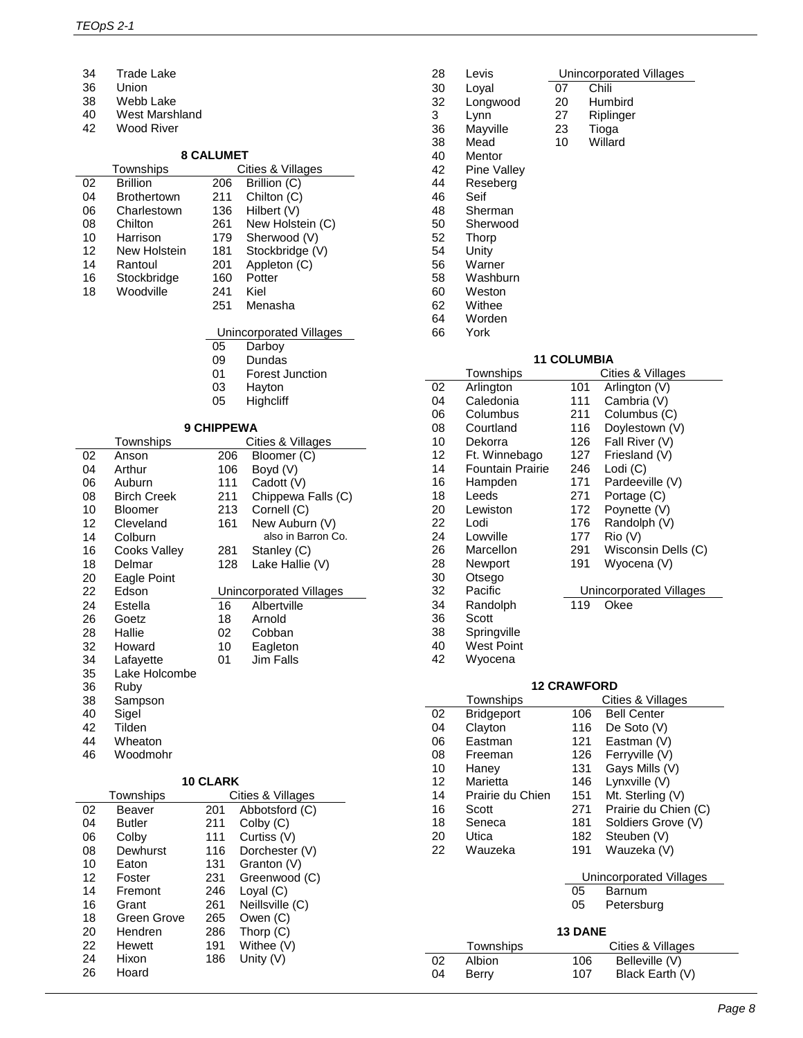Ļ.

- 34 Trade Lake<br>36 Union
- Union
- 38 Webb Lake<br>40 West Marsh
- 40 West Marshland<br>42 Wood River
- Wood River

# **8 CALUMET**

|    |                     | 8 CALUME I        |                                |
|----|---------------------|-------------------|--------------------------------|
|    | Townships           |                   | Cities & Villages              |
| 02 | <b>Brillion</b>     | 206               | Brillion (C)                   |
| 04 | <b>Brothertown</b>  | 211               | Chilton (C)                    |
| 06 | Charlestown         | 136               | Hilbert (V)                    |
| 08 | Chilton             | 261               | New Holstein (C)               |
| 10 | Harrison            | 179               | Sherwood (V)                   |
| 12 | New Holstein        | 181               | Stockbridge (V)                |
| 14 | Rantoul             | 201               | Appleton (C)                   |
| 16 | Stockbridge         | 160               | Potter                         |
| 18 | Woodville           | 241               | Kiel                           |
|    |                     | 251               | Menasha                        |
|    |                     |                   | Unincorporated Villages        |
|    |                     | 05                | Darboy                         |
|    |                     | 09                | Dundas                         |
|    |                     | 01                | <b>Forest Junction</b>         |
|    |                     | 03                | Hayton                         |
|    |                     | 05                | Highcliff                      |
|    |                     |                   |                                |
|    |                     | <b>9 CHIPPEWA</b> |                                |
|    | Townships           |                   | <b>Cities &amp; Villages</b>   |
| 02 | Anson               | 206               | Bloomer (C)                    |
| 04 | Arthur              | 106               | Boyd (V)                       |
| 06 | Auburn              | 111               | Cadott (V)                     |
| 08 | <b>Birch Creek</b>  | 211               | Chippewa Falls (C)             |
| 10 | Bloomer             | 213               | Cornell (C)                    |
| 12 | Cleveland           | 161               | New Auburn (V)                 |
| 14 | Colburn             |                   | also in Barron Co.             |
| 16 | <b>Cooks Valley</b> | 281               | Stanley (C)                    |
| 18 | Delmar              | 128               | Lake Hallie (V)                |
| 20 | Eagle Point         |                   |                                |
| 22 | Edson               |                   | <b>Unincorporated Villages</b> |
| 24 | Estella             | 16                | Albertville                    |
| 26 | Goetz               | 18                | Arnold                         |
| 28 | Hallie              | 02                | Cobban                         |
| 32 | Howard              | 10                | Eagleton                       |
| 34 | Lafayette           | 01                | Jim Falls                      |
| 35 | Lake Holcombe       |                   |                                |
| 36 | Ruby                |                   |                                |
| 38 | Sampson             |                   |                                |
| 40 | Sigel               |                   |                                |
| 42 | Tilden              |                   |                                |
| 44 | Wheaton             |                   |                                |
| 46 | Woodmohr            |                   |                                |
|    |                     | <b>10 CLARK</b>   |                                |
|    | Townships           |                   | Cities & Villages              |
| 02 | Beaver              | 201               | Abbotsford (C)                 |
| 04 | Butler              | 211               | Colby (C)                      |

 Colby 111 Curtiss (V) 08 Dewhurst 116 Dorchester (V)<br>10 Eaton 131 Granton (V) 10 Eaton 131 Granton (V)<br>12 Foster 231 Greenwood 12 Foster 231 Greenwood (C)<br>14 Fremont 246 Loyal (C) 14 Fremont 246 Loyal (C)<br>16 Grant 261 Neillsville 16 Grant 261 Neillsville (C)<br>18 Green Grove 265 Owen (C)

20 Hendren 286 Thorp (C)<br>22 Hewett 191 Withee (V 22 Hewett 191 Withee (V)<br>24 Hixon 186 Unity (V) 24 Hixon 186 Unity (V)<br>26 Hoard

18 Green Grove 265<br>20 Hendren 286

Hoard

÷,

| 28 | Levis       |    | Unincorporated Villages |
|----|-------------|----|-------------------------|
| 30 | Loyal       | 07 | Chili                   |
| 32 | Longwood    | 20 | Humbird                 |
| 3  | Lynn        | 27 | Riplinger               |
| 36 | Mayville    | 23 | Tioga                   |
| 38 | Mead        | 10 | Willard                 |
| 40 | Mentor      |    |                         |
| 42 | Pine Valley |    |                         |
| 44 | Reseberg    |    |                         |
| 46 | Seif        |    |                         |
| 48 | Sherman     |    |                         |
| 50 | Sherwood    |    |                         |
| 52 | Thorp       |    |                         |
| 54 | Unity       |    |                         |
| 56 | Warner      |    |                         |
| 58 | Washburn    |    |                         |
| 60 | Weston      |    |                         |
| 62 | Withee      |    |                         |
| 64 | Worden      |    |                         |

64 Worden<br>66 York York

#### **11 COLUMBIA**

|    | Townships               |     | Cities & Villages       |
|----|-------------------------|-----|-------------------------|
| 02 | Arlington               | 101 | Arlington (V)           |
| 04 | Caledonia               | 111 | Cambria (V)             |
| 06 | Columbus                | 211 | Columbus (C)            |
| 08 | Courtland               | 116 | Doylestown (V)          |
| 10 | Dekorra                 | 126 | Fall River (V)          |
| 12 | Ft. Winnebago           | 127 | Friesland (V)           |
| 14 | <b>Fountain Prairie</b> | 246 | Lodi (C)                |
| 16 | Hampden                 | 171 | Pardeeville (V)         |
| 18 | Leeds                   | 271 | Portage (C)             |
| 20 | Lewiston                | 172 | Poynette (V)            |
| 22 | Lodi                    | 176 | Randolph (V)            |
| 24 | Lowville                | 177 | Rio (V)                 |
| 26 | Marcellon               | 291 | Wisconsin Dells (C)     |
| 28 | Newport                 | 191 | Wyocena (V)             |
| 30 | Otsego                  |     |                         |
| 32 | Pacific                 |     | Unincorporated Villages |
| 34 | Randolph                | 119 | Okee                    |
| 36 | Scott                   |     |                         |
| 38 | Springville             |     |                         |
| 40 | <b>West Point</b>       |     |                         |
| 42 | Wyocena                 |     |                         |

# **12 CRAWFORD**

|    | Townships        |                | Cities & Villages       |
|----|------------------|----------------|-------------------------|
| 02 | Bridgeport       | 106            | Bell Center             |
| 04 | Clayton          | 116            | De Soto (V)             |
| 06 | Eastman          | 121            | Eastman (V)             |
| 08 | Freeman          | 126            | Ferryville (V)          |
| 10 | Hanev            | 131            | Gays Mills (V)          |
| 12 | Marietta         | 146            | Lynxville (V)           |
| 14 | Prairie du Chien | 151            | Mt. Sterling (V)        |
| 16 | Scott            | 271            | Prairie du Chien (C)    |
| 18 | Seneca           | 181            | Soldiers Grove (V)      |
| 20 | Utica            | 182            | Steuben (V)             |
| 22 | Wauzeka          | 191            | Wauzeka (V)             |
|    |                  |                | Unincorporated Villages |
|    |                  | 05             | Barnum                  |
|    |                  | 05             | Petersburg              |
|    |                  | <b>13 DANE</b> |                         |
|    | Townships        |                | Cities & Villages       |
| 02 | Albion           | 106            | Belleville (V)          |
| 04 | Berry            | 107            | Black Earth (V)         |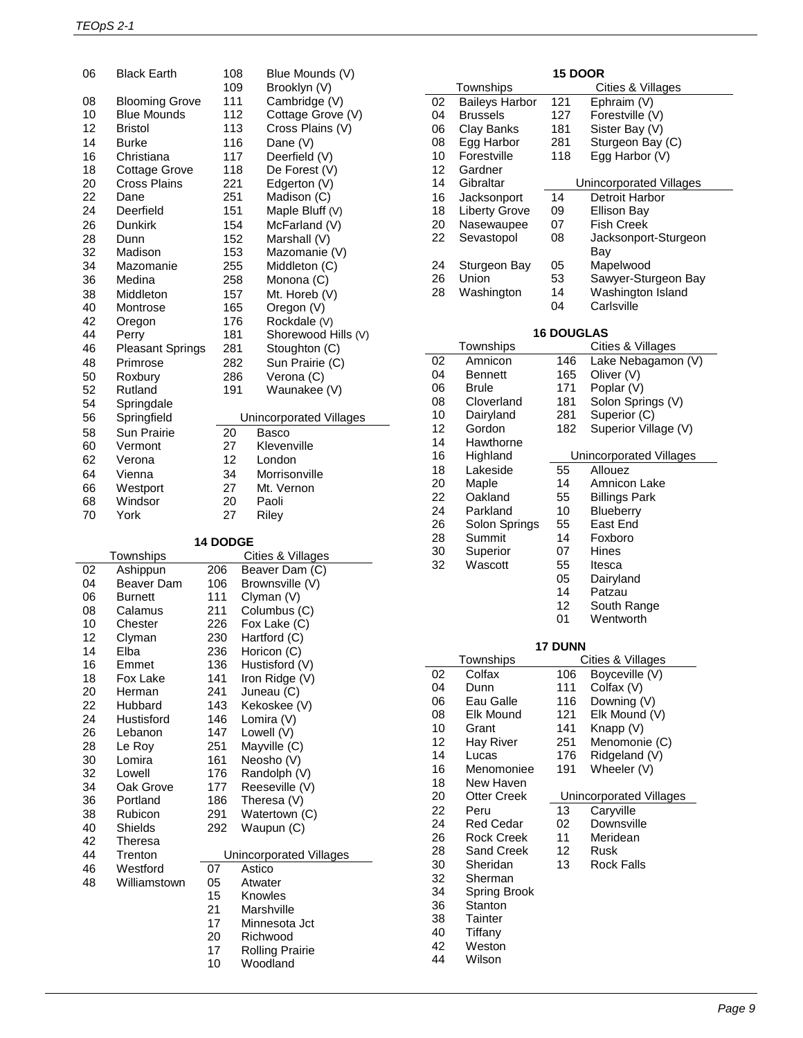| 06 | <b>Black Earth</b>      | 108 | Blue Mounds (V)         |
|----|-------------------------|-----|-------------------------|
|    |                         | 109 | Brooklyn (V)            |
| 08 | <b>Blooming Grove</b>   | 111 | Cambridge (V)           |
| 10 | <b>Blue Mounds</b>      | 112 | Cottage Grove (V)       |
| 12 | Bristol                 | 113 | Cross Plains (V)        |
| 14 | <b>Burke</b>            | 116 | Dane (V)                |
| 16 | Christiana              | 117 | Deerfield (V)           |
| 18 | Cottage Grove           | 118 | De Forest (V)           |
| 20 | Cross Plains            | 221 | Edgerton (V)            |
| 22 | Dane                    | 251 | Madison (C)             |
| 24 | Deerfield               | 151 | Maple Bluff (V)         |
| 26 | <b>Dunkirk</b>          | 154 | McFarland (V)           |
| 28 | Dunn                    | 152 | Marshall (V)            |
| 32 | Madison                 | 153 | Mazomanie (V)           |
| 34 | Mazomanie               | 255 | Middleton (C)           |
| 36 | Medina                  | 258 | Monona (C)              |
| 38 | Middleton               | 157 | Mt. Horeb (V)           |
| 40 | Montrose                | 165 | Oregon (V)              |
| 42 | Oregon                  | 176 | Rockdale (V)            |
| 44 | Perry                   | 181 | Shorewood Hills (V)     |
| 46 | <b>Pleasant Springs</b> | 281 | Stoughton (C)           |
| 48 | Primrose                | 282 | Sun Prairie (C)         |
| 50 | Roxbury                 | 286 | Verona (C)              |
| 52 | Rutland                 | 191 | Waunakee (V)            |
| 54 | Springdale              |     |                         |
| 56 | Springfield             |     | Unincorporated Villages |
| 58 | Sun Prairie             | 20  | Basco                   |
| 60 | Vermont                 | 27  | Klevenville             |
| 62 | Verona                  | 12  | London                  |
| 64 | Vienna                  | 34  | Morrisonville           |
| 66 | Westport                | 27  | Mt. Vernon              |
| 68 | Windsor                 | 20  | Paoli                   |
| 70 | York                    | 27  | <b>Riley</b>            |
|    |                         |     |                         |

# **14 DODGE**

|    | Townships      |     | Cities & Villages       |
|----|----------------|-----|-------------------------|
| 02 | Ashippun       | 206 | Beaver Dam (C)          |
| 04 | Beaver Dam     | 106 | Brownsville (V)         |
| 06 | <b>Burnett</b> | 111 | Clyman (V)              |
| 08 | Calamus        | 211 | Columbus (C)            |
| 10 | Chester        | 226 | Fox Lake (C)            |
| 12 | Clyman         | 230 | Hartford (C)            |
| 14 | Elba           | 236 | Horicon (C)             |
| 16 | Emmet          | 136 | Hustisford (V)          |
| 18 | Fox Lake       | 141 | Iron Ridge (V)          |
| 20 | Herman         | 241 | Juneau (C)              |
| 22 | Hubbard        | 143 | Kekoskee (V)            |
| 24 | Hustisford     | 146 | Lomira (V)              |
| 26 | Lebanon        | 147 | Lowell (V)              |
| 28 | Le Roy         | 251 | Mayville (C)            |
| 30 | Lomira         | 161 | Neosho (V)              |
| 32 | Lowell         | 176 | Randolph (V)            |
| 34 | Oak Grove      | 177 | Reeseville (V)          |
| 36 | Portland       | 186 | Theresa (V)             |
| 38 | Rubicon        | 291 | Watertown (C)           |
| 40 | Shields        | 292 | Waupun (C)              |
| 42 | Theresa        |     |                         |
| 44 | Trenton        |     | Unincorporated Villages |
| 46 | Westford       | 07  | Astico                  |
| 48 | Williamstown   | 05  | Atwater                 |
|    |                | 15  | Knowles                 |
|    |                | 21  | Marshville              |
|    |                | 17  | Minnesota Jct           |
|    |                | 20  | Richwood                |
|    |                | 17  | <b>Rolling Prairie</b>  |
|    |                | 10  | Woodland                |
|    |                |     |                         |

| 15 DOOR |                       |                   |                                |
|---------|-----------------------|-------------------|--------------------------------|
|         | Townships             |                   | Cities & Villages              |
| 02      | <b>Baileys Harbor</b> | 121               | Ephraim (V)                    |
| 04      | <b>Brussels</b>       | 127               | Forestville (V)                |
| 06      | Clay Banks            | 181               | Sister Bay (V)                 |
| 08      | Egg Harbor            | 281               | Sturgeon Bay (C)               |
| 10      | Forestville           | 118               | Egg Harbor (V)                 |
| 12      | Gardner               |                   |                                |
| 14      | Gibraltar             |                   |                                |
|         |                       |                   | Unincorporated Villages        |
| 16      | Jacksonport           | 14                | Detroit Harbor                 |
| 18      | <b>Liberty Grove</b>  | 09                | <b>Ellison Bay</b>             |
| 20      | Nasewaupee            | 07                | <b>Fish Creek</b>              |
| 22      | Sevastopol            | 08                | Jacksonport-Sturgeon           |
|         |                       |                   | Bay                            |
| 24      | Sturgeon Bay          | 05                | Mapelwood                      |
| 26      | Union                 | 53                | Sawyer-Sturgeon Bay            |
| 28      | Washington            | 14                | Washington Island              |
|         |                       | 04                | Carlsville                     |
|         |                       |                   |                                |
|         |                       | <b>16 DOUGLAS</b> |                                |
|         |                       |                   | Cities & Villages              |
|         | Townships             |                   |                                |
| 02      | Amnicon               | 146               | Lake Nebagamon (V)             |
| 04      | Bennett               | 165               | Oliver (V)                     |
| 06      | Brule                 | 171               | Poplar (V)                     |
| 08      | Cloverland            | 181               | Solon Springs (V)              |
| 10      | Dairyland             | 281               | Superior (C)                   |
| 12      | Gordon                | 182               | Superior Village (V)           |
| 14      | Hawthorne             |                   |                                |
| 16      | Highland              |                   | Unincorporated Villages        |
| 18      | Lakeside              | 55                | Allouez                        |
| 20      |                       | 14                |                                |
|         | Maple                 |                   | Amnicon Lake                   |
| 22      | Oakland               | 55                | <b>Billings Park</b>           |
| 24      | Parkland              | 10                | Blueberry                      |
| 26      | Solon Springs         | 55                | East End                       |
| 28      | Summit                | 14                | Foxboro                        |
| 30      | Superior              | 07                | Hines                          |
| 32      | Wascott               | 55                | Itesca                         |
|         |                       | 05                | Dairyland                      |
|         |                       | 14                | Patzau                         |
|         |                       | 12                | South Range                    |
|         |                       | 01                | Wentworth                      |
|         |                       |                   |                                |
|         |                       | <b>17 DUNN</b>    |                                |
|         | Townships             |                   | Cities & Villages              |
|         |                       |                   |                                |
| 02      | Colfax                | 106               | Boyceville (V)                 |
| 04      | Dunn                  | 111               | Colfax (V)                     |
| 06      | Eau Galle             | 116               | Downing (V)                    |
| 08      | <b>Elk Mound</b>      | 121               | Elk Mound (V)                  |
| 10      | Grant                 | 141               | Knapp (V)                      |
| 12      | Hay River             | 251               | Menomonie (C)                  |
| 14      | Lucas                 | 176               | Ridgeland (V)                  |
| 16      | Menomoniee            | 191               | Wheeler (V)                    |
| 18      | New Haven             |                   |                                |
| 20      | Otter Creek           |                   | <b>Unincorporated Villages</b> |
| 22      | Peru                  | 13                | Caryville                      |
|         |                       |                   |                                |
| 24      | <b>Red Cedar</b>      | 02                | Downsville                     |
| 26      | <b>Rock Creek</b>     | 11                | Meridean                       |
| 28      | Sand Creek            | 12                | Rusk                           |
| 30      | Sheridan              | 13                | <b>Rock Falls</b>              |
| 32      | Sherman               |                   |                                |
| 34      | Spring Brook          |                   |                                |
| 36      | Stanton               |                   |                                |
| 38      | Tainter               |                   |                                |
| 40      | Tiffany               |                   |                                |
| 42      | Weston                |                   |                                |
| 44      | Wilson                |                   |                                |
|         |                       |                   |                                |
|         |                       |                   |                                |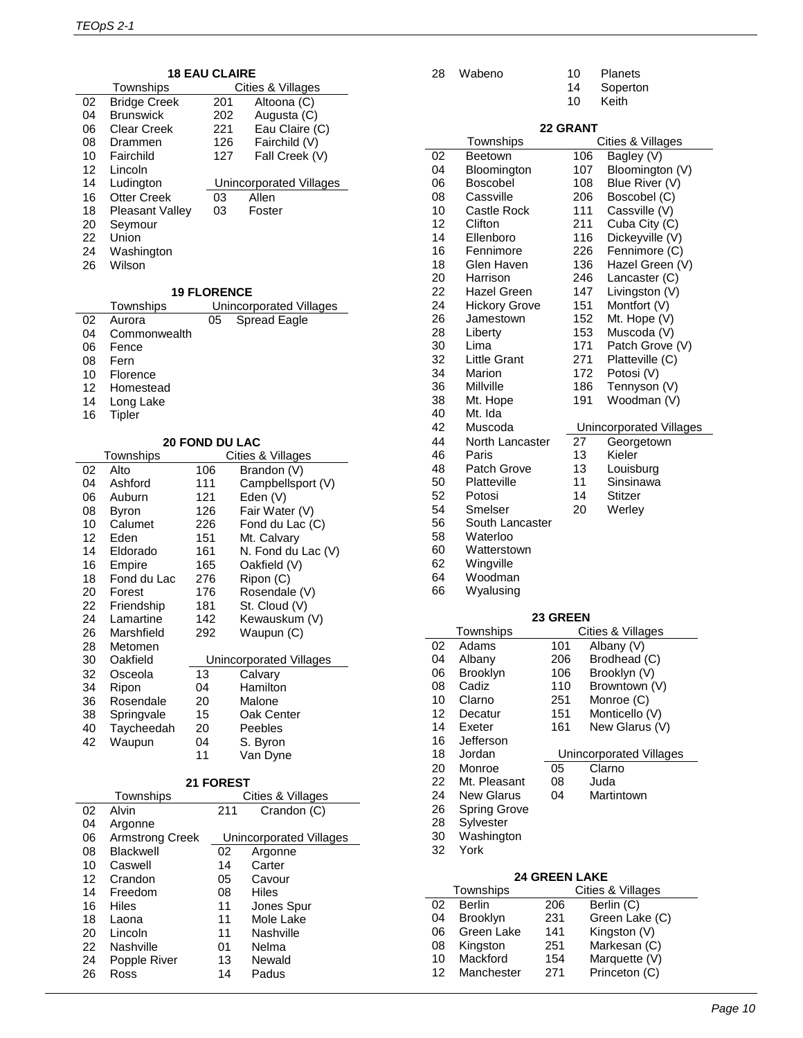|  |  | <b>18 EAU CLAIRE</b> |  |
|--|--|----------------------|--|
|--|--|----------------------|--|

|    | Townships              |     | Cities & Villages       |
|----|------------------------|-----|-------------------------|
| 02 | <b>Bridge Creek</b>    | 201 | Altoona (C)             |
| 04 | <b>Brunswick</b>       | 202 | Augusta (C)             |
| 06 | Clear Creek            | 221 | Eau Claire (C)          |
| 08 | Drammen                | 126 | Fairchild (V)           |
| 10 | Fairchild              | 127 | Fall Creek (V)          |
| 12 | Lincoln                |     |                         |
|    |                        |     |                         |
| 14 | Ludington              |     | Unincorporated Villages |
| 16 | Otter Creek            | 03  | Allen                   |
| 18 | <b>Pleasant Valley</b> | 03  | Foster                  |
| 20 | Seymour                |     |                         |
| 22 | Union                  |     |                         |
| 24 | Washington             |     |                         |

#### **19 FLORENCE**

|    | Townships    |    | Unincorporated Villages |
|----|--------------|----|-------------------------|
| 02 | Aurora       | 05 | Spread Eagle            |
| 04 | Commonwealth |    |                         |
| 06 | Fence        |    |                         |
| 08 | Fern         |    |                         |
| 10 | Florence     |    |                         |
| 12 | Homestead    |    |                         |
| 14 | Long Lake    |    |                         |
| 16 | Tipler       |    |                         |

# **20 FOND DU LAC**

|    | Townships   |     | Cities & Villages       |
|----|-------------|-----|-------------------------|
| 02 | Alto        | 106 | Brandon (V)             |
| 04 | Ashford     | 111 | Campbellsport (V)       |
| 06 | Auburn      | 121 | Eden (V)                |
| 08 | Byron       | 126 | Fair Water (V)          |
| 10 | Calumet     | 226 | Fond du Lac (C)         |
| 12 | Eden        | 151 | Mt. Calvary             |
| 14 | Eldorado    | 161 | N. Fond du Lac (V)      |
| 16 | Empire      | 165 | Oakfield (V)            |
| 18 | Fond du Lac | 276 | Ripon (C)               |
| 20 | Forest      | 176 | Rosendale (V)           |
| 22 | Friendship  | 181 | St. Cloud (V)           |
| 24 | Lamartine   | 142 | Kewauskum (V)           |
| 26 | Marshfield  | 292 | Waupun (C)              |
| 28 | Metomen     |     |                         |
| 30 | Oakfield    |     | Unincorporated Villages |
| 32 | Osceola     | 13  | Calvary                 |
| 34 | Ripon       | 04  | Hamilton                |
| 36 | Rosendale   | 20  | Malone                  |
| 38 | Springvale  | 15  | Oak Center              |
| 40 | Taycheedah  | 20  | Peebles                 |
| 42 | Waupun      | 04  | S. Byron                |
|    |             | 11  | Van Dyne                |
|    |             |     |                         |

#### **21 FOREST**

|    | Townships              |     | Cities & Villages       |
|----|------------------------|-----|-------------------------|
| 02 | Alvin                  | 211 | Crandon (C)             |
| 04 | Argonne                |     |                         |
| 06 | <b>Armstrong Creek</b> |     | Unincorporated Villages |
| 08 | <b>Blackwell</b>       | 02  | Argonne                 |
| 10 | Caswell                | 14  | Carter                  |
| 12 | Crandon                | 05  | Cavour                  |
| 14 | Freedom                | 08  | Hiles                   |
| 16 | Hiles                  | 11  | Jones Spur              |
| 18 | Laona                  | 11  | Mole Lake               |
| 20 | Lincoln                | 11  | Nashville               |
| 22 | Nashville              | 01  | Nelma                   |
| 24 | Popple River           | 13  | Newald                  |
| 26 | Ross                   | 14  | Padus                   |

| 28 | Wabeno | 10 | Planets |
|----|--------|----|---------|
|----|--------|----|---------|

- Soperton
- Keith

# **22 GRANT**

|    |                      |          | 22 GRANT |                         |
|----|----------------------|----------|----------|-------------------------|
|    | Townships            |          |          | Cities & Villages       |
| 02 | Beetown              |          | 106      | Bagley (V)              |
| 04 | Bloomington          |          | 107      | Bloomington (V)         |
| 06 | <b>Boscobel</b>      |          | 108      | Blue River (V)          |
| 08 | Cassville            |          | 206      | Boscobel (C)            |
| 10 | Castle Rock          |          | 111      | Cassville (V)           |
| 12 | Clifton              |          | 211      | Cuba City (C)           |
| 14 | Ellenboro            |          | 116      | Dickeyville (V)         |
| 16 | Fennimore            |          | 226      | Fennimore (C)           |
| 18 | Glen Haven           |          | 136      | Hazel Green (V)         |
| 20 | Harrison             |          | 246      | Lancaster (C)           |
| 22 | <b>Hazel Green</b>   |          | 147      | Livingston (V)          |
| 24 | <b>Hickory Grove</b> |          | 151      | Montfort (V)            |
| 26 | Jamestown            |          | 152      | Mt. Hope (V)            |
| 28 | Liberty              |          | 153      | Muscoda (V)             |
| 30 | Lima                 |          | 171      | Patch Grove (V)         |
| 32 | <b>Little Grant</b>  |          | 271      | Platteville (C)         |
| 34 | Marion               |          | 172      | Potosi (V)              |
| 36 | Millville            |          | 186      | Tennyson (V)            |
| 38 | Mt. Hope             |          | 191      | Woodman (V)             |
| 40 | Mt. Ida              |          |          |                         |
| 42 | Muscoda              |          |          | Unincorporated Villages |
| 44 | North Lancaster      |          | 27       | Georgetown              |
| 46 | Paris                |          | 13       | Kieler                  |
| 48 | Patch Grove          |          | 13       | Louisburg               |
| 50 | Platteville          |          | 11       | Sinsinawa               |
| 52 |                      |          | 14       | <b>Stitzer</b>          |
|    | Potosi               |          |          |                         |
| 54 | Smelser              |          | 20       | Werley                  |
| 56 | South Lancaster      |          |          |                         |
| 58 | Waterloo             |          |          |                         |
| 60 | Watterstown          |          |          |                         |
| 62 | Wingville            |          |          |                         |
| 64 | Woodman              |          |          |                         |
| 66 | Wyalusing            |          |          |                         |
|    |                      |          |          |                         |
|    |                      | 23 GREEN |          |                         |
|    | Townships<br>Adams   |          |          | Cities & Villages       |
| 02 |                      | 101      |          | Albany (V)              |
| 04 | Albany               | 206      |          | Brodhead (C)            |
| 06 | Brooklyn             | 106      |          | Brooklyn (V)            |
| 08 | Cadiz                | 110      |          | Browntown (V)           |
| 10 | Clarno               | 251      |          | Monroe (C)              |
| 12 | Decatur              | 151      |          | Monticello (V)          |
| 14 | Exeter               | 161      |          | New Glarus (V)          |
| 16 | Jefferson            |          |          |                         |
| 18 | Jordan               |          |          | Unincorporated Villages |
| 20 | Monroe               | 05       |          | Clarno                  |
| 22 | Mt. Pleasant         | 08       |          | Juda                    |
| 24 | <b>New Glarus</b>    | 04       |          | Martintown              |
| 26 | <b>Spring Grove</b>  |          |          |                         |
| 28 | Sylvester            |          |          |                         |
| 30 | Washington           |          |          |                         |
| 32 | York                 |          |          |                         |
|    |                      |          |          |                         |

# **24 GREEN LAKE**

| Townships |                 |     | Cities & Villages |
|-----------|-----------------|-----|-------------------|
| 02        | <b>Berlin</b>   | 206 | Berlin (C)        |
| 04        | <b>Brooklyn</b> | 231 | Green Lake (C)    |
| 06        | Green Lake      | 141 | Kingston (V)      |
| 08        | Kingston        | 251 | Markesan (C)      |
| 10        | Mackford        | 154 | Marquette (V)     |
| 12        | Manchester      | 271 | Princeton (C)     |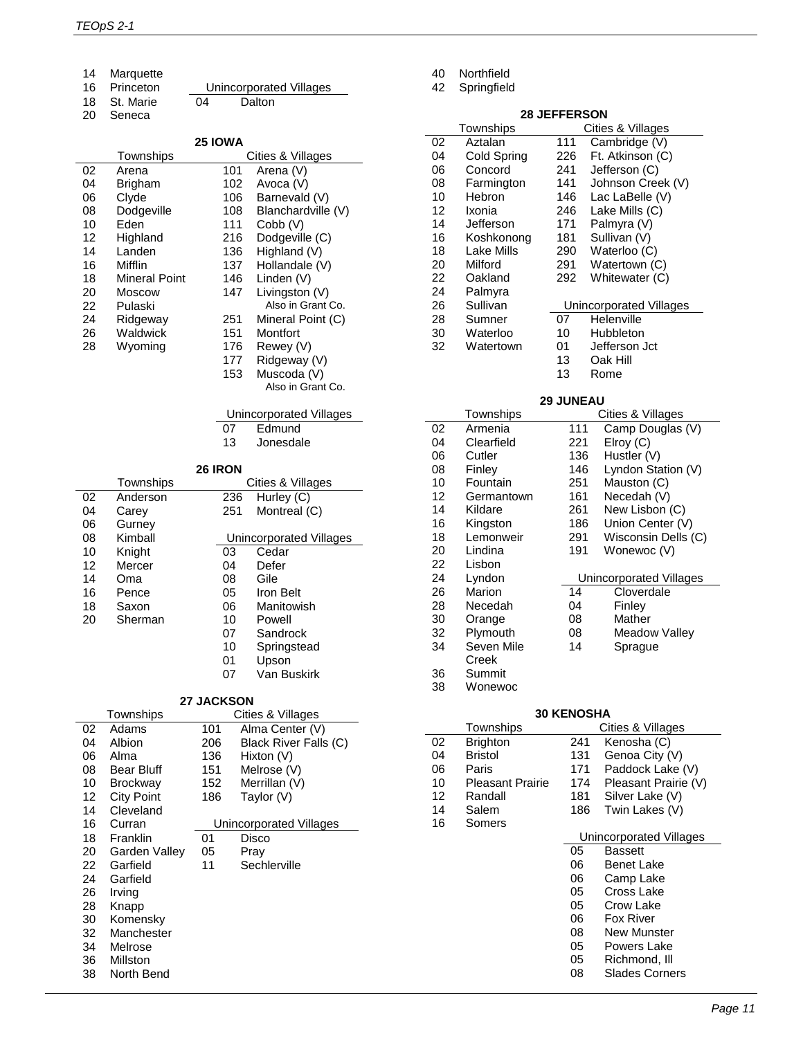Marquette

| 16 Princeton |    | <b>Unincorporated Villages</b> |  |
|--------------|----|--------------------------------|--|
| 18 St. Marie | 04 | Dalton                         |  |

Seneca

#### **25 IOWA**

|    | Townships            |     | Cities & Villages  |
|----|----------------------|-----|--------------------|
| 02 | Arena                | 101 | Arena (V)          |
| 04 | Brigham              | 102 | Avoca (V)          |
| 06 | Clyde                | 106 | Barnevald (V)      |
| 08 | Dodgeville           | 108 | Blanchardville (V) |
| 10 | Eden                 | 111 | Cobb (V)           |
| 12 | Highland             | 216 | Dodgeville (C)     |
| 14 | Landen               | 136 | Highland (V)       |
| 16 | Mifflin              | 137 | Hollandale (V)     |
| 18 | <b>Mineral Point</b> | 146 | Linden (V)         |
| 20 | Moscow               | 147 | Livingston (V)     |
| 22 | Pulaski              |     | Also in Grant Co.  |
| 24 | Ridgeway             | 251 | Mineral Point (C)  |
| 26 | Waldwick             | 151 | Montfort           |
| 28 | Wyoming              | 176 | Rewey (V)          |
|    |                      | 177 | Ridgeway (V)       |
|    |                      | 153 | Muscoda (V)        |

| TUZ | AVOCA (V)          |
|-----|--------------------|
| 106 | Barnevald (V)      |
| 108 | Blanchardville (V) |
| 111 | Cobb (V)           |
| 216 | Dodgeville (C)     |
| 136 | Highland (V)       |
| 137 | Hollandale (V)     |
| 146 | Linden (V)         |
| 147 | Livingston (V)     |
|     | Also in Grant Co.  |
| 251 | Mineral Point (C)  |
| 151 | Montfort           |
| 176 | Rewey (V)          |
| 177 | Ridgeway (V)       |
| 152 | Muecode/M          |

 Muscoda (V) Also in Grant Co.

|    | Unincorporated Villages |  |
|----|-------------------------|--|
| 07 | Edmund                  |  |

Jonesdale

#### **26 IRON**

|    | Townships |     | Cities & Villages       |
|----|-----------|-----|-------------------------|
| 02 | Anderson  | 236 | Hurley (C)              |
| 04 | Carev     | 251 | Montreal (C)            |
| 06 | Gurney    |     |                         |
| 08 | Kimball   |     | Unincorporated Villages |
| 10 | Knight    | 03  | Cedar                   |
| 12 | Mercer    | 04  | Defer                   |
| 14 | Oma       | 08  | Gile                    |
| 16 | Pence     | 05  | Iron Belt               |
| 18 | Saxon     | 06  | Manitowish              |
| 20 | Sherman   | 10  | Powell                  |
|    |           | 07  | Sandrock                |
|    |           | 10  | Springstead             |
|    |           | 01  | Upson                   |
|    |           | 07  | Van Buskirk             |

#### **27 JACKSON**

|    | Townships         |     | Cities & Villages       |
|----|-------------------|-----|-------------------------|
| 02 | Adams             | 101 | Alma Center (V)         |
| 04 | Albion            | 206 | Black River Falls (C)   |
| 06 | Alma              | 136 | Hixton (V)              |
| 08 | Bear Bluff        | 151 | Melrose (V)             |
| 10 | <b>Brockway</b>   | 152 | Merrillan (V)           |
| 12 | <b>City Point</b> | 186 | Taylor (V)              |
| 14 | Cleveland         |     |                         |
| 16 | Curran            |     | Unincorporated Villages |
| 18 | Franklin          | 01  | Disco                   |
| 20 | Garden Valley     | 05  | Pray                    |
| 22 | Garfield          | 11  | Sechlerville            |
| 24 | Garfield          |     |                         |
| 26 | Irving            |     |                         |
| 28 | Knapp             |     |                         |
| 30 | Komensky          |     |                         |
| 32 | Manchester        |     |                         |
| 34 | Melrose           |     |                         |
| 36 | Millston          |     |                         |
| 38 | North Bend        |     |                         |

Northfield

Springfield

# **28 JEFFERSON**

|    | Townships   |     | Cities & Villages       |
|----|-------------|-----|-------------------------|
| 02 | Aztalan     | 111 | Cambridge (V)           |
| 04 | Cold Spring | 226 | Ft. Atkinson (C)        |
| 06 | Concord     | 241 | Jefferson (C)           |
| 08 | Farmington  | 141 | Johnson Creek (V)       |
| 10 | Hebron      | 146 | Lac LaBelle (V)         |
| 12 | Ixonia      | 246 | Lake Mills (C)          |
| 14 | Jefferson   | 171 | Palmyra (V)             |
| 16 | Koshkonong  | 181 | Sullivan (V)            |
| 18 | Lake Mills  | 290 | Waterloo (C)            |
| 20 | Milford     | 291 | Watertown (C)           |
| 22 | Oakland     | 292 | Whitewater (C)          |
| 24 | Palmyra     |     |                         |
| 26 | Sullivan    |     | Unincorporated Villages |
| 28 | Sumner      | 07  | Helenville              |
| 30 | Waterloo    | 10  | Hubbleton               |
| 32 | Watertown   | 01  | Jefferson Jct           |
|    |             | 13  | Oak Hill                |
|    |             | 13  | Rome                    |

#### **29 JUNEAU**

|    | Townships  |     | Cities & Villages       |
|----|------------|-----|-------------------------|
| 02 | Armenia    | 111 | Camp Douglas (V)        |
| 04 | Clearfield | 221 | Elroy (C)               |
| 06 | Cutler     | 136 | Hustler (V)             |
| 08 | Finley     | 146 | Lyndon Station (V)      |
| 10 | Fountain   | 251 | Mauston (C)             |
| 12 | Germantown | 161 | Necedah (V)             |
| 14 | Kildare    | 261 | New Lisbon (C)          |
| 16 | Kingston   | 186 | Union Center (V)        |
| 18 | Lemonweir  | 291 | Wisconsin Dells (C)     |
| 20 | Lindina    | 191 | Wonewoc (V)             |
| 22 | Lisbon     |     |                         |
| 24 | Lyndon     |     | Unincorporated Villages |
| 26 | Marion     | 14  | Cloverdale              |
| 28 | Necedah    | 04  | Finley                  |
| 30 | Orange     | 08  | Mather                  |
| 32 | Plymouth   | 08  | Meadow Valley           |
| 34 | Seven Mile | 14  | Sprague                 |
|    | Creek      |     |                         |
| 36 | Summit     |     |                         |
| 38 | Wonewoc    |     |                         |

# **30 KENOSHA**

|    | Townships               |     | Cities & Villages       |
|----|-------------------------|-----|-------------------------|
| 02 | <b>Brighton</b>         | 241 | Kenosha (C)             |
| 04 | Bristol                 | 131 | Genoa City (V)          |
| 06 | Paris                   | 171 | Paddock Lake (V)        |
| 10 | <b>Pleasant Prairie</b> | 174 | Pleasant Prairie (V)    |
| 12 | Randall                 | 181 | Silver Lake (V)         |
| 14 | Salem                   | 186 | Twin Lakes (V)          |
| 16 | Somers                  |     |                         |
|    |                         |     | Unincorporated Villages |
|    |                         | 05  | Bassett                 |
|    |                         | 06  | Benet Lake              |
|    |                         | 06  | Camp Lake               |
|    |                         | 05  | Cross Lake              |
|    |                         | 05  | Crow Lake               |
|    |                         | 06  | Fox River               |
|    |                         | 08  | <b>New Munster</b>      |
|    |                         | 05  | Powers Lake             |
|    |                         | 05  | Richmond, Ill           |
|    |                         | 08  | Slades Corners          |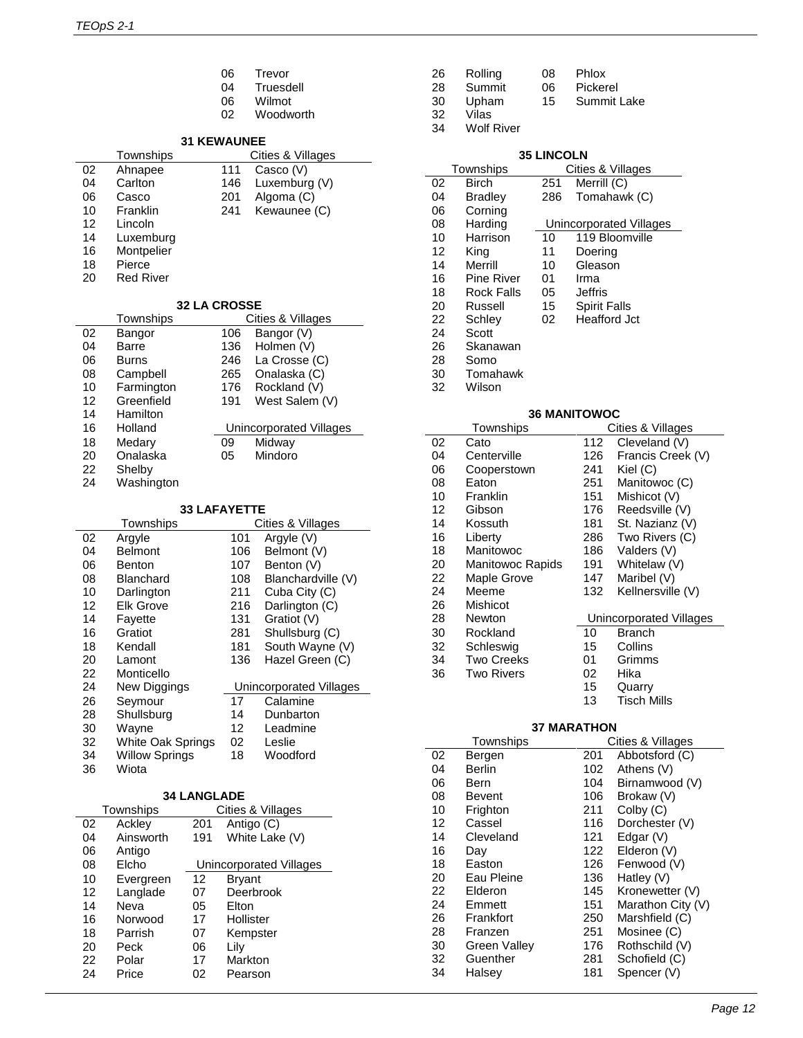- 06 Trevor<br>04 Truesd
- 04 Truesdell<br>06 Wilmot
- 06 Wilmot<br>02 Woodw
- Woodworth

# **31 KEWAUNEE**

|    | Townships  |     | Cities & Villages |  |
|----|------------|-----|-------------------|--|
| 02 | Ahnapee    | 111 | Casco (V)         |  |
| 04 | Carlton    | 146 | Luxemburg (V)     |  |
| 06 | Casco      | 201 | Algoma (C)        |  |
| 10 | Franklin   | 241 | Kewaunee (C)      |  |
| 12 | Lincoln    |     |                   |  |
| 14 | Luxemburg  |     |                   |  |
| 16 | Montpelier |     |                   |  |
| 18 | Pierce     |     |                   |  |
| 20 | Red River  |     |                   |  |
|    |            |     |                   |  |

### **32 LA CROSSE**

|    | Townships  |     | Cities & Villages       |  |
|----|------------|-----|-------------------------|--|
| 02 | Bangor     | 106 | Bangor (V)              |  |
| 04 | Barre      | 136 | Holmen (V)              |  |
| 06 | Burns      | 246 | La Crosse (C)           |  |
| 08 | Campbell   | 265 | Onalaska (C)            |  |
| 10 | Farmington | 176 | Rockland (V)            |  |
| 12 | Greenfield | 191 | West Salem (V)          |  |
| 14 | Hamilton   |     |                         |  |
| 16 | Holland    |     | Unincorporated Villages |  |
| 18 | Medary     | 09  | Midway                  |  |
| 20 | Onalaska   | 05  | Mindoro                 |  |
| 22 | Shelby     |     |                         |  |
| 24 | Washington |     |                         |  |

#### **33 LAFAYETTE**

| Townships |                       | Cities & Villages |                         |
|-----------|-----------------------|-------------------|-------------------------|
| 02        | Argyle                | 101               | Argyle (V)              |
| 04        | <b>Belmont</b>        | 106               | Belmont (V)             |
| 06        | Benton                | 107               | Benton (V)              |
| 08        | Blanchard             | 108               | Blanchardville (V)      |
| 10        | Darlington            | 211               | Cuba City (C)           |
| 12        | <b>Elk Grove</b>      | 216               | Darlington (C)          |
| 14        | Fayette               | 131               | Gratiot (V)             |
| 16        | Gratiot               | 281               | Shullsburg (C)          |
| 18        | Kendall               | 181               | South Wayne (V)         |
| 20        | Lamont                | 136               | Hazel Green (C)         |
| 22        | Monticello            |                   |                         |
| 24        | New Diggings          |                   | Unincorporated Villages |
| 26        | Seymour               | 17                | Calamine                |
| 28        | Shullsburg            | 14                | Dunbarton               |
| 30        | Wayne                 | 12                | Leadmine                |
| 32        | White Oak Springs     | 02                | Leslie                  |
| 34        | <b>Willow Springs</b> | 18                | Woodford                |
| 36        | Wiota                 |                   |                         |

# **34 LANGLADE**

| Townships |           | Cities & Villages       |                |  |
|-----------|-----------|-------------------------|----------------|--|
| 02        | Ackley    | 201                     | Antigo (C)     |  |
| 04        | Ainsworth | 191                     | White Lake (V) |  |
| 06        | Antigo    |                         |                |  |
| 08        | Elcho     | Unincorporated Villages |                |  |
| 10        | Evergreen | 12                      | <b>Bryant</b>  |  |
| 12        | Langlade  | 07                      | Deerbrook      |  |
| 14        | Neva      | 05                      | Elton          |  |
| 16        | Norwood   | 17                      | Hollister      |  |
| 18        | Parrish   | 07                      | Kempster       |  |
| 20        | Peck      | 06                      | Lily           |  |
| 22        | Polar     | 17                      | Markton        |  |
| 24        | Price     | 02                      | Pearson        |  |

- Rolling 08 Phlox
- Summit 06 Pickerel
- 30 Upham 15 Summit Lake<br>32 Vilas
- Vilas
- Wolf River

# **35 LINCOLN**

| Townships           |                |     | Cities & Villages       |  |
|---------------------|----------------|-----|-------------------------|--|
| 02                  | Birch          | 251 | Merrill (C)             |  |
| 04                  | <b>Bradley</b> | 286 | Tomahawk (C)            |  |
| 06                  | Corning        |     |                         |  |
| 08                  | Harding        |     | Unincorporated Villages |  |
| 10                  | Harrison       | 10  | 119 Bloomville          |  |
| 12                  | King           | 11  | Doering                 |  |
| 14                  | Merrill        | 10  | Gleason                 |  |
| 16                  | Pine River     | 01  | Irma                    |  |
| 18                  | Rock Falls     | 05  | Jeffris                 |  |
| 20                  | Russell        | 15  | <b>Spirit Falls</b>     |  |
| 22                  | Schlev         | 02  | <b>Heafford Jct</b>     |  |
| 24                  | Scott          |     |                         |  |
| 26                  | Skanawan       |     |                         |  |
| 28                  | Somo           |     |                         |  |
| 30                  | Tomahawk       |     |                         |  |
| 32                  | Wilson         |     |                         |  |
|                     |                |     |                         |  |
| <b>36 MANITOWOC</b> |                |     |                         |  |
|                     | Townehine      |     | Citiae & Village        |  |

|    | Townships          |     | Cities & Villages       |
|----|--------------------|-----|-------------------------|
| 02 | Cato               | 112 | Cleveland (V)           |
| 04 | Centerville        | 126 | Francis Creek (V)       |
| 06 | Cooperstown        | 241 | Kiel (C)                |
| 08 | Eaton              | 251 | Manitowoc (C)           |
| 10 | Franklin           | 151 | Mishicot (V)            |
| 12 | Gibson             | 176 | Reedsville (V)          |
| 14 | Kossuth            | 181 | St. Nazianz (V)         |
| 16 | Liberty            | 286 | Two Rivers (C)          |
| 18 | Manitowoc          | 186 | Valders (V)             |
| 20 | Manitowoc Rapids   | 191 | Whitelaw (V)            |
| 22 | <b>Maple Grove</b> | 147 | Maribel (V)             |
| 24 | Meeme              | 132 | Kellnersville (V)       |
| 26 | Mishicot           |     |                         |
| 28 | Newton             |     | Unincorporated Villages |
| 30 | Rockland           | 10  | <b>Branch</b>           |
| 32 | Schleswig          | 15  | Collins                 |
| 34 | <b>Two Creeks</b>  | 01  | Grimms                  |
| 36 | Two Rivers         | 02  | Hika                    |
|    |                    | 15  | Quarry                  |

# Tisch Mills

# **37 MARATHON**

|    | Townships    |     | Cities & Villages |
|----|--------------|-----|-------------------|
| 02 | Bergen       | 201 | Abbotsford (C)    |
| 04 | Berlin       | 102 | Athens (V)        |
| 06 | Bern         | 104 | Birnamwood (V)    |
| 08 | Bevent       | 106 | Brokaw (V)        |
| 10 | Frighton     | 211 | Colby (C)         |
| 12 | Cassel       | 116 | Dorchester (V)    |
| 14 | Cleveland    | 121 | Edgar $(V)$       |
| 16 | Day          | 122 | Elderon (V)       |
| 18 | Easton       | 126 | Fenwood (V)       |
| 20 | Eau Pleine   | 136 | Hatley (V)        |
| 22 | Elderon      | 145 | Kronewetter (V)   |
| 24 | Emmett       | 151 | Marathon City (V) |
| 26 | Frankfort    | 250 | Marshfield (C)    |
| 28 | Franzen      | 251 | Mosinee (C)       |
| 30 | Green Valley | 176 | Rothschild (V)    |
| 32 | Guenther     | 281 | Schofield (C)     |
| 34 | Halsey       | 181 | Spencer (V)       |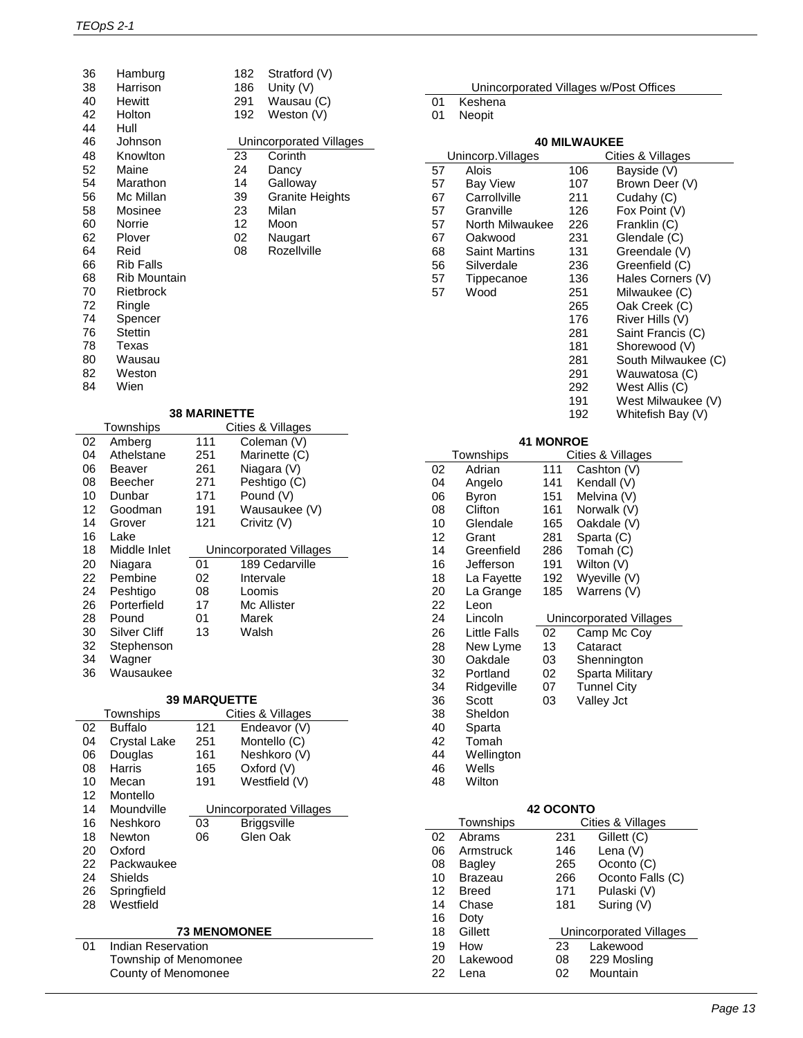| 36 | Hamburg             | 182 |     | Stratford (V)          |
|----|---------------------|-----|-----|------------------------|
| 38 | Harrison            |     | 186 | Unity $(V)$            |
| 40 | <b>Hewitt</b>       | 291 |     | Wausau (C)             |
| 42 | Holton              |     | 192 | Weston (V)             |
| 44 | Hull                |     |     |                        |
| 46 | Johnson             |     |     | Unincorporated Villag  |
| 48 | Knowlton            | 23  |     | Corinth                |
| 52 | Maine               | 24  |     | Dancy                  |
| 54 | Marathon            | 14  |     | Galloway               |
| 56 | Mc Millan           | 39  |     | <b>Granite Heights</b> |
| 58 | Mosinee             | 23  |     | Milan                  |
| 60 | Norrie              | 12  |     | Moon                   |
| 62 | Plover              | 02  |     | Naugart                |
| 64 | Reid                | 08  |     | Rozellville            |
| 66 | <b>Rib Falls</b>    |     |     |                        |
| 68 | <b>Rib Mountain</b> |     |     |                        |
| 70 | Rietbrock           |     |     |                        |
| 72 | Ringle              |     |     |                        |
| 74 | Spencer             |     |     |                        |
| 76 | Stettin             |     |     |                        |
| 78 | Texas               |     |     |                        |
| 80 | Wausau              |     |     |                        |
| 82 | Weston              |     |     |                        |
|    |                     |     |     |                        |

82 Weston<br>84 Wien Wien

| Hamburg      | 182. | Stratford (V)           |
|--------------|------|-------------------------|
| Harrison     | 186  | Unity (V)               |
| Hewitt       | 291  | Wausau (C)              |
| Holton       | 192  | Weston (V)              |
| Hull         |      |                         |
| Johnson      |      | Unincorporated Villages |
| Knowlton     | 23   | Corinth                 |
| Maine        | 24   | Dancy                   |
| Marathon     | 14   | Galloway                |
| Mc Millan    | 39.  | <b>Granite Heights</b>  |
| Mosinee      | 23   | Milan                   |
| Norrie       | 12   | Moon                    |
| Plover       | 02   | Naugart                 |
| Reid         | 08   | Rozellville             |
| Rib Falls    |      |                         |
| Rib Mountain |      |                         |
| Rietbrock    |      |                         |
| Ringle       |      |                         |
| Spencer      |      |                         |
| Stettin      |      |                         |
|              |      |                         |

|  | <b>38 MARINETTE</b> |  |
|--|---------------------|--|
|--|---------------------|--|

|    | Townships    |     | Cities & Villages       |
|----|--------------|-----|-------------------------|
| 02 | Amberg       | 111 | Coleman (V)             |
| 04 | Athelstane   | 251 | Marinette (C)           |
| 06 | Beaver       | 261 | Niagara (V)             |
| 08 | Beecher      | 271 | Peshtigo (C)            |
| 10 | Dunbar       | 171 | Pound (V)               |
| 12 | Goodman      | 191 | Wausaukee (V)           |
| 14 | Grover       | 121 | Crivitz (V)             |
| 16 | Lake         |     |                         |
| 18 | Middle Inlet |     | Unincorporated Villages |
| 20 | Niagara      | 01  | 189 Cedarville          |
| 22 | Pembine      | 02  | Intervale               |
| 24 | Peshtigo     | 08  | Loomis                  |
| 26 | Porterfield  | 17  | Mc Allister             |
| 28 | Pound        | 01  | Marek                   |
| 30 | Silver Cliff | 13  | Walsh                   |
| 32 | Stephenson   |     |                         |
| 34 | Wagner       |     |                         |
| 36 | Wausaukee    |     |                         |

#### **39 MARQUETTE**

|    | Townships                 |     | Cities & Villages       |  |
|----|---------------------------|-----|-------------------------|--|
| 02 | <b>Buffalo</b>            | 121 | Endeavor (V)            |  |
| 04 | Crystal Lake              | 251 | Montello (C)            |  |
| 06 | Douglas                   | 161 | Neshkoro (V)            |  |
| 08 | Harris                    | 165 | Oxford $(V)$            |  |
| 10 | Mecan                     | 191 | Westfield (V)           |  |
| 12 | Montello                  |     |                         |  |
| 14 | Moundville                |     | Unincorporated Villages |  |
| 16 | Neshkoro                  | 03  | <b>Briggsville</b>      |  |
| 18 | Newton                    | 06  | Glen Oak                |  |
| 20 | Oxford                    |     |                         |  |
| 22 | Packwaukee                |     |                         |  |
| 24 | Shields                   |     |                         |  |
| 26 | Springfield               |     |                         |  |
| 28 | Westfield                 |     |                         |  |
|    |                           |     |                         |  |
|    | <b>73 MENOMONEE</b>       |     |                         |  |
| 01 | <b>Indian Reservation</b> |     |                         |  |
|    | Township of Menomonee     |     |                         |  |

County of Menomonee

| Unincorporated Villages w/Post Offices |  |  |
|----------------------------------------|--|--|

- 01 Keshena<br>01 Neopit
- **Neopit**

| υı | <b>INCONI</b>                           |                  |     |                                |  |  |  |
|----|-----------------------------------------|------------------|-----|--------------------------------|--|--|--|
|    | <b>40 MILWAUKEE</b>                     |                  |     |                                |  |  |  |
|    | Cities & Villages<br>Unincorp. Villages |                  |     |                                |  |  |  |
| 57 | Alois                                   |                  | 106 | Bayside (V)                    |  |  |  |
| 57 | Bay View                                |                  | 107 | Brown Deer (V)                 |  |  |  |
| 67 | Carrollville                            |                  | 211 | Cudahy (C)                     |  |  |  |
| 57 | Granville                               |                  | 126 | Fox Point (V)                  |  |  |  |
| 57 | North Milwaukee                         |                  |     |                                |  |  |  |
|    |                                         |                  | 226 | Franklin (C)                   |  |  |  |
| 67 | Oakwood                                 |                  | 231 | Glendale (C)                   |  |  |  |
| 68 | <b>Saint Martins</b>                    |                  | 131 | Greendale (V)                  |  |  |  |
| 56 | Silverdale                              |                  | 236 | Greenfield (C)                 |  |  |  |
| 57 | Tippecanoe<br>Wood                      |                  | 136 | Hales Corners (V)              |  |  |  |
| 57 |                                         |                  | 251 | Milwaukee (C)                  |  |  |  |
|    |                                         |                  | 265 | Oak Creek (C)                  |  |  |  |
|    |                                         |                  | 176 | River Hills (V)                |  |  |  |
|    |                                         |                  | 281 | Saint Francis (C)              |  |  |  |
|    |                                         |                  | 181 | Shorewood (V)                  |  |  |  |
|    |                                         |                  | 281 | South Milwaukee (C)            |  |  |  |
|    |                                         |                  | 291 | Wauwatosa (C)                  |  |  |  |
|    |                                         |                  | 292 | West Allis (C)                 |  |  |  |
|    |                                         |                  | 191 | West Milwaukee (V)             |  |  |  |
|    |                                         |                  | 192 | Whitefish Bay (V)              |  |  |  |
|    |                                         | <b>41 MONROE</b> |     |                                |  |  |  |
|    | Townships                               |                  |     | Cities & Villages              |  |  |  |
| 02 | Adrian                                  | 111              |     | Cashton (V)                    |  |  |  |
| 04 | Angelo                                  | 141              |     | Kendall (V)                    |  |  |  |
| 06 | <b>Byron</b>                            | 151              |     | Melvina (V)                    |  |  |  |
| 08 | Clifton                                 | 161              |     | Norwalk (V)                    |  |  |  |
| 10 | Glendale                                | 165              |     | Oakdale (V)                    |  |  |  |
| 12 | Grant                                   | 281              |     | Sparta (C)                     |  |  |  |
| 14 | Greenfield                              | 286              |     | Tomah (C)                      |  |  |  |
| 16 | Jefferson                               | 191              |     | Wilton (V)                     |  |  |  |
| 18 | La Fayette                              | 192              |     | Wyeville (V)                   |  |  |  |
| 20 | La Grange                               | 185              |     | Warrens (V)                    |  |  |  |
| 22 | Leon                                    |                  |     |                                |  |  |  |
| 24 | Lincoln                                 |                  |     | Unincorporated Villages        |  |  |  |
| 26 | Little Falls                            | 02               |     | Camp Mc Coy                    |  |  |  |
| 28 | New Lyme                                | 13               |     | Cataract                       |  |  |  |
| 30 | Oakdale                                 | 03               |     | Shennington                    |  |  |  |
| 32 | Portland                                | 02               |     | Sparta Military                |  |  |  |
| 34 | Ridgeville                              | 07               |     | Tunnel City                    |  |  |  |
| 36 | Scott                                   | 03               |     | Valley Jct                     |  |  |  |
| 38 | Sheldon                                 |                  |     |                                |  |  |  |
| 40 | Sparta                                  |                  |     |                                |  |  |  |
| 42 | Tomah                                   |                  |     |                                |  |  |  |
| 44 | Wellington                              |                  |     |                                |  |  |  |
| 46 | Wells                                   |                  |     |                                |  |  |  |
| 48 | Wilton                                  |                  |     |                                |  |  |  |
|    |                                         | <b>42 OCONTO</b> |     |                                |  |  |  |
|    | Townships                               |                  |     | Cities & Villages              |  |  |  |
| 02 | Abrams                                  | 231              |     | Gillett (C)                    |  |  |  |
| 06 | Armstruck                               | 146              |     | Lena (V)                       |  |  |  |
| 08 | <b>Bagley</b>                           | 265              |     | Oconto (C)                     |  |  |  |
| 10 | <b>Brazeau</b>                          | 266              |     | Oconto Falls (C)               |  |  |  |
| 12 | <b>Breed</b>                            | 171              |     | Pulaski (V)                    |  |  |  |
| 14 | Chase                                   | 181              |     | Suring (V)                     |  |  |  |
| 16 | Doty                                    |                  |     |                                |  |  |  |
| 18 | Gillett                                 |                  |     | <b>Unincorporated Villages</b> |  |  |  |

 How 23 Lakewood Lakewood 08 229 Mosling Lena 02 Mountain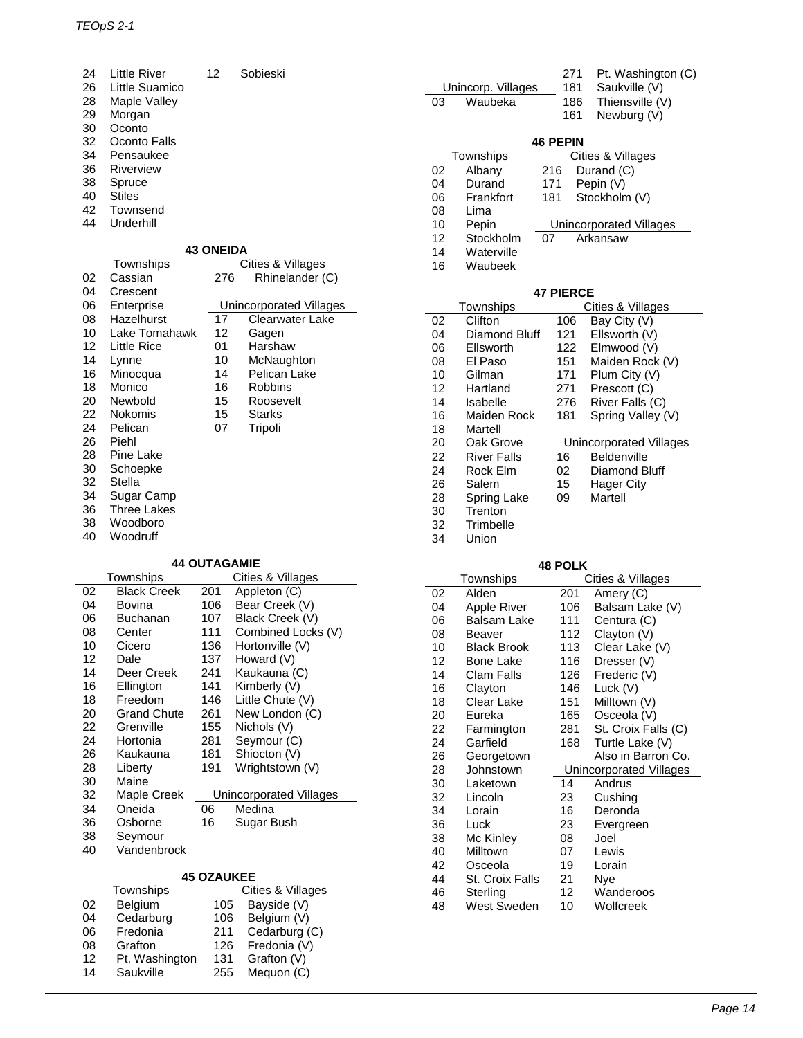| 24 | <b>Little River</b> | 12 | Sobieski |  |
|----|---------------------|----|----------|--|
| 26 | Little Suamico      |    |          |  |
| 28 | Maple Valley        |    |          |  |
| 29 | Morgan              |    |          |  |
| 30 | Oconto              |    |          |  |
| 32 | Oconto Falls        |    |          |  |
| 34 | Pensaukee           |    |          |  |
| 36 | Riverview           |    |          |  |
| 38 | Spruce              |    |          |  |
| 40 | <b>Stiles</b>       |    |          |  |

- Townsend
- Underhill

#### **43 ONEIDA**

|    | Townships     |     | Cities & Villages       |
|----|---------------|-----|-------------------------|
| 02 | Cassian       | 276 | Rhinelander (C)         |
| 04 | Crescent      |     |                         |
| 06 | Enterprise    |     | Unincorporated Villages |
| 08 | Hazelhurst    | 17  | Clearwater Lake         |
| 10 | Lake Tomahawk | 12  | Gagen                   |
| 12 | Little Rice   | 01  | Harshaw                 |
| 14 | Lynne         | 10  | McNaughton              |
| 16 | Minocqua      | 14  | Pelican Lake            |
| 18 | Monico        | 16  | <b>Robbins</b>          |
| 20 | Newbold       | 15  | Roosevelt               |
| 22 | Nokomis       | 15  | <b>Starks</b>           |
| 24 | Pelican       | 07  | Tripoli                 |
| 26 | Piehl         |     |                         |
| 28 | Pine Lake     |     |                         |
| 30 | Schoepke      |     |                         |
| 32 | Stella        |     |                         |
| 34 | Sugar Camp    |     |                         |
| 36 | Three Lakes   |     |                         |
| 38 | Woodboro      |     |                         |
| 40 | Woodruff      |     |                         |

#### **44 OUTAGAMIE**

|    | Townships          |     | Cities & Villages       |
|----|--------------------|-----|-------------------------|
| 02 | <b>Black Creek</b> | 201 | Appleton (C)            |
| 04 | Bovina             | 106 | Bear Creek (V)          |
| 06 | <b>Buchanan</b>    | 107 | Black Creek (V)         |
| 08 | Center             | 111 | Combined Locks (V)      |
| 10 | Cicero             | 136 | Hortonville (V)         |
| 12 | Dale               | 137 | Howard (V)              |
| 14 | Deer Creek         | 241 | Kaukauna (C)            |
| 16 | Ellington          | 141 | Kimberly (V)            |
| 18 | Freedom            | 146 | Little Chute (V)        |
| 20 | <b>Grand Chute</b> | 261 | New London (C)          |
| 22 | Grenville          | 155 | Nichols (V)             |
| 24 | Hortonia           | 281 | Seymour (C)             |
| 26 | Kaukauna           | 181 | Shiocton (V)            |
| 28 | Liberty            | 191 | Wrightstown (V)         |
| 30 | Maine              |     |                         |
| 32 | Maple Creek        |     | Unincorporated Villages |
| 34 | Oneida             | 06  | Medina                  |
| 36 | Osborne            | 16  | Sugar Bush              |
| 38 | Seymour            |     |                         |
| 40 | Vandenbrock        |     |                         |

#### **45 OZAUKEE**

| Cities & Villages |
|-------------------|

| Unincorp. Villages |                    |                  | 181 | Saukville (V)           |
|--------------------|--------------------|------------------|-----|-------------------------|
| 03                 | Waubeka            |                  | 186 | Thiensville (V)         |
|                    |                    |                  | 161 | Newburg (V)             |
|                    |                    |                  |     |                         |
|                    |                    | <b>46 PEPIN</b>  |     |                         |
|                    | Townships          |                  |     | Cities & Villages       |
| 02                 | Albany             | 216              |     | Durand (C)              |
| 04                 | Durand             | 171              |     | Pepin (V)               |
| 06                 | Frankfort          | 181              |     | Stockholm (V)           |
| 08                 | Lima               |                  |     |                         |
| 10                 | Pepin              |                  |     | Unincorporated Villages |
| 12                 | Stockholm          | 07               |     | Arkansaw                |
| 14                 | Waterville         |                  |     |                         |
| 16                 | Waubeek            |                  |     |                         |
|                    |                    |                  |     |                         |
|                    |                    | <b>47 PIERCE</b> |     |                         |
|                    | Townships          |                  |     | Cities & Villages       |
| 02                 | Clifton            | 106              |     | Bay City (V)            |
| 04                 | Diamond Bluff      | 121              |     | Ellsworth (V)           |
| 06                 | Ellsworth          | 122              |     | Elmwood (V)             |
| 08                 | El Paso            | 151              |     | Maiden Rock (V)         |
| 10                 | Gilman             | 171              |     | Plum City (V)           |
| 12                 | Hartland           | 271              |     | Prescott (C)            |
| 14                 | Isabelle           | 276              |     | River Falls (C)         |
| 16                 | Maiden Rock        | 181              |     | Spring Valley (V)       |
| 18                 | Martell            |                  |     |                         |
| 20                 | Oak Grove          |                  |     | Unincorporated Villages |
| 22                 | <b>River Falls</b> | 16               |     | Beldenville             |
| 24                 | Rock Elm           | 02               |     | Diamond Bluff           |
| 26                 | Salem              | 15               |     | <b>Hager City</b>       |
| 28                 | <b>Spring Lake</b> | 09               |     | Martell                 |
| 30                 | Trenton            |                  |     |                         |
| 32                 | Trimbelle          |                  |     |                         |
| 34                 | Union              |                  |     |                         |

Pt. Washington (C)

#### **48 POLK**

|    | Townships          |     | Cities & Villages       |
|----|--------------------|-----|-------------------------|
| 02 | Alden              | 201 | Amery (C)               |
| 04 | <b>Apple River</b> | 106 | Balsam Lake (V)         |
| 06 | Balsam Lake        | 111 | Centura (C)             |
| 08 | Beaver             | 112 | Clayton (V)             |
| 10 | Black Brook        | 113 | Clear Lake (V)          |
| 12 | Bone Lake          | 116 | Dresser (V)             |
| 14 | Clam Falls         | 126 | Frederic (V)            |
| 16 | Clayton            | 146 | Luck (V)                |
| 18 | Clear Lake         | 151 | Milltown (V)            |
| 20 | Eureka             | 165 | Osceola (V)             |
| 22 | Farmington         | 281 | St. Croix Falls (C)     |
| 24 | Garfield           | 168 | Turtle Lake (V)         |
| 26 | Georgetown         |     | Also in Barron Co.      |
| 28 | Johnstown          |     | Unincorporated Villages |
| 30 | Laketown           | 14  | Andrus                  |
| 32 | Lincoln            | 23  | Cushing                 |
| 34 | Lorain             | 16  | Deronda                 |
| 36 | Luck               | 23  | Evergreen               |
| 38 | Mc Kinley          | 08  | Joel                    |
| 40 | Milltown           | 07  | Lewis                   |
| 42 | Osceola            | 19  | Lorain                  |
| 44 | St. Croix Falls    | 21  | Nye                     |
| 46 | Sterling           | 12  | Wanderoos               |
| 48 | West Sweden        | 10  | Wolfcreek               |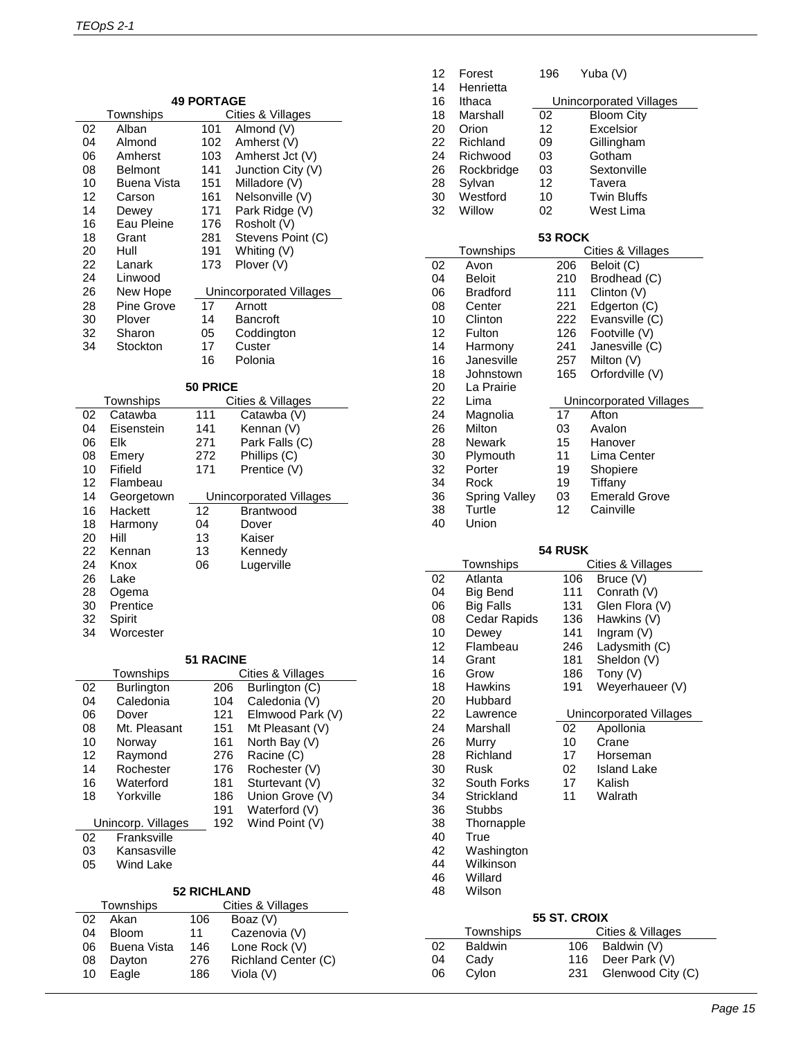| Townships<br>Cities & Villages<br>Almond (V)<br>02<br>Alban<br>101<br>04<br>102<br>Amherst (V)<br>Almond<br>Amherst Jct (V)<br>06<br>103<br>Amherst<br>Junction City (V)<br>141<br>08<br>Belmont<br>10<br><b>Buena Vista</b><br>151<br>Milladore (V)<br>12<br>161<br>Nelsonville (V)<br>Carson<br>Park Ridge (V)<br>14<br>171<br>Dewey<br>Eau Pleine<br>16<br>176<br>Rosholt (V)<br>Stevens Point (C)<br>18<br>281<br>Grant<br>Whiting (V)<br>20<br>Hull<br>191<br>22<br>173<br>Plover (V)<br>Lanark<br>24<br>Linwood<br>26<br>New Hope<br>Unincorporated Villages<br>Arnott<br>28<br>Pine Grove<br>17<br>30<br>Plover<br>14<br>Bancroft<br>32<br>Sharon<br>Coddington<br>05<br>34<br>Stockton<br>17<br>Custer<br>Polonia<br>16<br>50 PRICE<br>Cities & Villages<br>Townships<br>02<br>Catawba (V)<br>Catawba<br>111<br>Kennan (V)<br>04<br>Eisenstein<br>141<br>Park Falls (C)<br>06<br>Elk<br>271<br>Phillips (C)<br>08<br>272<br>Emery<br>Fifield<br>Prentice (V)<br>10<br>171<br>12<br>Flambeau<br>14<br><b>Unincorporated Villages</b><br>Georgetown<br>Hackett<br>12<br>16<br>Brantwood<br>18<br>Harmony<br>04<br>Dover<br>20<br>13<br>Hill<br>Kaiser<br>22<br>13<br>Kennan<br>Kennedy<br>24<br>06<br>Lugerville<br>Knox<br>26<br>Lake<br>28<br>Ogema<br>30<br>Prentice<br>32<br>Spirit<br>34<br>Worcester<br><b>51 RACINE</b><br>Townships<br>Cities & Villages<br>02<br>Burlington<br>Burlington (C)<br>206<br>Caledonia<br>04<br>104<br>Caledonia (V)<br>06<br>121<br>Elmwood Park (V)<br>Dover<br>08<br>Mt. Pleasant<br>151<br>Mt Pleasant (V)<br>10<br>161<br>North Bay (V)<br>Norway<br>12<br>276<br>Racine (C)<br>Raymond<br>14<br>Rochester<br>176<br>Rochester (V)<br>Waterford<br>16<br>181<br>Sturtevant (V)<br>186 |    | <b>49 PORTAGE</b> |  |                 |  |
|--------------------------------------------------------------------------------------------------------------------------------------------------------------------------------------------------------------------------------------------------------------------------------------------------------------------------------------------------------------------------------------------------------------------------------------------------------------------------------------------------------------------------------------------------------------------------------------------------------------------------------------------------------------------------------------------------------------------------------------------------------------------------------------------------------------------------------------------------------------------------------------------------------------------------------------------------------------------------------------------------------------------------------------------------------------------------------------------------------------------------------------------------------------------------------------------------------------------------------------------------------------------------------------------------------------------------------------------------------------------------------------------------------------------------------------------------------------------------------------------------------------------------------------------------------------------------------------------------------------------------------------------------------------------------------------------------------------------------------------|----|-------------------|--|-----------------|--|
|                                                                                                                                                                                                                                                                                                                                                                                                                                                                                                                                                                                                                                                                                                                                                                                                                                                                                                                                                                                                                                                                                                                                                                                                                                                                                                                                                                                                                                                                                                                                                                                                                                                                                                                                      |    |                   |  |                 |  |
|                                                                                                                                                                                                                                                                                                                                                                                                                                                                                                                                                                                                                                                                                                                                                                                                                                                                                                                                                                                                                                                                                                                                                                                                                                                                                                                                                                                                                                                                                                                                                                                                                                                                                                                                      |    |                   |  |                 |  |
|                                                                                                                                                                                                                                                                                                                                                                                                                                                                                                                                                                                                                                                                                                                                                                                                                                                                                                                                                                                                                                                                                                                                                                                                                                                                                                                                                                                                                                                                                                                                                                                                                                                                                                                                      |    |                   |  |                 |  |
|                                                                                                                                                                                                                                                                                                                                                                                                                                                                                                                                                                                                                                                                                                                                                                                                                                                                                                                                                                                                                                                                                                                                                                                                                                                                                                                                                                                                                                                                                                                                                                                                                                                                                                                                      |    |                   |  |                 |  |
|                                                                                                                                                                                                                                                                                                                                                                                                                                                                                                                                                                                                                                                                                                                                                                                                                                                                                                                                                                                                                                                                                                                                                                                                                                                                                                                                                                                                                                                                                                                                                                                                                                                                                                                                      |    |                   |  |                 |  |
|                                                                                                                                                                                                                                                                                                                                                                                                                                                                                                                                                                                                                                                                                                                                                                                                                                                                                                                                                                                                                                                                                                                                                                                                                                                                                                                                                                                                                                                                                                                                                                                                                                                                                                                                      |    |                   |  |                 |  |
|                                                                                                                                                                                                                                                                                                                                                                                                                                                                                                                                                                                                                                                                                                                                                                                                                                                                                                                                                                                                                                                                                                                                                                                                                                                                                                                                                                                                                                                                                                                                                                                                                                                                                                                                      |    |                   |  |                 |  |
|                                                                                                                                                                                                                                                                                                                                                                                                                                                                                                                                                                                                                                                                                                                                                                                                                                                                                                                                                                                                                                                                                                                                                                                                                                                                                                                                                                                                                                                                                                                                                                                                                                                                                                                                      |    |                   |  |                 |  |
|                                                                                                                                                                                                                                                                                                                                                                                                                                                                                                                                                                                                                                                                                                                                                                                                                                                                                                                                                                                                                                                                                                                                                                                                                                                                                                                                                                                                                                                                                                                                                                                                                                                                                                                                      |    |                   |  |                 |  |
|                                                                                                                                                                                                                                                                                                                                                                                                                                                                                                                                                                                                                                                                                                                                                                                                                                                                                                                                                                                                                                                                                                                                                                                                                                                                                                                                                                                                                                                                                                                                                                                                                                                                                                                                      |    |                   |  |                 |  |
|                                                                                                                                                                                                                                                                                                                                                                                                                                                                                                                                                                                                                                                                                                                                                                                                                                                                                                                                                                                                                                                                                                                                                                                                                                                                                                                                                                                                                                                                                                                                                                                                                                                                                                                                      |    |                   |  |                 |  |
|                                                                                                                                                                                                                                                                                                                                                                                                                                                                                                                                                                                                                                                                                                                                                                                                                                                                                                                                                                                                                                                                                                                                                                                                                                                                                                                                                                                                                                                                                                                                                                                                                                                                                                                                      |    |                   |  |                 |  |
|                                                                                                                                                                                                                                                                                                                                                                                                                                                                                                                                                                                                                                                                                                                                                                                                                                                                                                                                                                                                                                                                                                                                                                                                                                                                                                                                                                                                                                                                                                                                                                                                                                                                                                                                      |    |                   |  |                 |  |
|                                                                                                                                                                                                                                                                                                                                                                                                                                                                                                                                                                                                                                                                                                                                                                                                                                                                                                                                                                                                                                                                                                                                                                                                                                                                                                                                                                                                                                                                                                                                                                                                                                                                                                                                      |    |                   |  |                 |  |
|                                                                                                                                                                                                                                                                                                                                                                                                                                                                                                                                                                                                                                                                                                                                                                                                                                                                                                                                                                                                                                                                                                                                                                                                                                                                                                                                                                                                                                                                                                                                                                                                                                                                                                                                      |    |                   |  |                 |  |
|                                                                                                                                                                                                                                                                                                                                                                                                                                                                                                                                                                                                                                                                                                                                                                                                                                                                                                                                                                                                                                                                                                                                                                                                                                                                                                                                                                                                                                                                                                                                                                                                                                                                                                                                      |    |                   |  |                 |  |
|                                                                                                                                                                                                                                                                                                                                                                                                                                                                                                                                                                                                                                                                                                                                                                                                                                                                                                                                                                                                                                                                                                                                                                                                                                                                                                                                                                                                                                                                                                                                                                                                                                                                                                                                      |    |                   |  |                 |  |
|                                                                                                                                                                                                                                                                                                                                                                                                                                                                                                                                                                                                                                                                                                                                                                                                                                                                                                                                                                                                                                                                                                                                                                                                                                                                                                                                                                                                                                                                                                                                                                                                                                                                                                                                      |    |                   |  |                 |  |
|                                                                                                                                                                                                                                                                                                                                                                                                                                                                                                                                                                                                                                                                                                                                                                                                                                                                                                                                                                                                                                                                                                                                                                                                                                                                                                                                                                                                                                                                                                                                                                                                                                                                                                                                      |    |                   |  |                 |  |
|                                                                                                                                                                                                                                                                                                                                                                                                                                                                                                                                                                                                                                                                                                                                                                                                                                                                                                                                                                                                                                                                                                                                                                                                                                                                                                                                                                                                                                                                                                                                                                                                                                                                                                                                      |    |                   |  |                 |  |
|                                                                                                                                                                                                                                                                                                                                                                                                                                                                                                                                                                                                                                                                                                                                                                                                                                                                                                                                                                                                                                                                                                                                                                                                                                                                                                                                                                                                                                                                                                                                                                                                                                                                                                                                      |    |                   |  |                 |  |
|                                                                                                                                                                                                                                                                                                                                                                                                                                                                                                                                                                                                                                                                                                                                                                                                                                                                                                                                                                                                                                                                                                                                                                                                                                                                                                                                                                                                                                                                                                                                                                                                                                                                                                                                      |    |                   |  |                 |  |
|                                                                                                                                                                                                                                                                                                                                                                                                                                                                                                                                                                                                                                                                                                                                                                                                                                                                                                                                                                                                                                                                                                                                                                                                                                                                                                                                                                                                                                                                                                                                                                                                                                                                                                                                      |    |                   |  |                 |  |
|                                                                                                                                                                                                                                                                                                                                                                                                                                                                                                                                                                                                                                                                                                                                                                                                                                                                                                                                                                                                                                                                                                                                                                                                                                                                                                                                                                                                                                                                                                                                                                                                                                                                                                                                      |    |                   |  |                 |  |
|                                                                                                                                                                                                                                                                                                                                                                                                                                                                                                                                                                                                                                                                                                                                                                                                                                                                                                                                                                                                                                                                                                                                                                                                                                                                                                                                                                                                                                                                                                                                                                                                                                                                                                                                      |    |                   |  |                 |  |
|                                                                                                                                                                                                                                                                                                                                                                                                                                                                                                                                                                                                                                                                                                                                                                                                                                                                                                                                                                                                                                                                                                                                                                                                                                                                                                                                                                                                                                                                                                                                                                                                                                                                                                                                      |    |                   |  |                 |  |
|                                                                                                                                                                                                                                                                                                                                                                                                                                                                                                                                                                                                                                                                                                                                                                                                                                                                                                                                                                                                                                                                                                                                                                                                                                                                                                                                                                                                                                                                                                                                                                                                                                                                                                                                      |    |                   |  |                 |  |
|                                                                                                                                                                                                                                                                                                                                                                                                                                                                                                                                                                                                                                                                                                                                                                                                                                                                                                                                                                                                                                                                                                                                                                                                                                                                                                                                                                                                                                                                                                                                                                                                                                                                                                                                      |    |                   |  |                 |  |
|                                                                                                                                                                                                                                                                                                                                                                                                                                                                                                                                                                                                                                                                                                                                                                                                                                                                                                                                                                                                                                                                                                                                                                                                                                                                                                                                                                                                                                                                                                                                                                                                                                                                                                                                      |    |                   |  |                 |  |
|                                                                                                                                                                                                                                                                                                                                                                                                                                                                                                                                                                                                                                                                                                                                                                                                                                                                                                                                                                                                                                                                                                                                                                                                                                                                                                                                                                                                                                                                                                                                                                                                                                                                                                                                      |    |                   |  |                 |  |
|                                                                                                                                                                                                                                                                                                                                                                                                                                                                                                                                                                                                                                                                                                                                                                                                                                                                                                                                                                                                                                                                                                                                                                                                                                                                                                                                                                                                                                                                                                                                                                                                                                                                                                                                      |    |                   |  |                 |  |
|                                                                                                                                                                                                                                                                                                                                                                                                                                                                                                                                                                                                                                                                                                                                                                                                                                                                                                                                                                                                                                                                                                                                                                                                                                                                                                                                                                                                                                                                                                                                                                                                                                                                                                                                      |    |                   |  |                 |  |
|                                                                                                                                                                                                                                                                                                                                                                                                                                                                                                                                                                                                                                                                                                                                                                                                                                                                                                                                                                                                                                                                                                                                                                                                                                                                                                                                                                                                                                                                                                                                                                                                                                                                                                                                      |    |                   |  |                 |  |
|                                                                                                                                                                                                                                                                                                                                                                                                                                                                                                                                                                                                                                                                                                                                                                                                                                                                                                                                                                                                                                                                                                                                                                                                                                                                                                                                                                                                                                                                                                                                                                                                                                                                                                                                      |    |                   |  |                 |  |
|                                                                                                                                                                                                                                                                                                                                                                                                                                                                                                                                                                                                                                                                                                                                                                                                                                                                                                                                                                                                                                                                                                                                                                                                                                                                                                                                                                                                                                                                                                                                                                                                                                                                                                                                      |    |                   |  |                 |  |
|                                                                                                                                                                                                                                                                                                                                                                                                                                                                                                                                                                                                                                                                                                                                                                                                                                                                                                                                                                                                                                                                                                                                                                                                                                                                                                                                                                                                                                                                                                                                                                                                                                                                                                                                      |    |                   |  |                 |  |
|                                                                                                                                                                                                                                                                                                                                                                                                                                                                                                                                                                                                                                                                                                                                                                                                                                                                                                                                                                                                                                                                                                                                                                                                                                                                                                                                                                                                                                                                                                                                                                                                                                                                                                                                      |    |                   |  |                 |  |
|                                                                                                                                                                                                                                                                                                                                                                                                                                                                                                                                                                                                                                                                                                                                                                                                                                                                                                                                                                                                                                                                                                                                                                                                                                                                                                                                                                                                                                                                                                                                                                                                                                                                                                                                      |    |                   |  |                 |  |
|                                                                                                                                                                                                                                                                                                                                                                                                                                                                                                                                                                                                                                                                                                                                                                                                                                                                                                                                                                                                                                                                                                                                                                                                                                                                                                                                                                                                                                                                                                                                                                                                                                                                                                                                      |    |                   |  |                 |  |
|                                                                                                                                                                                                                                                                                                                                                                                                                                                                                                                                                                                                                                                                                                                                                                                                                                                                                                                                                                                                                                                                                                                                                                                                                                                                                                                                                                                                                                                                                                                                                                                                                                                                                                                                      |    |                   |  |                 |  |
|                                                                                                                                                                                                                                                                                                                                                                                                                                                                                                                                                                                                                                                                                                                                                                                                                                                                                                                                                                                                                                                                                                                                                                                                                                                                                                                                                                                                                                                                                                                                                                                                                                                                                                                                      |    |                   |  |                 |  |
|                                                                                                                                                                                                                                                                                                                                                                                                                                                                                                                                                                                                                                                                                                                                                                                                                                                                                                                                                                                                                                                                                                                                                                                                                                                                                                                                                                                                                                                                                                                                                                                                                                                                                                                                      |    |                   |  |                 |  |
|                                                                                                                                                                                                                                                                                                                                                                                                                                                                                                                                                                                                                                                                                                                                                                                                                                                                                                                                                                                                                                                                                                                                                                                                                                                                                                                                                                                                                                                                                                                                                                                                                                                                                                                                      |    |                   |  |                 |  |
|                                                                                                                                                                                                                                                                                                                                                                                                                                                                                                                                                                                                                                                                                                                                                                                                                                                                                                                                                                                                                                                                                                                                                                                                                                                                                                                                                                                                                                                                                                                                                                                                                                                                                                                                      |    |                   |  |                 |  |
|                                                                                                                                                                                                                                                                                                                                                                                                                                                                                                                                                                                                                                                                                                                                                                                                                                                                                                                                                                                                                                                                                                                                                                                                                                                                                                                                                                                                                                                                                                                                                                                                                                                                                                                                      |    |                   |  |                 |  |
|                                                                                                                                                                                                                                                                                                                                                                                                                                                                                                                                                                                                                                                                                                                                                                                                                                                                                                                                                                                                                                                                                                                                                                                                                                                                                                                                                                                                                                                                                                                                                                                                                                                                                                                                      |    |                   |  |                 |  |
|                                                                                                                                                                                                                                                                                                                                                                                                                                                                                                                                                                                                                                                                                                                                                                                                                                                                                                                                                                                                                                                                                                                                                                                                                                                                                                                                                                                                                                                                                                                                                                                                                                                                                                                                      |    |                   |  |                 |  |
|                                                                                                                                                                                                                                                                                                                                                                                                                                                                                                                                                                                                                                                                                                                                                                                                                                                                                                                                                                                                                                                                                                                                                                                                                                                                                                                                                                                                                                                                                                                                                                                                                                                                                                                                      |    |                   |  |                 |  |
|                                                                                                                                                                                                                                                                                                                                                                                                                                                                                                                                                                                                                                                                                                                                                                                                                                                                                                                                                                                                                                                                                                                                                                                                                                                                                                                                                                                                                                                                                                                                                                                                                                                                                                                                      |    |                   |  |                 |  |
|                                                                                                                                                                                                                                                                                                                                                                                                                                                                                                                                                                                                                                                                                                                                                                                                                                                                                                                                                                                                                                                                                                                                                                                                                                                                                                                                                                                                                                                                                                                                                                                                                                                                                                                                      | 18 | Yorkville         |  | Union Grove (V) |  |

| 02 | Franksville |
|----|-------------|
| 03 | Kansasville |
| 05 | Wind Lake   |

#### **52 RICHLAND**

Unincorp. Villages 192 Wind Point (V)

Waterford (V)

| Townships |              |     | Cities & Villages   |
|-----------|--------------|-----|---------------------|
| 02        | Akan         | 106 | Boaz (V)            |
| 04        | <b>Bloom</b> | 11  | Cazenovia (V)       |
| 06        | Buena Vista  | 146 | Lone Rock (V)       |
| 08        | Dayton       | 276 | Richland Center (C) |
| 10        | Eagle        | 186 | Viola (V)           |

| 12       | Forest                  | 196            | Yuba (V)                           |
|----------|-------------------------|----------------|------------------------------------|
| 14       | Henrietta               |                |                                    |
| 16       | Ithaca                  |                | Unincorporated Villages            |
| 18       | Marshall                | 02             | <b>Bloom City</b>                  |
| 20       | Orion                   | 12             | Excelsior                          |
| 22       | Richland                | 09             | Gillingham                         |
| 24       | Richwood                | 03             | Gotham                             |
| 26       | Rockbridge              | 03             | Sextonville                        |
| 28       | Sylvan                  | 12             | Tavera                             |
| 30       | Westford                | 10             | <b>Twin Bluffs</b>                 |
| 32       | Willow                  | 02             | West Lima                          |
|          |                         |                |                                    |
|          |                         | 53 ROCK        |                                    |
|          | Townships               |                | Cities & Villages                  |
| 02       | Avon                    | 206            | $\overline{\mathsf{B}}$ eloit (C)  |
| 04       | <b>Beloit</b>           | 210            | Brodhead (C)                       |
| 06       | <b>Bradford</b>         | 111            | Clinton (V)                        |
| 08       | Center                  | 221            | Edgerton (C)                       |
| 10       | Clinton                 | 222            | Evansville (C)                     |
| 12       | Fulton                  | 126            | Footville (V)                      |
| 14       | Harmony                 | 241            | Janesville (C)                     |
| 16       | Janesville              | 257            | Milton (V)                         |
| 18       | Johnstown               | 165            | Orfordville (V)                    |
| 20       | La Prairie              |                |                                    |
| 22       | Lima                    |                | Unincorporated Villages            |
| 24       | Magnolia                | 17             | Afton                              |
| 26       | Milton                  | 03             | Avalon                             |
| 28       | Newark                  | 15             | Hanover                            |
| 30       | Plymouth                | 11             | Lima Center                        |
| 32       | Porter                  | 19             | Shopiere                           |
| 34       | Rock                    | 19             | Tiffany                            |
| 36       | <b>Spring Valley</b>    | 03             | <b>Emerald Grove</b>               |
| 38       | Turtle                  | 12             | Cainville                          |
| 40       | Union                   |                |                                    |
|          |                         | <b>54 RUSK</b> |                                    |
|          | Townships               |                | Cities & Villages                  |
| 02       | Atlanta                 | 106            | Bruce (V)                          |
| 04       | Big Bend                | 111            | Conrath (V)                        |
| 06       | <b>Big Falls</b>        | 131            | Glen Flora (V)                     |
| 08       | Cedar Rapids            | 136            | Hawkins (V)                        |
| 10       | Dewey                   | 141            | Ingram (V)                         |
| 12       | Flambeau                | 246            | Ladysmith (C)                      |
| 14       | Grant                   | 181            | Sheldon (V)                        |
| 16       | Grow                    | 186            | Tony (V)                           |
| 18       | Hawkins                 | 191            | Weyerhaueer (V)                    |
| 20       | Hubbard                 |                |                                    |
| 22       | Lawrence                |                | <b>Unincorporated Villages</b>     |
| 24       | Marshall                | 02             | Apollonia                          |
| 26       | Murry                   | 10             | Crane                              |
| 28       | Richland                | 17             | Horseman                           |
| 30       |                         | 02             | <b>Island Lake</b>                 |
| 32       | Rusk                    |                |                                    |
| 34       | South Forks             | 17             | Kalish                             |
|          | Strickland              | 11             | Walrath                            |
|          | <b>Stubbs</b>           |                |                                    |
| 36<br>38 | Thornapple              |                |                                    |
| 40       | True                    |                |                                    |
| 42       |                         |                |                                    |
| 44       | Washington<br>Wilkinson |                |                                    |
| 46       | Willard                 |                |                                    |
| 48       | Wilson                  |                |                                    |
|          |                         |                |                                    |
|          |                         | 55 ST. CROIX   |                                    |
|          | Townships               |                | Cities & Villages                  |
| 02       | <b>Baldwin</b>          | 106            | Baldwin (V)                        |
| 04<br>06 | Cady<br>Cylon           | 116<br>231     | Deer Park (V)<br>Glenwood City (C) |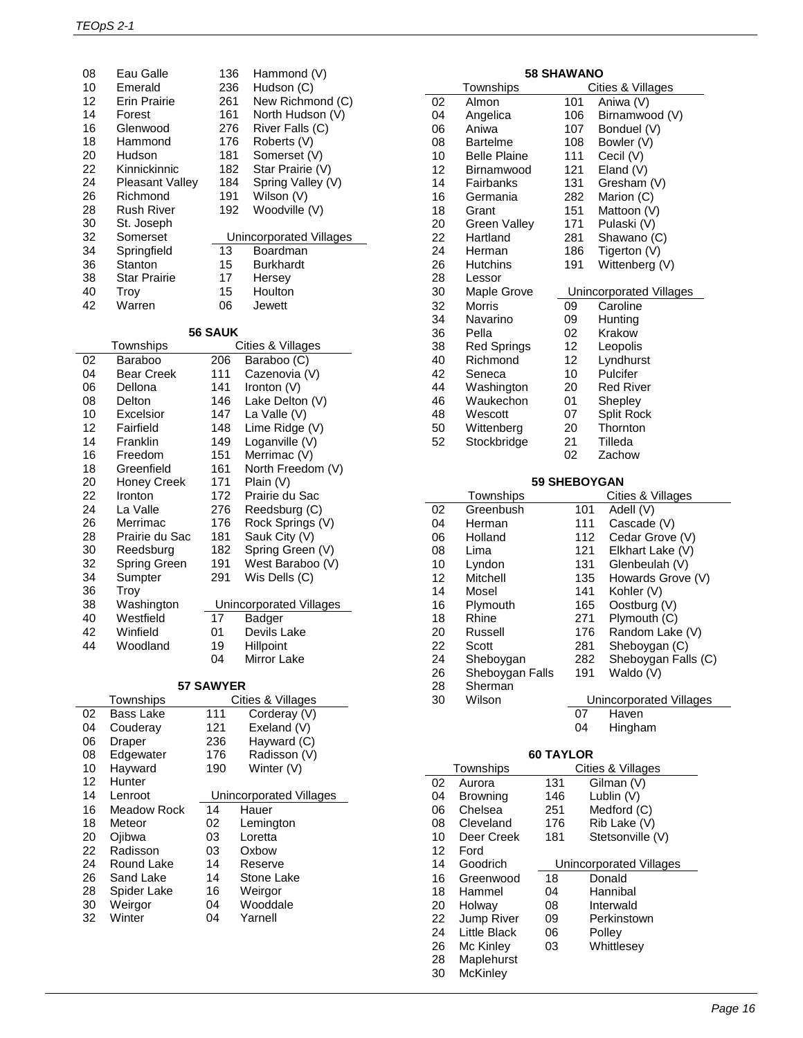| 08 | Eau Galle              | 136 | Hammond (V)             |
|----|------------------------|-----|-------------------------|
| 10 | Emerald                | 236 | Hudson (C)              |
| 12 | Erin Prairie           | 261 | New Richmond (C)        |
| 14 | Forest                 | 161 | North Hudson (V)        |
| 16 | Glenwood               | 276 | River Falls (C)         |
| 18 | Hammond                | 176 | Roberts (V)             |
| 20 | Hudson                 | 181 | Somerset (V)            |
| 22 | Kinnickinnic           | 182 | Star Prairie (V)        |
| 24 | <b>Pleasant Valley</b> | 184 | Spring Valley (V)       |
| 26 | Richmond               | 191 | Wilson (V)              |
| 28 | Rush River             | 192 | Woodville (V)           |
| 30 | St. Joseph             |     |                         |
| 32 | Somerset               |     | Unincorporated Villages |
| 34 | Springfield            | 13  | Boardman                |
| 36 | Stanton                | 15  | <b>Burkhardt</b>        |
| 38 | <b>Star Prairie</b>    | 17  | Hersey                  |
| 40 | Troy                   | 15  | Houlton                 |
| 42 | Warren                 | 06  | Jewett                  |

**56 SAUK**

|    | יוטריט            |     |                         |  |  |
|----|-------------------|-----|-------------------------|--|--|
|    | Townships         |     | Cities & Villages       |  |  |
| 02 | Baraboo           | 206 | Baraboo (C)             |  |  |
| 04 | <b>Bear Creek</b> | 111 | Cazenovia (V)           |  |  |
| 06 | Dellona           | 141 | Ironton (V)             |  |  |
| 08 | Delton            | 146 | Lake Delton (V)         |  |  |
| 10 | Excelsior         | 147 | La Valle (V)            |  |  |
| 12 | Fairfield         | 148 | Lime Ridge (V)          |  |  |
| 14 | Franklin          | 149 | Loganville (V)          |  |  |
| 16 | Freedom           | 151 | Merrimac (V)            |  |  |
| 18 | Greenfield        | 161 | North Freedom (V)       |  |  |
| 20 | Honey Creek       | 171 | Plain (V)               |  |  |
| 22 | Ironton           | 172 | Prairie du Sac          |  |  |
| 24 | La Valle          | 276 | Reedsburg (C)           |  |  |
| 26 | Merrimac          | 176 | Rock Springs (V)        |  |  |
| 28 | Prairie du Sac    | 181 | Sauk City (V)           |  |  |
| 30 | Reedsburg         | 182 | Spring Green (V)        |  |  |
| 32 | Spring Green      | 191 | West Baraboo (V)        |  |  |
| 34 | Sumpter           | 291 | Wis Dells (C)           |  |  |
| 36 | Troy              |     |                         |  |  |
| 38 | Washington        |     | Unincorporated Villages |  |  |
| 40 | Westfield         | 17  | Badger                  |  |  |
| 42 | Winfield          | 01  | Devils Lake             |  |  |
| 44 | Woodland          | 19  | Hillpoint               |  |  |
|    |                   | 04  | Mirror Lake             |  |  |

**57 SAWYER**

| 37 SAW IER |             |     |                         |  |
|------------|-------------|-----|-------------------------|--|
|            | Townships   |     | Cities & Villages       |  |
| 02         | Bass Lake   | 111 | Corderay (V)            |  |
| 04         | Couderay    | 121 | Exeland (V)             |  |
| 06         | Draper      | 236 | Hayward (C)             |  |
| 08         | Edgewater   | 176 | Radisson (V)            |  |
| 10         | Hayward     | 190 | Winter (V)              |  |
| 12         | Hunter      |     |                         |  |
| 14         | Lenroot     |     | Unincorporated Villages |  |
| 16         | Meadow Rock | 14  | Hauer                   |  |
| 18         | Meteor      | 02  | Lemington               |  |
| 20         | Ojibwa      | 03  | Loretta                 |  |
| 22         | Radisson    | 03  | Oxbow                   |  |
| 24         | Round Lake  | 14  | Reserve                 |  |
| 26         | Sand Lake   | 14  | Stone Lake              |  |
| 28         | Spider Lake | 16  | Weirgor                 |  |
| 30         | Weirgor     | 04  | Wooddale                |  |
| 32         | Winter      | 04  | Yarnell                 |  |
|            |             |     |                         |  |

| <b>58 SHAWANO</b> |                    |     |                         |
|-------------------|--------------------|-----|-------------------------|
|                   | Townships          |     | Cities & Villages       |
| 02                | Almon              | 101 | Aniwa (V)               |
| 04                | Angelica           | 106 | Birnamwood (V)          |
| 06                | Aniwa              | 107 | Bonduel (V)             |
| 08                | Bartelme           | 108 | Bowler (V)              |
| 10                | Belle Plaine       | 111 | Cecil (V)               |
| 12                | Birnamwood         | 121 | Eland (V)               |
| 14                | Fairbanks          | 131 | Gresham (V)             |
| 16                | Germania           | 282 | Marion (C)              |
| 18                | Grant              | 151 | Mattoon (V)             |
| 20                | Green Valley       | 171 | Pulaski (V)             |
| 22                | Hartland           | 281 | Shawano (C)             |
| 24                | Herman             | 186 | Tigerton (V)            |
| 26                | <b>Hutchins</b>    | 191 | Wittenberg (V)          |
| 28                | Lessor             |     |                         |
| 30                | Maple Grove        |     | Unincorporated Villages |
| 32                | <b>Morris</b>      | 09  | Caroline                |
| 34                | Navarino           | 09  | Hunting                 |
| 36                | Pella              | 02  | Krakow                  |
| 38                | <b>Red Springs</b> | 12  | Leopolis                |
| 40                | Richmond           | 12  | Lyndhurst               |
| 42                | Seneca             | 10  | Pulcifer                |
| 44                | Washington         | 20  | <b>Red River</b>        |
| 46                | Waukechon          | 01  | Shepley                 |
| 48                | Wescott            | 07  | <b>Split Rock</b>       |

#### **59 SHEBOYGAN**

Zachow

50 Wittenberg 20 Thornton<br>52 Stockbridge 21 Tilleda Stockbridge 21<br>02

|    | Townships       |     | Cities & Villages       |
|----|-----------------|-----|-------------------------|
| 02 | Greenbush       | 101 | Adell (V)               |
| 04 | Herman          | 111 | Cascade (V)             |
| 06 | Holland         | 112 | Cedar Grove (V)         |
| 08 | Lima            | 121 | Elkhart Lake (V)        |
| 10 | Lyndon          | 131 | Glenbeulah (V)          |
| 12 | Mitchell        | 135 | Howards Grove (V)       |
| 14 | Mosel           | 141 | Kohler (V)              |
| 16 | Plymouth        | 165 | Oostburg (V)            |
| 18 | Rhine           | 271 | Plymouth (C)            |
| 20 | Russell         | 176 | Random Lake (V)         |
| 22 | Scott           | 281 | Sheboygan (C)           |
| 24 | Sheboygan       | 282 | Sheboygan Falls (C)     |
| 26 | Sheboygan Falls | 191 | Waldo (V)               |
| 28 | Sherman         |     |                         |
| 30 | Wilson          |     | Unincorporated Villages |
|    |                 | 07  | Haven                   |
|    |                 | 04  | Hingham                 |
|    |                 |     |                         |

#### **60 TAYLOR**

|    | Townships         |     | Cities & Villages       |
|----|-------------------|-----|-------------------------|
| 02 | Aurora            | 131 | Gilman (V)              |
| 04 | Browning          | 146 | Lublin (V)              |
| 06 | Chelsea           | 251 | Medford (C)             |
| 08 | Cleveland         | 176 | Rib Lake (V)            |
| 10 | Deer Creek        | 181 | Stetsonville (V)        |
| 12 | Ford              |     |                         |
| 14 | Goodrich          |     | Unincorporated Villages |
| 16 | Greenwood         | 18  | Donald                  |
| 18 | Hammel            | 04  | Hannibal                |
| 20 | Holway            | 08  | Interwald               |
| 22 | <b>Jump River</b> | 09  | Perkinstown             |
| 24 | Little Black      | 06  | Polley                  |
| 26 | Mc Kinley         | 03  | Whittlesey              |
| 28 | Maplehurst        |     |                         |
| 30 | <b>McKinley</b>   |     |                         |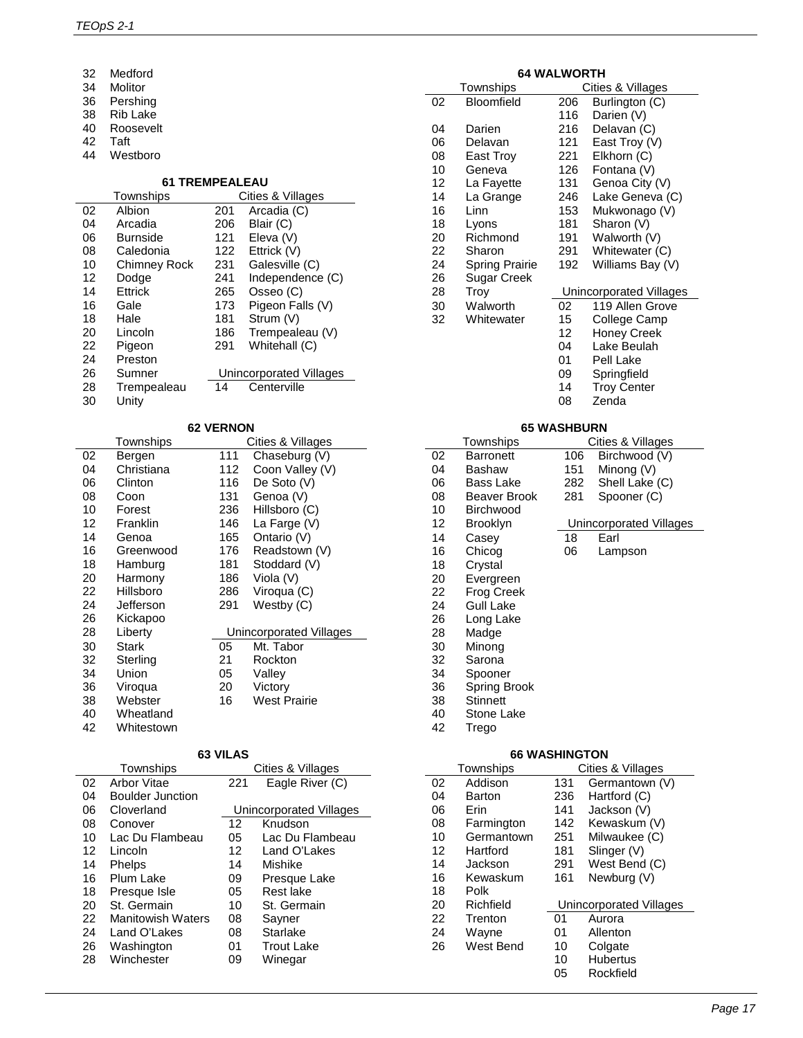| Medford   |  |
|-----------|--|
| Molitor   |  |
| Pershing  |  |
| Rib Lake  |  |
| Roosevelt |  |
|           |  |

- Taft
- Westboro

#### **61 TREMPEALEAU**

|    | Townships           |     | Cities & Villages       |
|----|---------------------|-----|-------------------------|
| 02 | Albion              | 201 | Arcadia (C)             |
| 04 | Arcadia             | 206 | Blair (C)               |
| 06 | <b>Burnside</b>     | 121 | Eleva (V)               |
| 08 | Caledonia           | 122 | Ettrick (V)             |
| 10 | <b>Chimney Rock</b> | 231 | Galesville (C)          |
| 12 | Dodge               | 241 | Independence (C)        |
| 14 | Ettrick             | 265 | Osseo (C)               |
| 16 | Gale                | 173 | Pigeon Falls (V)        |
| 18 | Hale                | 181 | Strum (V)               |
| 20 | Lincoln             | 186 | Trempealeau (V)         |
| 22 | Pigeon              | 291 | Whitehall (C)           |
| 24 | Preston             |     |                         |
| 26 | Sumner              |     | Unincorporated Villages |
| 28 | Trempealeau         | 14  | Centerville             |
| 30 | Unity               |     |                         |

# **62 VERNON**

|    | Townships  |     | Cities & Villages       |
|----|------------|-----|-------------------------|
| 02 | Bergen     | 111 | Chaseburg (V)           |
| 04 | Christiana | 112 | Coon Valley (V)         |
| 06 | Clinton    | 116 | De Soto (V)             |
| 08 | Coon       | 131 | Genoa (V)               |
| 10 | Forest     | 236 | Hillsboro (C)           |
| 12 | Franklin   | 146 | La Farge (V)            |
| 14 | Genoa      | 165 | Ontario (V)             |
| 16 | Greenwood  | 176 | Readstown (V)           |
| 18 | Hamburg    | 181 | Stoddard (V)            |
| 20 | Harmony    | 186 | Viola (V)               |
| 22 | Hillsboro  | 286 | Viroqua (C)             |
| 24 | Jefferson  | 291 | Westby (C)              |
| 26 | Kickapoo   |     |                         |
| 28 | Liberty    |     | Unincorporated Villages |
| 30 | Stark      | 05  | Mt. Tabor               |
| 32 | Sterling   | 21  | Rockton                 |
| 34 | Union      | 05  | Valley                  |
| 36 | Viroqua    | 20  | Victory                 |
| 38 | Webster    | 16  | West Prairie            |
| 40 | Wheatland  |     |                         |
| 42 | Whitestown |     |                         |

#### **63 VILAS**

|    | Townships                |     | Cities & Villages       |
|----|--------------------------|-----|-------------------------|
| 02 | Arbor Vitae              | 221 | Eagle River (C)         |
| 04 | Boulder Junction         |     |                         |
| 06 | Cloverland               |     | Unincorporated Villages |
| 08 | Conover                  | 12  | Knudson                 |
| 10 | Lac Du Flambeau          | 05  | Lac Du Flambeau         |
| 12 | Lincoln                  | 12  | Land O'Lakes            |
| 14 | Phelps                   | 14  | Mishike                 |
| 16 | Plum Lake                | 09  | Presque Lake            |
| 18 | Presque Isle             | 05  | Rest lake               |
| 20 | St. Germain              | 10  | St. Germain             |
| 22 | <b>Manitowish Waters</b> | 08  | Sayner                  |
| 24 | Land O'Lakes             | 08  | Starlake                |
| 26 | Washington               | 01  | <b>Trout Lake</b>       |
| 28 | Winchester               | 09  | Winegar                 |
|    |                          |     |                         |

# **64 WALWORTH**

|    | Townships             |     | Cities & Villages       |
|----|-----------------------|-----|-------------------------|
| 02 | Bloomfield            | 206 | Burlington (C)          |
|    |                       | 116 | Darien (V)              |
| 04 | Darien                | 216 | Delavan (C)             |
| 06 | Delavan               | 121 | East Troy (V)           |
| 08 | East Troy             | 221 | Elkhorn (C)             |
| 10 | Geneva                | 126 | Fontana (V)             |
| 12 | La Fayette            | 131 | Genoa City (V)          |
| 14 | La Grange             | 246 | Lake Geneva (C)         |
| 16 | Linn                  | 153 | Mukwonago (V)           |
| 18 | Lyons                 | 181 | Sharon (V)              |
| 20 | Richmond              | 191 | Walworth (V)            |
| 22 | Sharon                | 291 | Whitewater (C)          |
| 24 | <b>Spring Prairie</b> | 192 | Williams Bay (V)        |
| 26 | Sugar Creek           |     |                         |
| 28 | Troy                  |     | Unincorporated Villages |
| 30 | Walworth              | 02  | 119 Allen Grove         |
| 32 | Whitewater            | 15  | College Camp            |
|    |                       | 12  | Honey Creek             |
|    |                       | 04  | Lake Beulah             |
|    |                       | 01  | Pell Lake               |
|    |                       | 09  | Springfield             |
|    |                       | 14  | <b>Troy Center</b>      |
|    |                       | 08  | Zenda                   |

## **65 WASHBURN**

|    | Townships        |     | Cities & Villages       |
|----|------------------|-----|-------------------------|
| 02 | <b>Barronett</b> | 106 | Birchwood (V)           |
| 04 | Bashaw           | 151 | Minong (V)              |
| 06 | Bass Lake        | 282 | Shell Lake (C)          |
| 08 | Beaver Brook     | 281 | Spooner (C)             |
| 10 | <b>Birchwood</b> |     |                         |
| 12 | Brooklyn         |     | Unincorporated Villages |
| 14 | Casev            | 18  | Earl                    |
| 16 | Chicog           | 06  | Lampson                 |
| 18 | Crystal          |     |                         |
| 20 | Evergreen        |     |                         |
| 22 | Frog Creek       |     |                         |
| 24 | <b>Gull Lake</b> |     |                         |
| 26 | Long Lake        |     |                         |
| 28 | Madge            |     |                         |
| 30 | Minong           |     |                         |
| 32 | Sarona           |     |                         |
| 34 | Spooner          |     |                         |
| 36 | Spring Brook     |     |                         |
| 38 | <b>Stinnett</b>  |     |                         |
| 40 | Stone Lake       |     |                         |
| 42 | Trego            |     |                         |
|    |                  |     |                         |

#### **66 WASHINGTON**

 $\overline{a}$ 

|    | Townships  |     | Cities & Villages       |
|----|------------|-----|-------------------------|
| 02 | Addison    | 131 | Germantown (V)          |
| 04 | Barton     | 236 | Hartford (C)            |
| 06 | Erin       | 141 | Jackson (V)             |
| 08 | Farmington | 142 | Kewaskum (V)            |
| 10 | Germantown | 251 | Milwaukee (C)           |
| 12 | Hartford   | 181 | Slinger (V)             |
| 14 | Jackson    | 291 | West Bend (C)           |
| 16 | Kewaskum   | 161 | Newburg (V)             |
| 18 | Polk       |     |                         |
| 20 | Richfield  |     | Unincorporated Villages |
| 22 | Trenton    | 01  | Aurora                  |
| 24 | Wayne      | 01  | Allenton                |
| 26 | West Bend  | 10  | Colgate                 |
|    |            | 10  | <b>Hubertus</b>         |
|    |            | 05  | Rockfield               |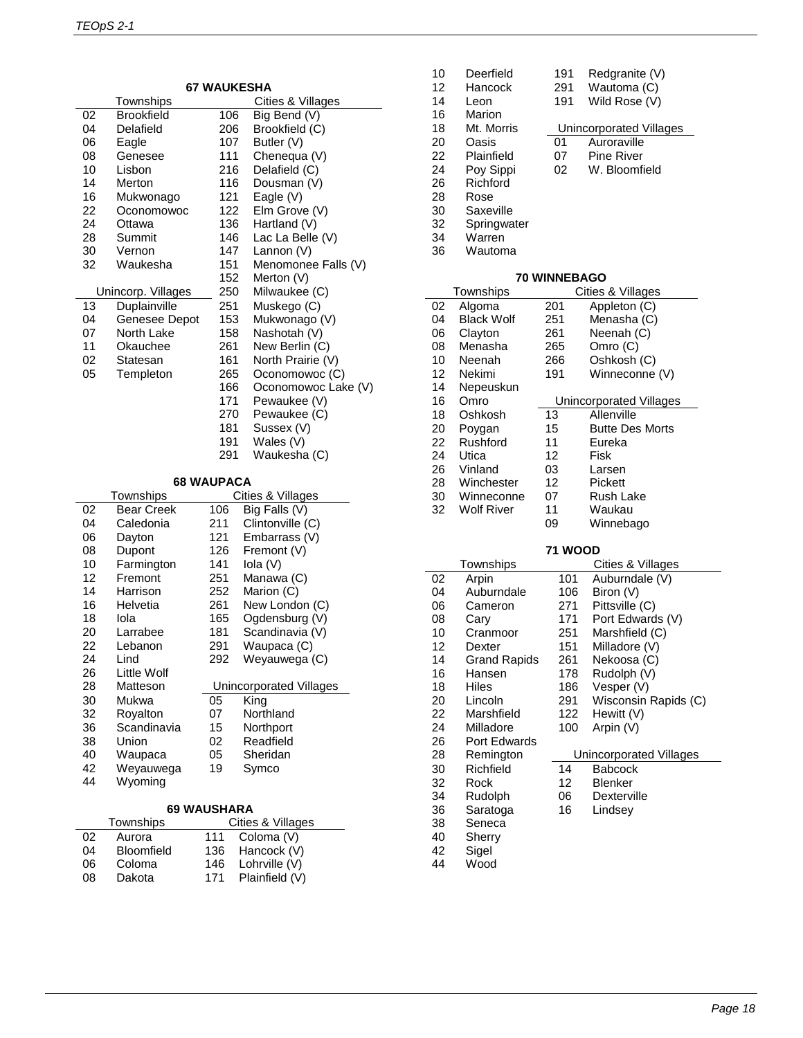| <b>67 WAUKESHA</b> |                    |                   |                         |
|--------------------|--------------------|-------------------|-------------------------|
|                    | Townships          |                   | Cities & Villages       |
| 02                 | <b>Brookfield</b>  | 106               | Big Bend (V)            |
| 04                 | Delafield          | 206               | Brookfield (C)          |
| 06                 | Eagle              | 107               | Butler (V)              |
| 08                 | Genesee            | 111               | Chenequa (V)            |
| 10                 | Lisbon             | 216               | Delafield (C)           |
| 14                 | Merton             | 116               | Dousman (V)             |
| 16                 | Mukwonago          | 121               | Eagle (V)               |
| 22                 | Oconomowoc         | 122               | Elm Grove (V)           |
| 24                 | Ottawa             | 136               | Hartland (V)            |
| 28                 | Summit             | 146               | Lac La Belle (V)        |
| 30                 | Vernon             | 147               | Lannon (V)              |
| 32                 | Waukesha           | 151               | Menomonee Falls (V)     |
|                    |                    | 152               | Merton (V)              |
|                    | Unincorp. Villages | 250               | Milwaukee (C)           |
| 13                 | Duplainville       | 251               | Muskego (C)             |
| 04                 | Genesee Depot      | 153               | Mukwonago (V)           |
| 07                 | North Lake         | 158               | Nashotah (V)            |
| 11                 | Okauchee           | 261               | New Berlin (C)          |
| 02                 | Statesan           | 161               | North Prairie (V)       |
| 05                 | Templeton          | 265               | Oconomowoc (C)          |
|                    |                    | 166               | Oconomowoc Lake (V)     |
|                    |                    | 171               | Pewaukee (V)            |
|                    |                    | 270               | Pewaukee (C)            |
|                    |                    | 181               | Sussex (V)              |
|                    |                    | 191               | Wales (V)               |
|                    |                    | 291               | Waukesha (C)            |
|                    |                    |                   |                         |
|                    |                    | <b>68 WAUPACA</b> |                         |
|                    | Townships          |                   | Cities & Villages       |
| 02                 | <b>Bear Creek</b>  | 106               | Big Falls (V)           |
| 04                 | Caledonia          | 211               | Clintonville (C)        |
| 06                 | Dayton             | 121               | Embarrass (V)           |
| 08                 | Dupont             | 126               | Fremont (V)             |
| 10                 | Farmington         | 141               | Iola (V)                |
| 12                 | Fremont            | 251               | Manawa (C)              |
| 14                 | Harrison           | 252               | Marion (C)              |
| 16                 | Helvetia           | 261               | New London (C)          |
| 18                 | Iola               | 165               | Ogdensburg (V)          |
| 20                 | Larrabee           | 181               | Scandinavia (V)         |
| 22                 | Lebanon            | 291               | Waupaca (C)             |
| 24                 | Lind               | 292               | Weyauwega (C)           |
| 26                 | Little Wolf        |                   |                         |
| 28                 | Matteson           |                   | Unincorporated Villages |
| 30                 | Mukwa              | 05                | King                    |
| 32                 | Royalton           | 07                | Northland               |
| 36                 | Scandinavia        | 15                | Northport               |
| 38                 | Union              | 02                | Readfield               |
| 40                 | Waupaca            | 05                | Sheridan                |
| 42                 | Weyauwega          | 19                | Symco                   |

# **69 WAUSHARA**

Wyoming

|    | Townships         |     | Cities & Villages |
|----|-------------------|-----|-------------------|
| 02 | Aurora            | 111 | Coloma (V)        |
| 04 | <b>Bloomfield</b> | 136 | Hancock (V)       |
| 06 | Coloma            | 146 | Lohrville (V)     |
| 08 | Dakota            | 171 | Plainfield (V)    |

| 10<br>12<br>14<br>16<br>18<br>20<br>22<br>24<br>26<br>28<br>30<br>32<br>34<br>36 | Deerfield<br>Hancock<br>Leon<br>Marion<br>Mt. Morris<br>Oasis<br>Plainfield<br>Poy Sippi<br>Richford<br>Rose<br>Saxeville<br>Springwater<br>Warren<br>Wautoma | 191<br>291<br>191<br>01<br>07<br>02 | Redgranite (V)<br>Wautoma (C)<br>Wild Rose (V)<br><b>Unincorporated Villages</b><br>Auroraville<br>Pine River<br>W. Bloomfield |
|----------------------------------------------------------------------------------|---------------------------------------------------------------------------------------------------------------------------------------------------------------|-------------------------------------|--------------------------------------------------------------------------------------------------------------------------------|
|                                                                                  |                                                                                                                                                               | <b>70 WINNEBAGO</b>                 |                                                                                                                                |
|                                                                                  | Townships                                                                                                                                                     |                                     | Cities & Villages                                                                                                              |
| 02                                                                               | Algoma<br><b>Black Wolf</b>                                                                                                                                   | 201                                 | Appleton (C)                                                                                                                   |
| 04<br>06                                                                         | Clayton                                                                                                                                                       | 251<br>261                          | Menasha (C)<br>Neenah (C)                                                                                                      |
| 08                                                                               | Menasha                                                                                                                                                       | 265                                 | Omro (C)                                                                                                                       |
| 10                                                                               | Neenah                                                                                                                                                        | 266                                 | Oshkosh (C)                                                                                                                    |
| 12                                                                               | Nekimi                                                                                                                                                        | 191                                 | Winneconne (V)                                                                                                                 |
| 14                                                                               | Nepeuskun                                                                                                                                                     |                                     |                                                                                                                                |
| 16<br>18                                                                         | Omro<br>Oshkosh                                                                                                                                               | 13                                  | <b>Unincorporated Villages</b><br>Allenville                                                                                   |
| 20                                                                               | Poygan                                                                                                                                                        | 15                                  | <b>Butte Des Morts</b>                                                                                                         |
| 22                                                                               | Rushford                                                                                                                                                      | 11                                  | Eureka                                                                                                                         |
| 24                                                                               | Utica                                                                                                                                                         | 12                                  | Fisk                                                                                                                           |
| 26                                                                               | Vinland                                                                                                                                                       | 03                                  | Larsen                                                                                                                         |
| 28<br>30                                                                         | Winchester<br>Winneconne                                                                                                                                      | 12<br>07                            | Pickett<br>Rush Lake                                                                                                           |
| 32                                                                               | Wolf River                                                                                                                                                    | 11                                  | Waukau                                                                                                                         |
|                                                                                  |                                                                                                                                                               | 09                                  | Winnebago                                                                                                                      |
|                                                                                  |                                                                                                                                                               |                                     |                                                                                                                                |
|                                                                                  | Townships                                                                                                                                                     | <b>71 WOOD</b>                      | Cities & Villages                                                                                                              |
| 02                                                                               | Arpin                                                                                                                                                         | 101                                 | Auburndale (V)                                                                                                                 |
| 04                                                                               | Auburndale                                                                                                                                                    | 106                                 | Biron (V)                                                                                                                      |
| 06                                                                               | Cameron                                                                                                                                                       | 271                                 | Pittsville (C)                                                                                                                 |
| 08                                                                               | Cary                                                                                                                                                          | 171                                 | Port Edwards (V)                                                                                                               |
| 10<br>12                                                                         | Cranmoor                                                                                                                                                      | 251<br>151                          | Marshfield (C)<br>Milladore (V)                                                                                                |
| 14                                                                               | Dexter<br><b>Grand Rapids</b>                                                                                                                                 | 261                                 | Nekoosa (C)                                                                                                                    |
| 16                                                                               | Hansen                                                                                                                                                        | 178                                 | Rudolph (V)                                                                                                                    |
| 18                                                                               | Hiles                                                                                                                                                         | 186                                 | Vesper (V)                                                                                                                     |
| 20                                                                               | Lincoln                                                                                                                                                       | 291                                 | Wisconsin Rapids (C)                                                                                                           |
| 22<br>24                                                                         | Marshfield<br>Milladore                                                                                                                                       | 122<br>100                          | Hewitt (V)                                                                                                                     |
| 26                                                                               | Port Edwards                                                                                                                                                  |                                     | Arpin (V)                                                                                                                      |
| 28                                                                               | Remington                                                                                                                                                     |                                     | Unincorporated Villages                                                                                                        |
| 30                                                                               | Richfield                                                                                                                                                     | 14                                  | <b>Babcock</b>                                                                                                                 |
| 32                                                                               | Rock                                                                                                                                                          | 12                                  | <b>Blenker</b>                                                                                                                 |
| 34                                                                               | Rudolph                                                                                                                                                       | 06                                  | Dexterville                                                                                                                    |
| 36<br>38                                                                         | Saratoga<br>Seneca                                                                                                                                            | 16                                  | Lindsey                                                                                                                        |
| 40                                                                               | Sherry                                                                                                                                                        |                                     |                                                                                                                                |
| 42                                                                               | Sigel                                                                                                                                                         |                                     |                                                                                                                                |
| 44                                                                               | Wood                                                                                                                                                          |                                     |                                                                                                                                |
|                                                                                  |                                                                                                                                                               |                                     |                                                                                                                                |

 $\overline{\phantom{0}}$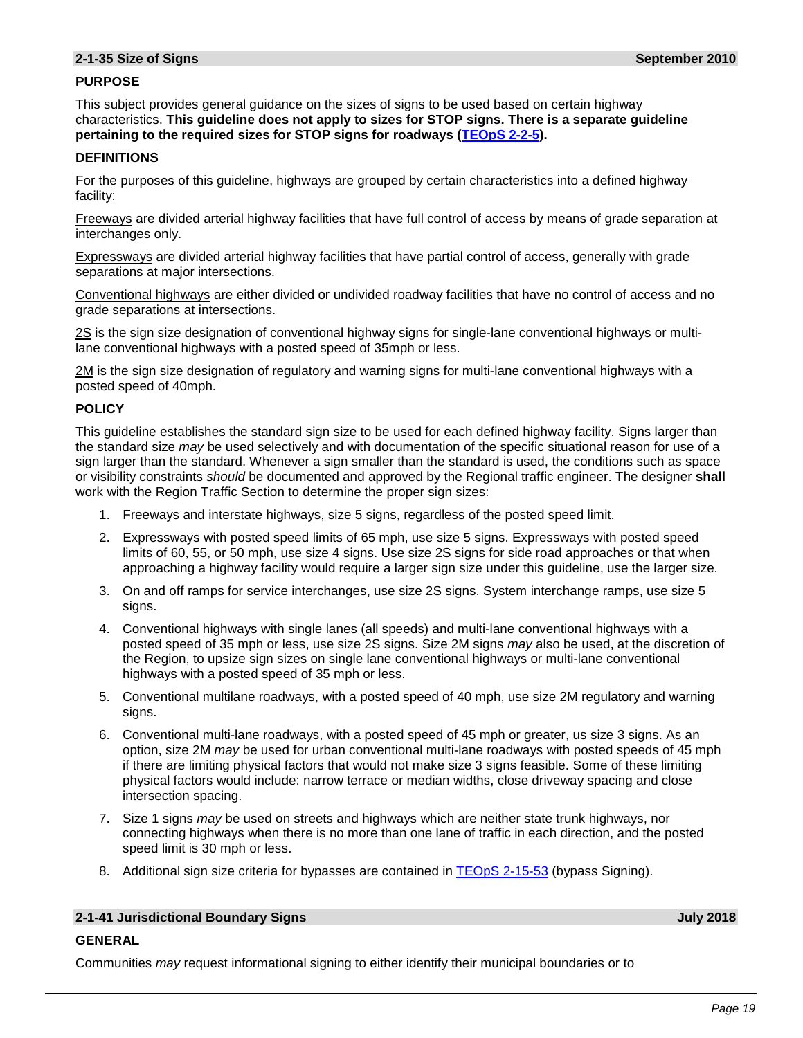# **PURPOSE**

This subject provides general guidance on the sizes of signs to be used based on certain highway characteristics. **This guideline does not apply to sizes for STOP signs. There is a separate guideline pertaining to the required sizes for STOP signs for roadways [\(TEOpS](https://wisconsindot.gov/dtsdManuals/traffic-ops/manuals-and-standards/teops/02-02.pdf#2-2-5) 2-2-5).**

#### **DEFINITIONS**

For the purposes of this guideline, highways are grouped by certain characteristics into a defined highway facility:

Freeways are divided arterial highway facilities that have full control of access by means of grade separation at interchanges only.

Expressways are divided arterial highway facilities that have partial control of access, generally with grade separations at major intersections.

Conventional highways are either divided or undivided roadway facilities that have no control of access and no grade separations at intersections.

2S is the sign size designation of conventional highway signs for single-lane conventional highways or multilane conventional highways with a posted speed of 35mph or less.

2M is the sign size designation of regulatory and warning signs for multi-lane conventional highways with a posted speed of 40mph.

# **POLICY**

This guideline establishes the standard sign size to be used for each defined highway facility. Signs larger than the standard size *may* be used selectively and with documentation of the specific situational reason for use of a sign larger than the standard. Whenever a sign smaller than the standard is used, the conditions such as space or visibility constraints *should* be documented and approved by the Regional traffic engineer. The designer **shall** work with the Region Traffic Section to determine the proper sign sizes:

- 1. Freeways and interstate highways, size 5 signs, regardless of the posted speed limit.
- 2. Expressways with posted speed limits of 65 mph, use size 5 signs. Expressways with posted speed limits of 60, 55, or 50 mph, use size 4 signs. Use size 2S signs for side road approaches or that when approaching a highway facility would require a larger sign size under this guideline, use the larger size.
- 3. On and off ramps for service interchanges, use size 2S signs. System interchange ramps, use size 5 signs.
- 4. Conventional highways with single lanes (all speeds) and multi-lane conventional highways with a posted speed of 35 mph or less, use size 2S signs. Size 2M signs *may* also be used, at the discretion of the Region, to upsize sign sizes on single lane conventional highways or multi-lane conventional highways with a posted speed of 35 mph or less.
- 5. Conventional multilane roadways, with a posted speed of 40 mph, use size 2M regulatory and warning signs.
- 6. Conventional multi-lane roadways, with a posted speed of 45 mph or greater, us size 3 signs. As an option, size 2M *may* be used for urban conventional multi-lane roadways with posted speeds of 45 mph if there are limiting physical factors that would not make size 3 signs feasible. Some of these limiting physical factors would include: narrow terrace or median widths, close driveway spacing and close intersection spacing.
- 7. Size 1 signs *may* be used on streets and highways which are neither state trunk highways, nor connecting highways when there is no more than one lane of traffic in each direction, and the posted speed limit is 30 mph or less.
- 8. Additional sign size criteria for bypasses are contained in [TEOpS 2-15-53](https://wisconsindot.gov/dtsdManuals/traffic-ops/manuals-and-standards/teops/02-15.pdf#2-15-53) (bypass Signing).

#### **2-1-41 Jurisdictional Boundary Signs July 2018**

#### **GENERAL**

Communities *may* request informational signing to either identify their municipal boundaries or to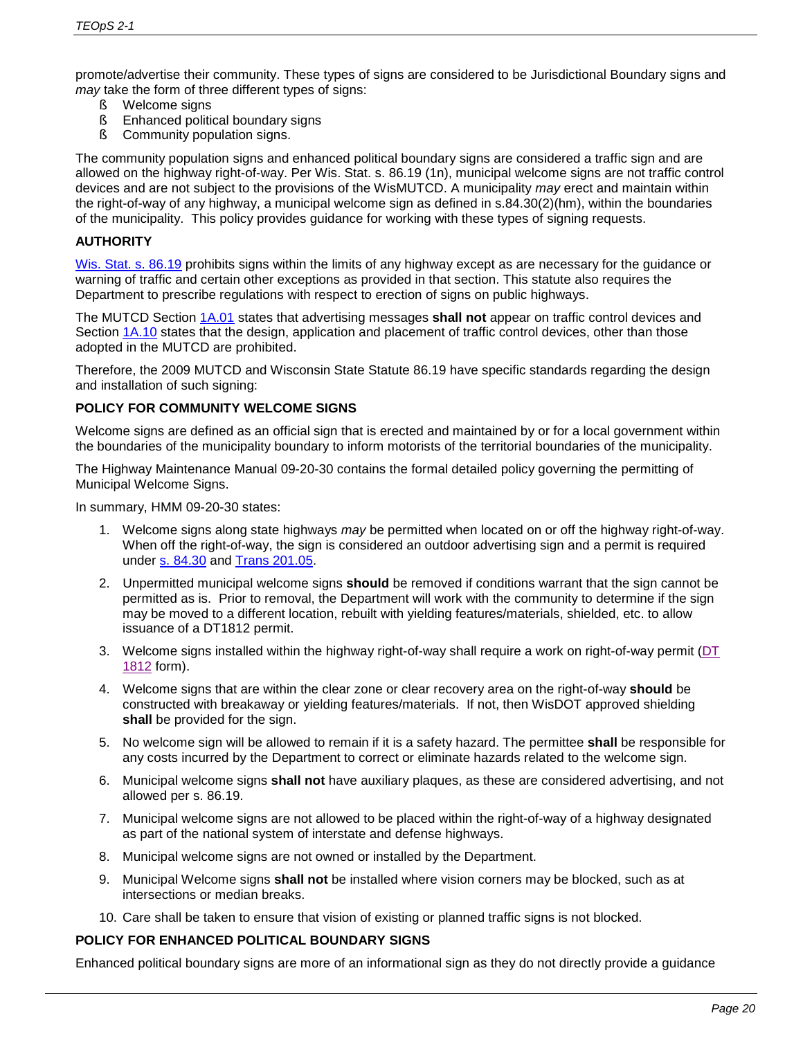promote/advertise their community. These types of signs are considered to be Jurisdictional Boundary signs and *may* take the form of three different types of signs:

- § Welcome signs
- **§** Enhanced political boundary signs
- **§** Community population signs.

The community population signs and enhanced political boundary signs are considered a traffic sign and are allowed on the highway right-of-way. Per Wis. Stat. s. 86.19 (1n), municipal welcome signs are not traffic control devices and are not subject to the provisions of the WisMUTCD. A municipality *may* erect and maintain within the right-of-way of any highway, a municipal welcome sign as defined in s.84.30(2)(hm), within the boundaries of the municipality. This policy provides guidance for working with these types of signing requests.

# **AUTHORITY**

[Wis. Stat. s. 86.19](https://docs.legis.wisconsin.gov/statutes/statutes/86/19) prohibits signs within the limits of any highway except as are necessary for the guidance or warning of traffic and certain other exceptions as provided in that section. This statute also requires the Department to prescribe regulations with respect to erection of signs on public highways.

The MUTCD Section [1A.01](https://wisconsindot.gov/dtsdManuals/traffic-ops/manuals-and-standards/wmutcd/mutcd-ch01.pdf) states that advertising messages **shall not** appear on traffic control devices and Section [1A.10](https://wisconsindot.gov/dtsdManuals/traffic-ops/manuals-and-standards/wmutcd/mutcd-ch01.pdf) states that the design, application and placement of traffic control devices, other than those adopted in the MUTCD are prohibited.

Therefore, the 2009 MUTCD and Wisconsin State Statute 86.19 have specific standards regarding the design and installation of such signing:

# **POLICY FOR COMMUNITY WELCOME SIGNS**

Welcome signs are defined as an official sign that is erected and maintained by or for a local government within the boundaries of the municipality boundary to inform motorists of the territorial boundaries of the municipality.

The Highway Maintenance Manual 09-20-30 contains the formal detailed policy governing the permitting of Municipal Welcome Signs.

In summary, HMM 09-20-30 states:

- 1. Welcome signs along state highways *may* be permitted when located on or off the highway right-of-way. When off the right-of-way, the sign is considered an outdoor advertising sign and a permit is required under [s. 84.30](http://docs.legis.wisconsin.gov/statutes/statutes/84/30/) and [Trans 201.05.](https://docs.legis.wisconsin.gov/code/admin_code/trans/201/05)
- 2. Unpermitted municipal welcome signs **should** be removed if conditions warrant that the sign cannot be permitted as is. Prior to removal, the Department will work with the community to determine if the sign may be moved to a different location, rebuilt with yielding features/materials, shielded, etc. to allow issuance of a DT1812 permit.
- 3. Welcome signs installed within the highway right-of-way shall require a work on right-of-way permit [\(DT](http://wisconsindot.gov/Documents/formdocs/dt1812.docx)  [1812](http://wisconsindot.gov/Documents/formdocs/dt1812.docx) form).
- 4. Welcome signs that are within the clear zone or clear recovery area on the right-of-way **should** be constructed with breakaway or yielding features/materials. If not, then WisDOT approved shielding **shall** be provided for the sign.
- 5. No welcome sign will be allowed to remain if it is a safety hazard. The permittee **shall** be responsible for any costs incurred by the Department to correct or eliminate hazards related to the welcome sign.
- 6. Municipal welcome signs **shall not** have auxiliary plaques, as these are considered advertising, and not allowed per s. 86.19.
- 7. Municipal welcome signs are not allowed to be placed within the right-of-way of a highway designated as part of the national system of interstate and defense highways.
- 8. Municipal welcome signs are not owned or installed by the Department.
- 9. Municipal Welcome signs **shall not** be installed where vision corners may be blocked, such as at intersections or median breaks.
- 10. Care shall be taken to ensure that vision of existing or planned traffic signs is not blocked.

#### **POLICY FOR ENHANCED POLITICAL BOUNDARY SIGNS**

Enhanced political boundary signs are more of an informational sign as they do not directly provide a guidance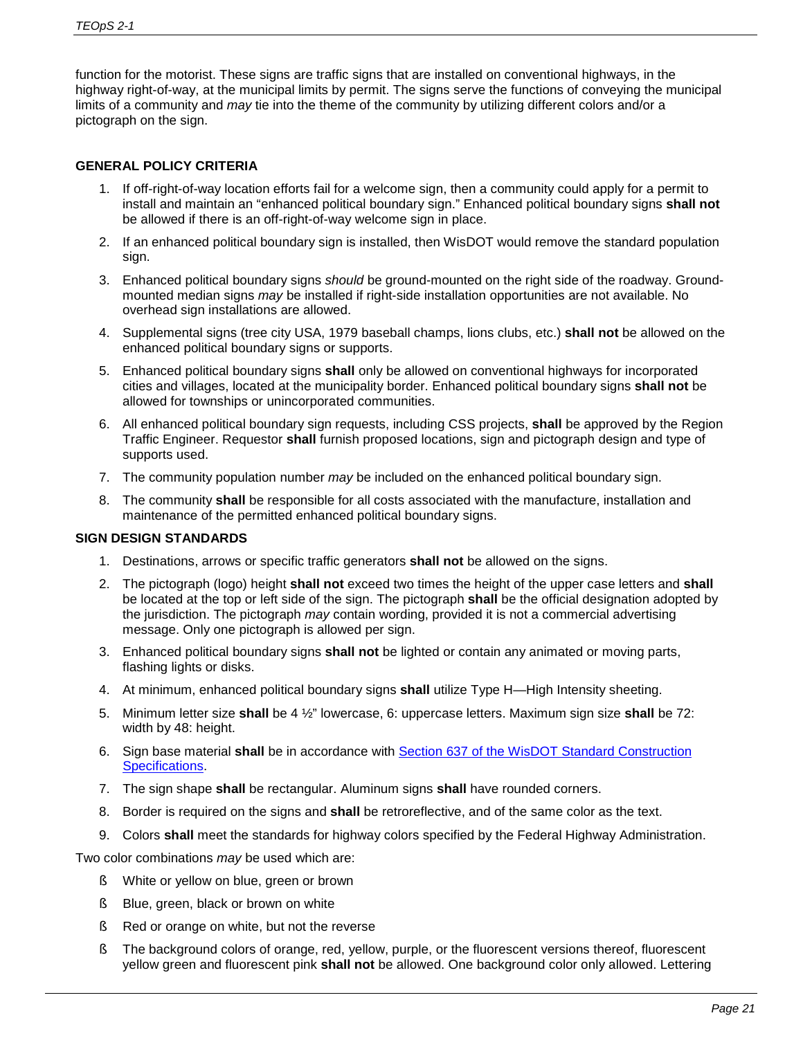function for the motorist. These signs are traffic signs that are installed on conventional highways, in the highway right-of-way, at the municipal limits by permit. The signs serve the functions of conveying the municipal limits of a community and *may* tie into the theme of the community by utilizing different colors and/or a pictograph on the sign.

# **GENERAL POLICY CRITERIA**

- 1. If off-right-of-way location efforts fail for a welcome sign, then a community could apply for a permit to install and maintain an "enhanced political boundary sign." Enhanced political boundary signs **shall not**  be allowed if there is an off-right-of-way welcome sign in place.
- 2. If an enhanced political boundary sign is installed, then WisDOT would remove the standard population sign.
- 3. Enhanced political boundary signs *should* be ground-mounted on the right side of the roadway. Groundmounted median signs *may* be installed if right-side installation opportunities are not available. No overhead sign installations are allowed.
- 4. Supplemental signs (tree city USA, 1979 baseball champs, lions clubs, etc.) **shall not** be allowed on the enhanced political boundary signs or supports.
- 5. Enhanced political boundary signs **shall** only be allowed on conventional highways for incorporated cities and villages, located at the municipality border. Enhanced political boundary signs **shall not** be allowed for townships or unincorporated communities.
- 6. All enhanced political boundary sign requests, including CSS projects, **shall** be approved by the Region Traffic Engineer. Requestor **shall** furnish proposed locations, sign and pictograph design and type of supports used.
- 7. The community population number *may* be included on the enhanced political boundary sign.
- 8. The community **shall** be responsible for all costs associated with the manufacture, installation and maintenance of the permitted enhanced political boundary signs.

#### **SIGN DESIGN STANDARDS**

- 1. Destinations, arrows or specific traffic generators **shall not** be allowed on the signs.
- 2. The pictograph (logo) height **shall not** exceed two times the height of the upper case letters and **shall** be located at the top or left side of the sign. The pictograph **shall** be the official designation adopted by the jurisdiction. The pictograph *may* contain wording, provided it is not a commercial advertising message. Only one pictograph is allowed per sign.
- 3. Enhanced political boundary signs **shall not** be lighted or contain any animated or moving parts, flashing lights or disks.
- 4. At minimum, enhanced political boundary signs **shall** utilize Type H—High Intensity sheeting.
- 5. Minimum letter size **shall** be 4 ½" lowercase, 6: uppercase letters. Maximum sign size **shall** be 72: width by 48: height.
- 6. Sign base material **shall** be in accordance with [Section 637 of the WisDOT Standard Construction](http://wisconsindot.gov/rdwy/stndspec/ss-06-37.pdf#ss637)  [Specifications.](http://wisconsindot.gov/rdwy/stndspec/ss-06-37.pdf#ss637)
- 7. The sign shape **shall** be rectangular. Aluminum signs **shall** have rounded corners.
- 8. Border is required on the signs and **shall** be retroreflective, and of the same color as the text.
- 9. Colors **shall** meet the standards for highway colors specified by the Federal Highway Administration.

Two color combinations *may* be used which are:

- § White or yellow on blue, green or brown
- § Blue, green, black or brown on white
- § Red or orange on white, but not the reverse
- § The background colors of orange, red, yellow, purple, or the fluorescent versions thereof, fluorescent yellow green and fluorescent pink **shall not** be allowed. One background color only allowed. Lettering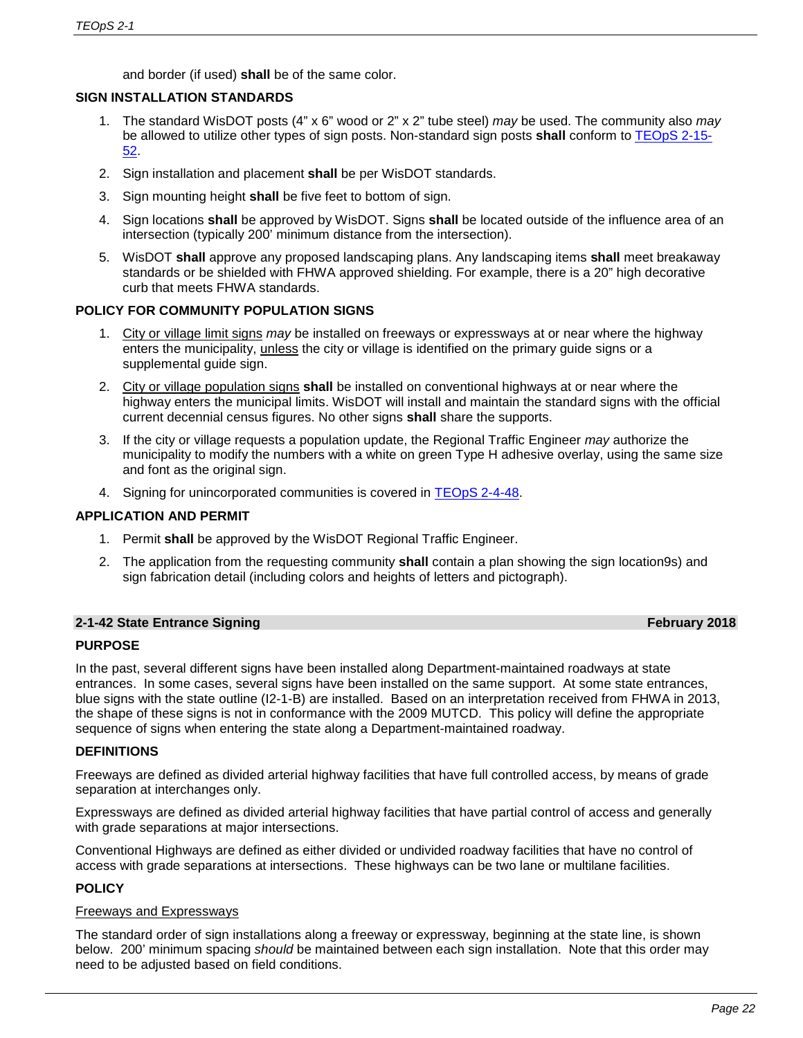and border (if used) **shall** be of the same color.

# **SIGN INSTALLATION STANDARDS**

- 1. The standard WisDOT posts (4" x 6" wood or 2" x 2" tube steel) *may* be used. The community also *may* be allowed to utilize other types of sign posts. Non-standard sign posts **shall** conform to [TEOpS](https://wisconsindot.gov/dtsdManuals/traffic-ops/manuals-and-standards/teops/02-15.pdf#2-15-52) 2-15- [52.](https://wisconsindot.gov/dtsdManuals/traffic-ops/manuals-and-standards/teops/02-15.pdf#2-15-52)
- 2. Sign installation and placement **shall** be per WisDOT standards.
- 3. Sign mounting height **shall** be five feet to bottom of sign.
- 4. Sign locations **shall** be approved by WisDOT. Signs **shall** be located outside of the influence area of an intersection (typically 200' minimum distance from the intersection).
- 5. WisDOT **shall** approve any proposed landscaping plans. Any landscaping items **shall** meet breakaway standards or be shielded with FHWA approved shielding. For example, there is a 20" high decorative curb that meets FHWA standards.

# **POLICY FOR COMMUNITY POPULATION SIGNS**

- 1. City or village limit signs *may* be installed on freeways or expressways at or near where the highway enters the municipality, unless the city or village is identified on the primary guide signs or a supplemental guide sign.
- 2. City or village population signs **shall** be installed on conventional highways at or near where the highway enters the municipal limits. WisDOT will install and maintain the standard signs with the official current decennial census figures. No other signs **shall** share the supports.
- 3. If the city or village requests a population update, the Regional Traffic Engineer *may* authorize the municipality to modify the numbers with a white on green Type H adhesive overlay, using the same size and font as the original sign.
- 4. Signing for unincorporated communities is covered in [TEOpS](https://wisconsindot.gov/dtsdManuals/traffic-ops/manuals-and-standards/teops/02-04.pdf#2-4-48) 2-4-48.

#### **APPLICATION AND PERMIT**

- 1. Permit **shall** be approved by the WisDOT Regional Traffic Engineer.
- 2. The application from the requesting community **shall** contain a plan showing the sign location9s) and sign fabrication detail (including colors and heights of letters and pictograph).

#### **2-1-42 State Entrance Signing February 2018**

#### **PURPOSE**

In the past, several different signs have been installed along Department-maintained roadways at state entrances. In some cases, several signs have been installed on the same support. At some state entrances, blue signs with the state outline (I2-1-B) are installed. Based on an interpretation received from FHWA in 2013, the shape of these signs is not in conformance with the 2009 MUTCD. This policy will define the appropriate sequence of signs when entering the state along a Department-maintained roadway.

#### **DEFINITIONS**

Freeways are defined as divided arterial highway facilities that have full controlled access, by means of grade separation at interchanges only.

Expressways are defined as divided arterial highway facilities that have partial control of access and generally with grade separations at major intersections.

Conventional Highways are defined as either divided or undivided roadway facilities that have no control of access with grade separations at intersections. These highways can be two lane or multilane facilities.

# **POLICY**

#### Freeways and Expressways

The standard order of sign installations along a freeway or expressway, beginning at the state line, is shown below. 200' minimum spacing *should* be maintained between each sign installation. Note that this order may need to be adjusted based on field conditions.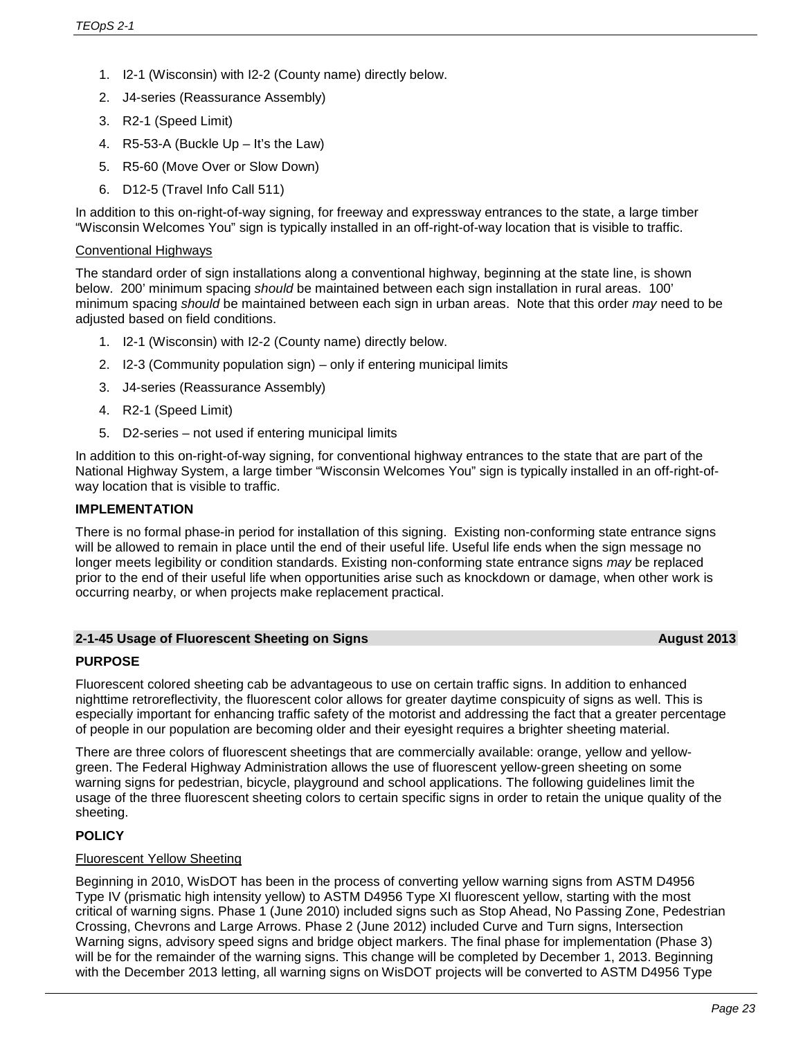- 1. I2-1 (Wisconsin) with I2-2 (County name) directly below.
- 2. J4-series (Reassurance Assembly)
- 3. R2-1 (Speed Limit)
- 4. R5-53-A (Buckle Up It's the Law)
- 5. R5-60 (Move Over or Slow Down)
- 6. D12-5 (Travel Info Call 511)

In addition to this on-right-of-way signing, for freeway and expressway entrances to the state, a large timber "Wisconsin Welcomes You" sign is typically installed in an off-right-of-way location that is visible to traffic.

#### Conventional Highways

The standard order of sign installations along a conventional highway, beginning at the state line, is shown below. 200' minimum spacing *should* be maintained between each sign installation in rural areas. 100' minimum spacing *should* be maintained between each sign in urban areas. Note that this order *may* need to be adjusted based on field conditions.

- 1. I2-1 (Wisconsin) with I2-2 (County name) directly below.
- 2. I2-3 (Community population sign) only if entering municipal limits
- 3. J4-series (Reassurance Assembly)
- 4. R2-1 (Speed Limit)
- 5. D2-series not used if entering municipal limits

In addition to this on-right-of-way signing, for conventional highway entrances to the state that are part of the National Highway System, a large timber "Wisconsin Welcomes You" sign is typically installed in an off-right-ofway location that is visible to traffic.

#### **IMPLEMENTATION**

There is no formal phase-in period for installation of this signing. Existing non-conforming state entrance signs will be allowed to remain in place until the end of their useful life. Useful life ends when the sign message no longer meets legibility or condition standards. Existing non-conforming state entrance signs *may* be replaced prior to the end of their useful life when opportunities arise such as knockdown or damage, when other work is occurring nearby, or when projects make replacement practical.

#### **2-1-45 Usage of Fluorescent Sheeting on Signs August 2013**

#### **PURPOSE**

Fluorescent colored sheeting cab be advantageous to use on certain traffic signs. In addition to enhanced nighttime retroreflectivity, the fluorescent color allows for greater daytime conspicuity of signs as well. This is especially important for enhancing traffic safety of the motorist and addressing the fact that a greater percentage of people in our population are becoming older and their eyesight requires a brighter sheeting material.

There are three colors of fluorescent sheetings that are commercially available: orange, yellow and yellowgreen. The Federal Highway Administration allows the use of fluorescent yellow-green sheeting on some warning signs for pedestrian, bicycle, playground and school applications. The following guidelines limit the usage of the three fluorescent sheeting colors to certain specific signs in order to retain the unique quality of the sheeting.

# **POLICY**

#### Fluorescent Yellow Sheeting

Beginning in 2010, WisDOT has been in the process of converting yellow warning signs from ASTM D4956 Type IV (prismatic high intensity yellow) to ASTM D4956 Type XI fluorescent yellow, starting with the most critical of warning signs. Phase 1 (June 2010) included signs such as Stop Ahead, No Passing Zone, Pedestrian Crossing, Chevrons and Large Arrows. Phase 2 (June 2012) included Curve and Turn signs, Intersection Warning signs, advisory speed signs and bridge object markers. The final phase for implementation (Phase 3) will be for the remainder of the warning signs. This change will be completed by December 1, 2013. Beginning with the December 2013 letting, all warning signs on WisDOT projects will be converted to ASTM D4956 Type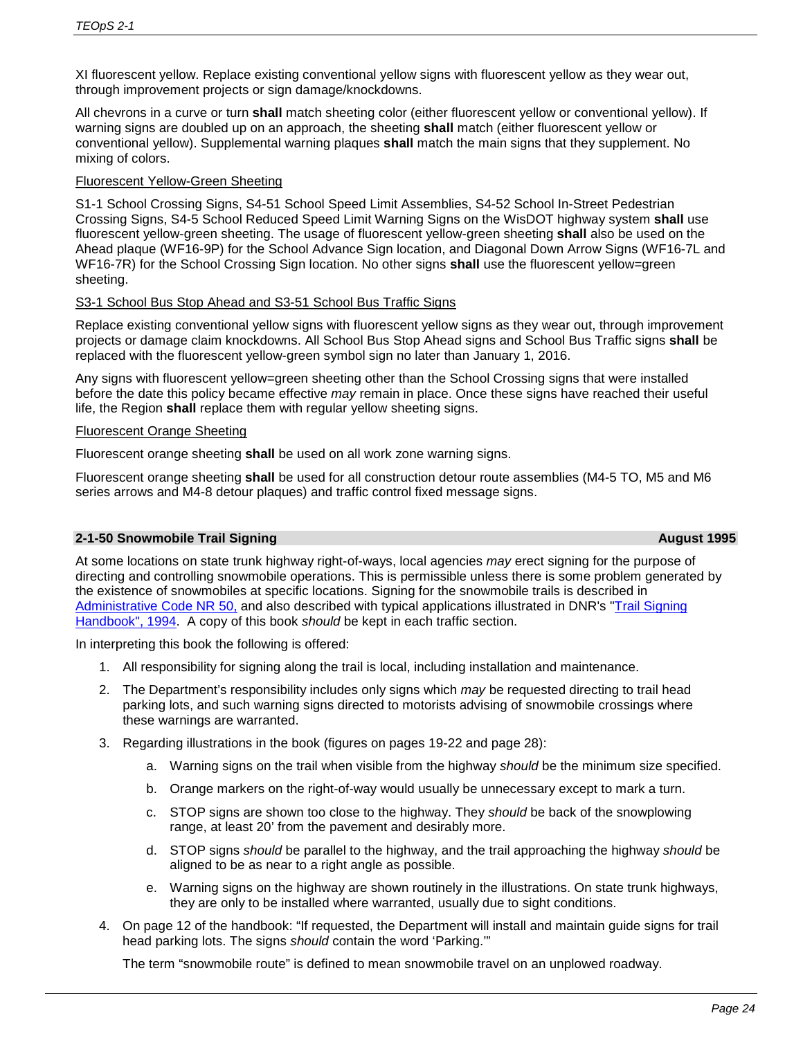XI fluorescent yellow. Replace existing conventional yellow signs with fluorescent yellow as they wear out, through improvement projects or sign damage/knockdowns.

All chevrons in a curve or turn **shall** match sheeting color (either fluorescent yellow or conventional yellow). If warning signs are doubled up on an approach, the sheeting **shall** match (either fluorescent yellow or conventional yellow). Supplemental warning plaques **shall** match the main signs that they supplement. No mixing of colors.

# Fluorescent Yellow-Green Sheeting

S1-1 School Crossing Signs, S4-51 School Speed Limit Assemblies, S4-52 School In-Street Pedestrian Crossing Signs, S4-5 School Reduced Speed Limit Warning Signs on the WisDOT highway system **shall** use fluorescent yellow-green sheeting. The usage of fluorescent yellow-green sheeting **shall** also be used on the Ahead plaque (WF16-9P) for the School Advance Sign location, and Diagonal Down Arrow Signs (WF16-7L and WF16-7R) for the School Crossing Sign location. No other signs **shall** use the fluorescent yellow=green sheeting.

# S3-1 School Bus Stop Ahead and S3-51 School Bus Traffic Signs

Replace existing conventional yellow signs with fluorescent yellow signs as they wear out, through improvement projects or damage claim knockdowns. All School Bus Stop Ahead signs and School Bus Traffic signs **shall** be replaced with the fluorescent yellow-green symbol sign no later than January 1, 2016.

Any signs with fluorescent yellow=green sheeting other than the School Crossing signs that were installed before the date this policy became effective *may* remain in place. Once these signs have reached their useful life, the Region **shall** replace them with regular yellow sheeting signs.

#### Fluorescent Orange Sheeting

Fluorescent orange sheeting **shall** be used on all work zone warning signs.

Fluorescent orange sheeting **shall** be used for all construction detour route assemblies (M4-5 TO, M5 and M6 series arrows and M4-8 detour plaques) and traffic control fixed message signs.

# **2-1-50 Snowmobile Trail Signing <b>August 1995 August 1995**

At some locations on state trunk highway right-of-ways, local agencies *may* erect signing for the purpose of directing and controlling snowmobile operations. This is permissible unless there is some problem generated by the existence of snowmobiles at specific locations. Signing for the snowmobile trails is described in [Administrative Code NR 50,](https://docs.legis.wisconsin.gov/code/admin_code/nr/001/50/09) and also described with typical applications illustrated in DNR's ["Trail Signing](http://dnr.wi.gov/files/PDF/pubs/cf/CF0023.pdf)  [Handbook", 1994.](http://dnr.wi.gov/files/PDF/pubs/cf/CF0023.pdf) A copy of this book *should* be kept in each traffic section.

In interpreting this book the following is offered:

- 1. All responsibility for signing along the trail is local, including installation and maintenance.
- 2. The Department's responsibility includes only signs which *may* be requested directing to trail head parking lots, and such warning signs directed to motorists advising of snowmobile crossings where these warnings are warranted.
- 3. Regarding illustrations in the book (figures on pages 19-22 and page 28):
	- a. Warning signs on the trail when visible from the highway *should* be the minimum size specified.
	- b. Orange markers on the right-of-way would usually be unnecessary except to mark a turn.
	- c. STOP signs are shown too close to the highway. They *should* be back of the snowplowing range, at least 20' from the pavement and desirably more.
	- d. STOP signs *should* be parallel to the highway, and the trail approaching the highway *should* be aligned to be as near to a right angle as possible.
	- e. Warning signs on the highway are shown routinely in the illustrations. On state trunk highways, they are only to be installed where warranted, usually due to sight conditions.
- 4. On page 12 of the handbook: "If requested, the Department will install and maintain guide signs for trail head parking lots. The signs *should* contain the word 'Parking.'"

The term "snowmobile route" is defined to mean snowmobile travel on an unplowed roadway.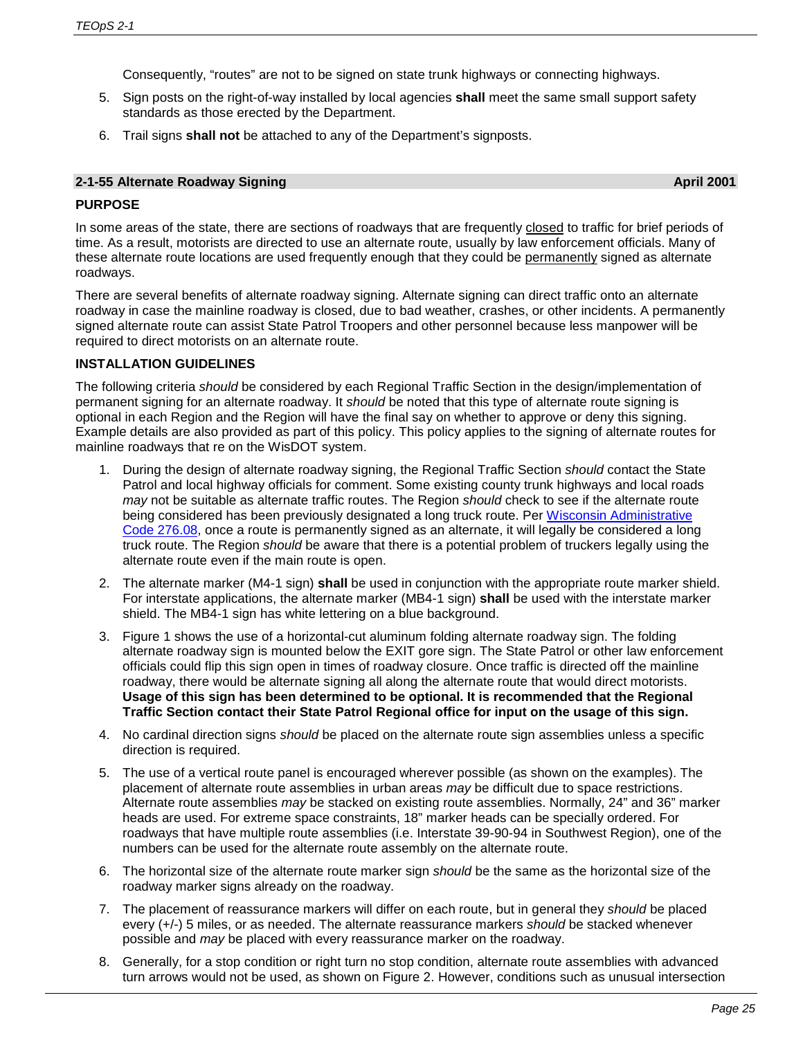Consequently, "routes" are not to be signed on state trunk highways or connecting highways.

- 5. Sign posts on the right-of-way installed by local agencies **shall** meet the same small support safety standards as those erected by the Department.
- 6. Trail signs **shall not** be attached to any of the Department's signposts.

### **2-1-55 Alternate Roadway Signing April 2001**

# **PURPOSE**

In some areas of the state, there are sections of roadways that are frequently closed to traffic for brief periods of time. As a result, motorists are directed to use an alternate route, usually by law enforcement officials. Many of these alternate route locations are used frequently enough that they could be permanently signed as alternate roadways.

There are several benefits of alternate roadway signing. Alternate signing can direct traffic onto an alternate roadway in case the mainline roadway is closed, due to bad weather, crashes, or other incidents. A permanently signed alternate route can assist State Patrol Troopers and other personnel because less manpower will be required to direct motorists on an alternate route.

# **INSTALLATION GUIDELINES**

The following criteria *should* be considered by each Regional Traffic Section in the design/implementation of permanent signing for an alternate roadway. It *should* be noted that this type of alternate route signing is optional in each Region and the Region will have the final say on whether to approve or deny this signing. Example details are also provided as part of this policy. This policy applies to the signing of alternate routes for mainline roadways that re on the WisDOT system.

- 1. During the design of alternate roadway signing, the Regional Traffic Section *should* contact the State Patrol and local highway officials for comment. Some existing county trunk highways and local roads *may* not be suitable as alternate traffic routes. The Region *should* check to see if the alternate route being considered has been previously designated a long truck route. Per Wisconsin Administrative [Code 276.08,](https://docs.legis.wisconsin.gov/document/administrativecode/Trans%20276.08) once a route is permanently signed as an alternate, it will legally be considered a long truck route. The Region *should* be aware that there is a potential problem of truckers legally using the alternate route even if the main route is open.
- 2. The alternate marker (M4-1 sign) **shall** be used in conjunction with the appropriate route marker shield. For interstate applications, the alternate marker (MB4-1 sign) **shall** be used with the interstate marker shield. The MB4-1 sign has white lettering on a blue background.
- 3. Figure 1 shows the use of a horizontal-cut aluminum folding alternate roadway sign. The folding alternate roadway sign is mounted below the EXIT gore sign. The State Patrol or other law enforcement officials could flip this sign open in times of roadway closure. Once traffic is directed off the mainline roadway, there would be alternate signing all along the alternate route that would direct motorists. **Usage of this sign has been determined to be optional. It is recommended that the Regional Traffic Section contact their State Patrol Regional office for input on the usage of this sign.**
- 4. No cardinal direction signs *should* be placed on the alternate route sign assemblies unless a specific direction is required.
- 5. The use of a vertical route panel is encouraged wherever possible (as shown on the examples). The placement of alternate route assemblies in urban areas *may* be difficult due to space restrictions. Alternate route assemblies *may* be stacked on existing route assemblies. Normally, 24" and 36" marker heads are used. For extreme space constraints, 18" marker heads can be specially ordered. For roadways that have multiple route assemblies (i.e. Interstate 39-90-94 in Southwest Region), one of the numbers can be used for the alternate route assembly on the alternate route.
- 6. The horizontal size of the alternate route marker sign *should* be the same as the horizontal size of the roadway marker signs already on the roadway.
- 7. The placement of reassurance markers will differ on each route, but in general they *should* be placed every (+/-) 5 miles, or as needed. The alternate reassurance markers *should* be stacked whenever possible and *may* be placed with every reassurance marker on the roadway.
- 8. Generally, for a stop condition or right turn no stop condition, alternate route assemblies with advanced turn arrows would not be used, as shown on Figure 2. However, conditions such as unusual intersection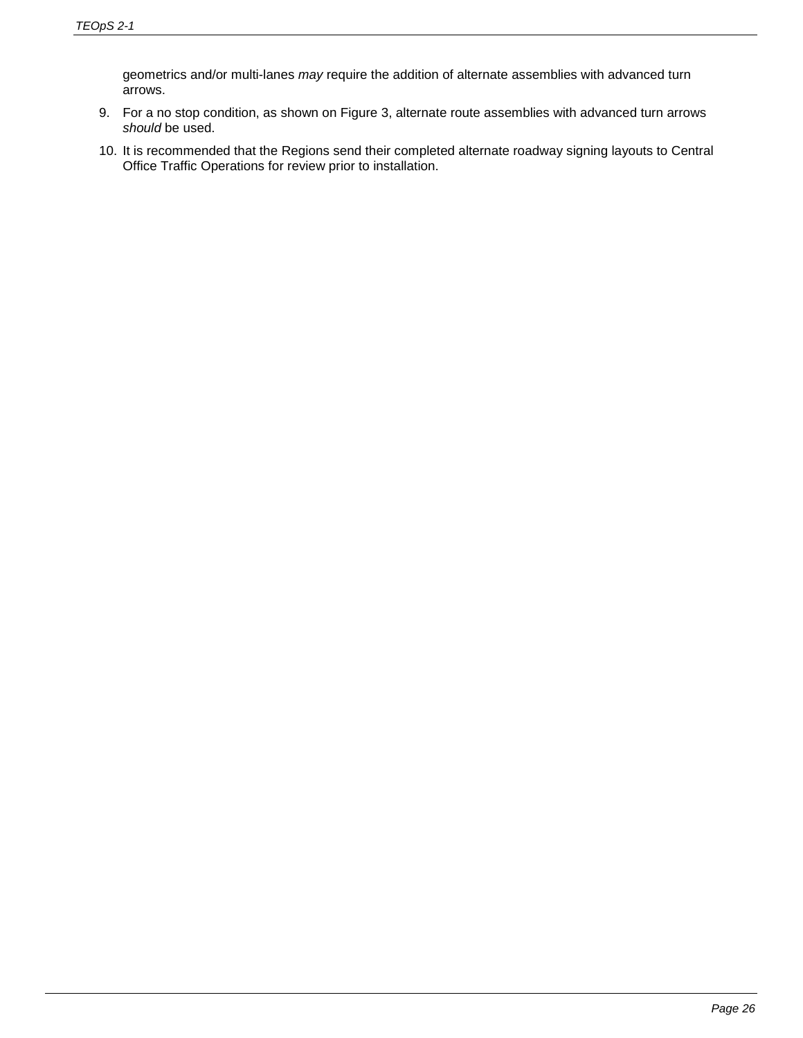geometrics and/or multi-lanes *may* require the addition of alternate assemblies with advanced turn arrows.

- 9. For a no stop condition, as shown on Figure 3, alternate route assemblies with advanced turn arrows *should* be used.
- 10. It is recommended that the Regions send their completed alternate roadway signing layouts to Central Office Traffic Operations for review prior to installation.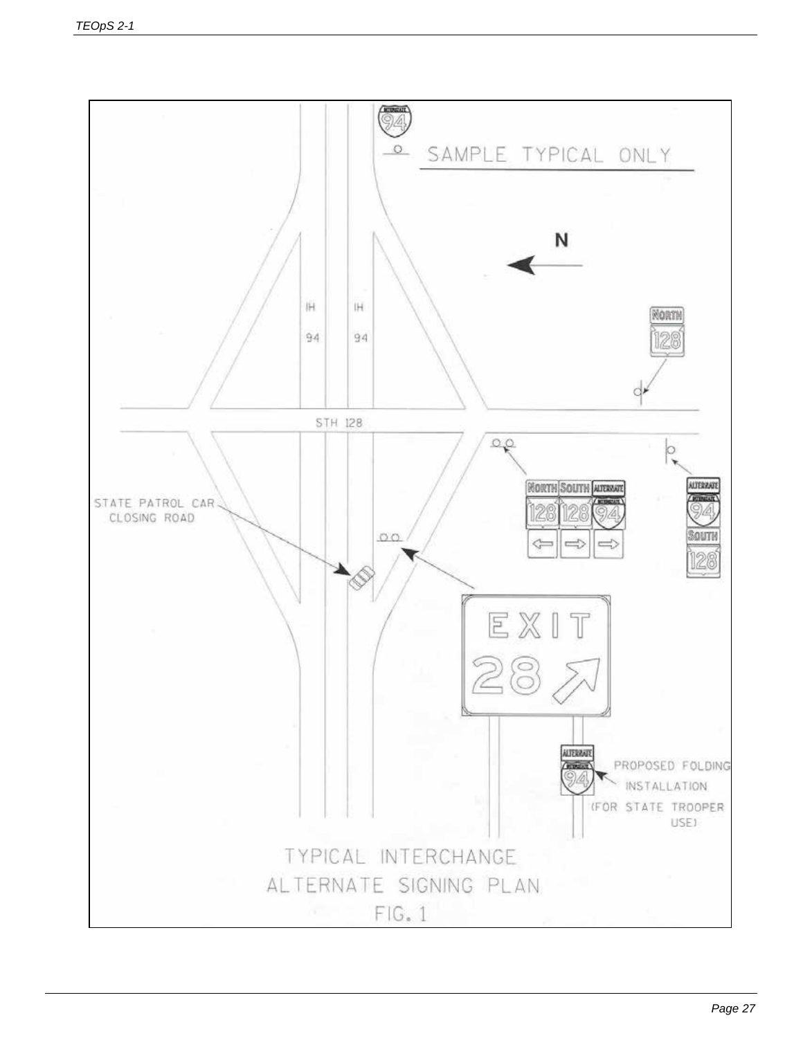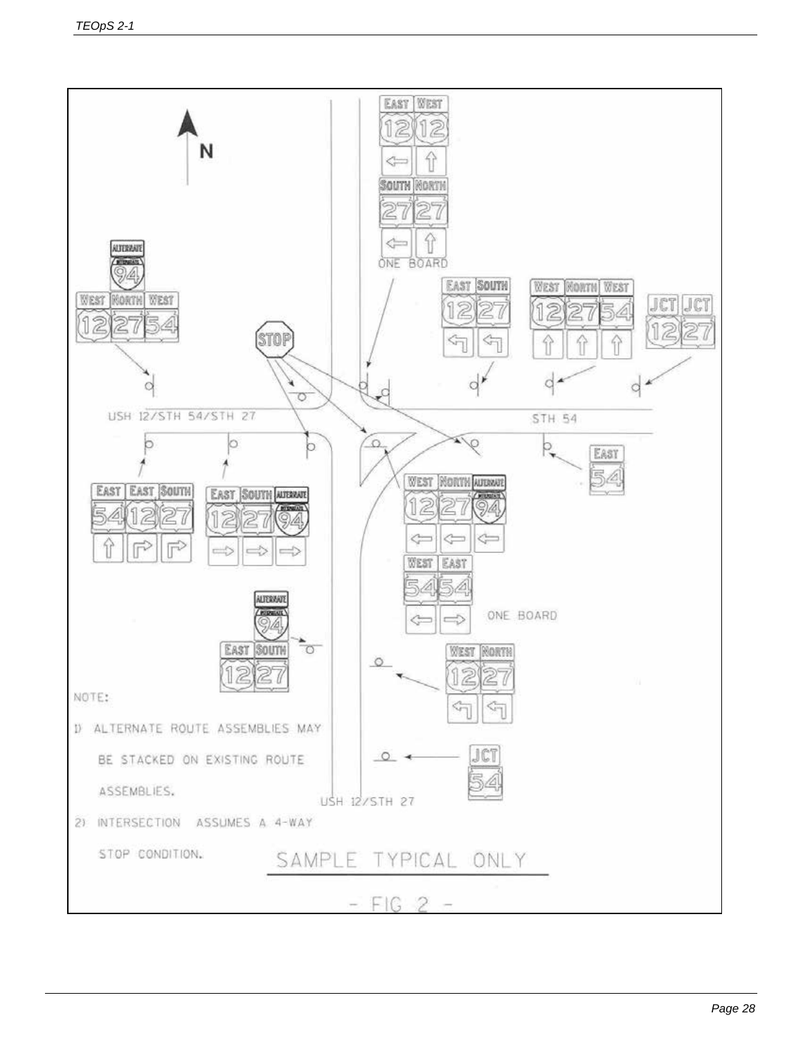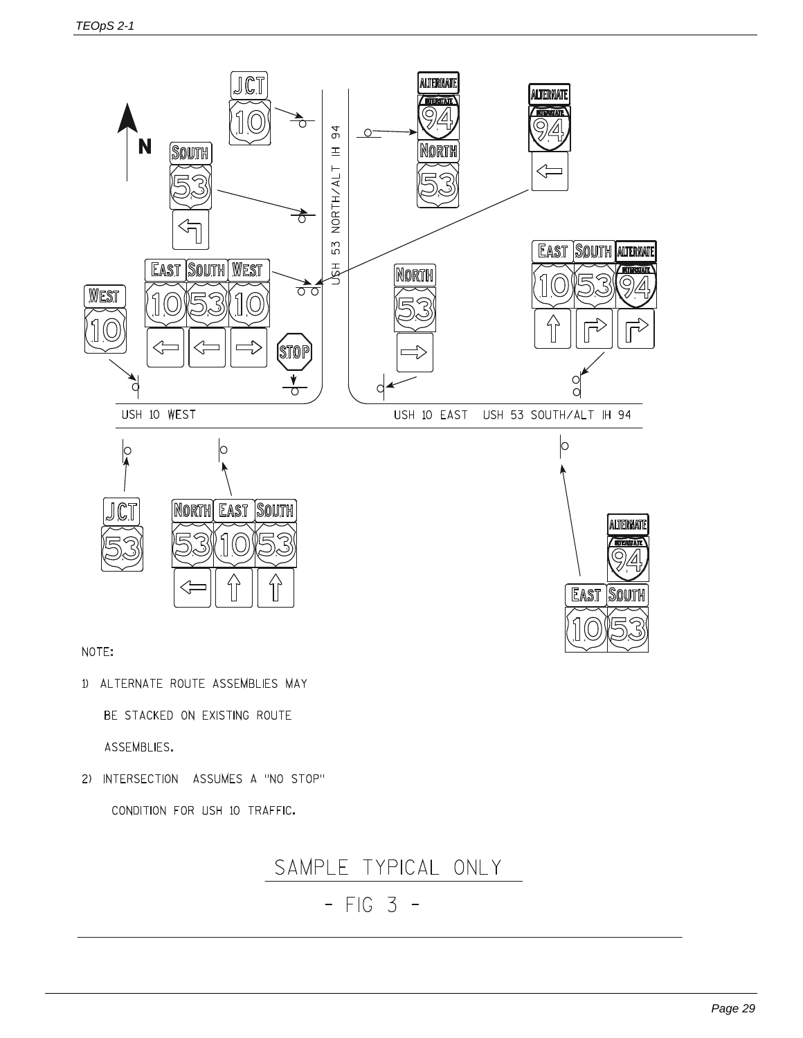

NOTE:

1) ALTERNATE ROUTE ASSEMBLIES MAY

BE STACKED ON EXISTING ROUTE

ASSEMBLIES.

2) INTERSECTION ASSUMES A "NO STOP"

CONDITION FOR USH 10 TRAFFIC.



 $-$  FIG 3 -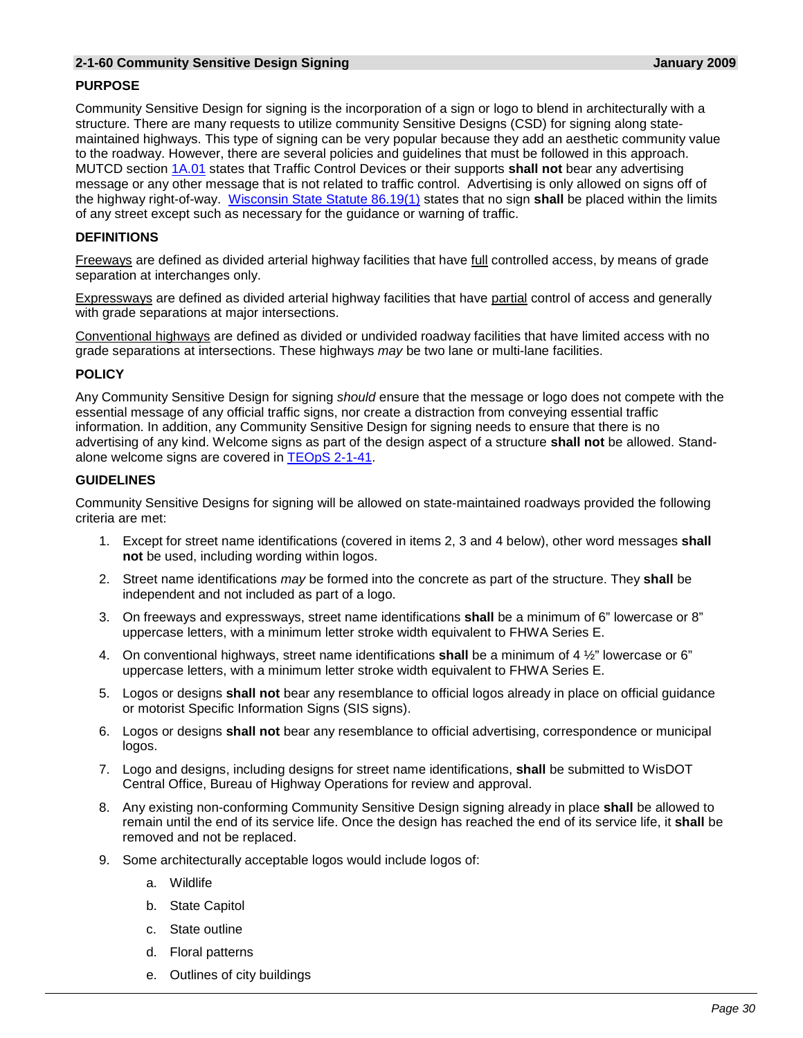#### **2-1-60 Community Sensitive Design Signing January 2009**

# **PURPOSE**

Community Sensitive Design for signing is the incorporation of a sign or logo to blend in architecturally with a structure. There are many requests to utilize community Sensitive Designs (CSD) for signing along statemaintained highways. This type of signing can be very popular because they add an aesthetic community value to the roadway. However, there are several policies and guidelines that must be followed in this approach. MUTCD section [1A.01](https://wisconsindot.gov/dtsdManuals/traffic-ops/manuals-and-standards/wmutcd/mutcd-ch01.pdf) states that Traffic Control Devices or their supports **shall not** bear any advertising message or any other message that is not related to traffic control. Advertising is only allowed on signs off of the highway right-of-way. [Wisconsin State Statute 86.19\(1\)](https://docs.legis.wisconsin.gov/document/statutes/86.19) states that no sign **shall** be placed within the limits of any street except such as necessary for the guidance or warning of traffic.

# **DEFINITIONS**

Freeways are defined as divided arterial highway facilities that have *full* controlled access, by means of grade separation at interchanges only.

Expressways are defined as divided arterial highway facilities that have partial control of access and generally with grade separations at major intersections.

Conventional highways are defined as divided or undivided roadway facilities that have limited access with no grade separations at intersections. These highways *may* be two lane or multi-lane facilities.

# **POLICY**

Any Community Sensitive Design for signing *should* ensure that the message or logo does not compete with the essential message of any official traffic signs, nor create a distraction from conveying essential traffic information. In addition, any Community Sensitive Design for signing needs to ensure that there is no advertising of any kind. Welcome signs as part of the design aspect of a structure **shall not** be allowed. Stand-alone welcome signs are covered in [TEOpS](https://wisconsindot.gov/dtsdManuals/traffic-ops/manuals-and-standards/teops/02-01.pdf#2-1-41) 2-1-41.

# **GUIDELINES**

Community Sensitive Designs for signing will be allowed on state-maintained roadways provided the following criteria are met:

- 1. Except for street name identifications (covered in items 2, 3 and 4 below), other word messages **shall not** be used, including wording within logos.
- 2. Street name identifications *may* be formed into the concrete as part of the structure. They **shall** be independent and not included as part of a logo.
- 3. On freeways and expressways, street name identifications **shall** be a minimum of 6" lowercase or 8" uppercase letters, with a minimum letter stroke width equivalent to FHWA Series E.
- 4. On conventional highways, street name identifications **shall** be a minimum of 4 ½" lowercase or 6" uppercase letters, with a minimum letter stroke width equivalent to FHWA Series E.
- 5. Logos or designs **shall not** bear any resemblance to official logos already in place on official guidance or motorist Specific Information Signs (SIS signs).
- 6. Logos or designs **shall not** bear any resemblance to official advertising, correspondence or municipal logos.
- 7. Logo and designs, including designs for street name identifications, **shall** be submitted to WisDOT Central Office, Bureau of Highway Operations for review and approval.
- 8. Any existing non-conforming Community Sensitive Design signing already in place **shall** be allowed to remain until the end of its service life. Once the design has reached the end of its service life, it **shall** be removed and not be replaced.
- 9. Some architecturally acceptable logos would include logos of:
	- a. Wildlife
	- b. State Capitol
	- c. State outline
	- d. Floral patterns
	- e. Outlines of city buildings